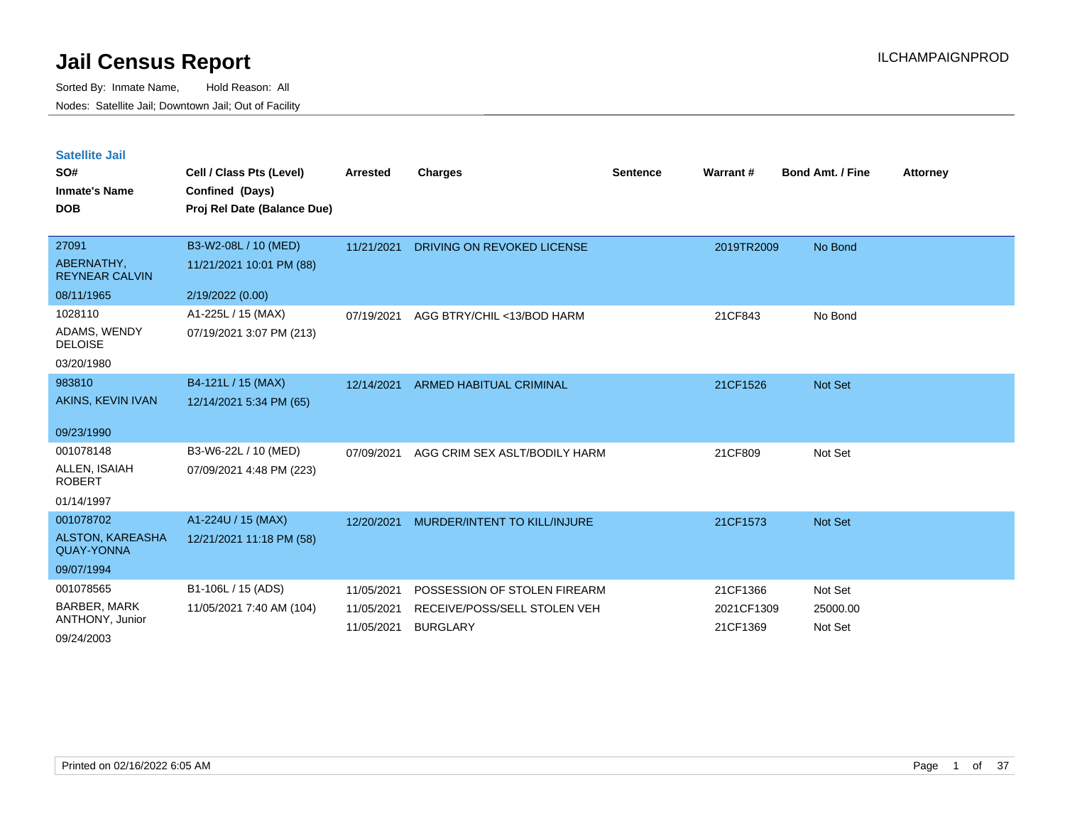| <b>Satellite Jail</b> |  |
|-----------------------|--|
|                       |  |

| SO#<br><b>Inmate's Name</b><br><b>DOB</b>                               | Cell / Class Pts (Level)<br>Confined (Days)<br>Proj Rel Date (Balance Due) | <b>Arrested</b>                        | Charges                                                                         | <b>Sentence</b> | <b>Warrant#</b>                    | <b>Bond Amt. / Fine</b>        | <b>Attorney</b> |
|-------------------------------------------------------------------------|----------------------------------------------------------------------------|----------------------------------------|---------------------------------------------------------------------------------|-----------------|------------------------------------|--------------------------------|-----------------|
| 27091<br>ABERNATHY,<br><b>REYNEAR CALVIN</b><br>08/11/1965              | B3-W2-08L / 10 (MED)<br>11/21/2021 10:01 PM (88)<br>2/19/2022 (0.00)       | 11/21/2021                             | DRIVING ON REVOKED LICENSE                                                      |                 | 2019TR2009                         | No Bond                        |                 |
| 1028110<br>ADAMS, WENDY<br><b>DELOISE</b><br>03/20/1980                 | A1-225L / 15 (MAX)<br>07/19/2021 3:07 PM (213)                             | 07/19/2021                             | AGG BTRY/CHIL <13/BOD HARM                                                      |                 | 21CF843                            | No Bond                        |                 |
| 983810<br>AKINS, KEVIN IVAN<br>09/23/1990                               | B4-121L / 15 (MAX)<br>12/14/2021 5:34 PM (65)                              | 12/14/2021                             | <b>ARMED HABITUAL CRIMINAL</b>                                                  |                 | 21CF1526                           | Not Set                        |                 |
| 001078148<br>ALLEN, ISAIAH<br><b>ROBERT</b><br>01/14/1997               | B3-W6-22L / 10 (MED)<br>07/09/2021 4:48 PM (223)                           | 07/09/2021                             | AGG CRIM SEX ASLT/BODILY HARM                                                   |                 | 21CF809                            | Not Set                        |                 |
| 001078702<br><b>ALSTON, KAREASHA</b><br><b>QUAY-YONNA</b><br>09/07/1994 | A1-224U / 15 (MAX)<br>12/21/2021 11:18 PM (58)                             | 12/20/2021                             | MURDER/INTENT TO KILL/INJURE                                                    |                 | 21CF1573                           | Not Set                        |                 |
| 001078565<br><b>BARBER, MARK</b><br>ANTHONY, Junior<br>09/24/2003       | B1-106L / 15 (ADS)<br>11/05/2021 7:40 AM (104)                             | 11/05/2021<br>11/05/2021<br>11/05/2021 | POSSESSION OF STOLEN FIREARM<br>RECEIVE/POSS/SELL STOLEN VEH<br><b>BURGLARY</b> |                 | 21CF1366<br>2021CF1309<br>21CF1369 | Not Set<br>25000.00<br>Not Set |                 |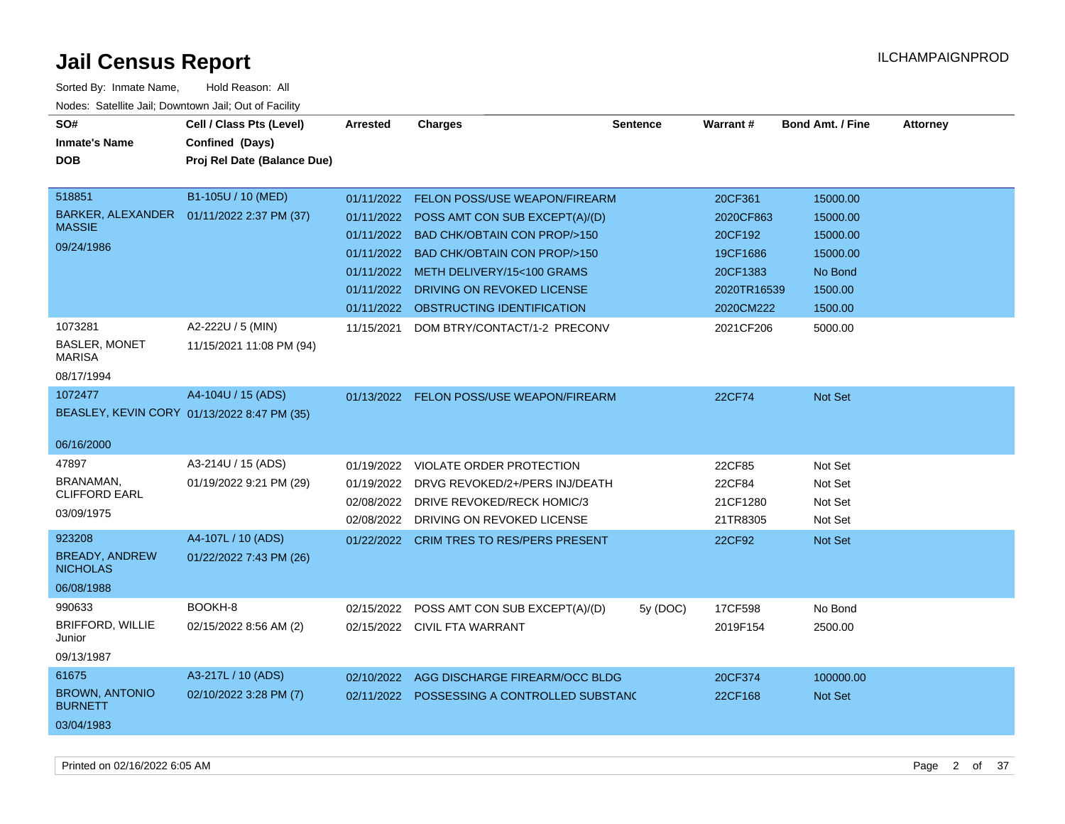| SO#                                      | Cell / Class Pts (Level)                    | <b>Arrested</b> | <b>Charges</b>                              | <b>Sentence</b> | Warrant#    | <b>Bond Amt. / Fine</b> | <b>Attorney</b> |
|------------------------------------------|---------------------------------------------|-----------------|---------------------------------------------|-----------------|-------------|-------------------------|-----------------|
| <b>Inmate's Name</b>                     |                                             |                 |                                             |                 |             |                         |                 |
|                                          | Confined (Days)                             |                 |                                             |                 |             |                         |                 |
| <b>DOB</b>                               | Proj Rel Date (Balance Due)                 |                 |                                             |                 |             |                         |                 |
| 518851                                   | B1-105U / 10 (MED)                          | 01/11/2022      | FELON POSS/USE WEAPON/FIREARM               |                 | 20CF361     | 15000.00                |                 |
| BARKER, ALEXANDER                        | 01/11/2022 2:37 PM (37)                     |                 |                                             |                 |             |                         |                 |
| <b>MASSIE</b>                            |                                             | 01/11/2022      | POSS AMT CON SUB EXCEPT(A)/(D)              |                 | 2020CF863   | 15000.00                |                 |
| 09/24/1986                               |                                             |                 | 01/11/2022 BAD CHK/OBTAIN CON PROP/>150     |                 | 20CF192     | 15000.00                |                 |
|                                          |                                             | 01/11/2022      | <b>BAD CHK/OBTAIN CON PROP/&gt;150</b>      |                 | 19CF1686    | 15000.00                |                 |
|                                          |                                             |                 | 01/11/2022 METH DELIVERY/15<100 GRAMS       |                 | 20CF1383    | No Bond                 |                 |
|                                          |                                             | 01/11/2022      | DRIVING ON REVOKED LICENSE                  |                 | 2020TR16539 | 1500.00                 |                 |
|                                          |                                             | 01/11/2022      | OBSTRUCTING IDENTIFICATION                  |                 | 2020CM222   | 1500.00                 |                 |
| 1073281                                  | A2-222U / 5 (MIN)                           | 11/15/2021      | DOM BTRY/CONTACT/1-2 PRECONV                |                 | 2021CF206   | 5000.00                 |                 |
| BASLER, MONET<br><b>MARISA</b>           | 11/15/2021 11:08 PM (94)                    |                 |                                             |                 |             |                         |                 |
| 08/17/1994                               |                                             |                 |                                             |                 |             |                         |                 |
| 1072477                                  | A4-104U / 15 (ADS)                          |                 | 01/13/2022 FELON POSS/USE WEAPON/FIREARM    |                 | 22CF74      | Not Set                 |                 |
|                                          | BEASLEY, KEVIN CORY 01/13/2022 8:47 PM (35) |                 |                                             |                 |             |                         |                 |
| 06/16/2000                               |                                             |                 |                                             |                 |             |                         |                 |
|                                          |                                             |                 |                                             |                 |             |                         |                 |
| 47897                                    | A3-214U / 15 (ADS)                          | 01/19/2022      | VIOLATE ORDER PROTECTION                    |                 | 22CF85      | Not Set                 |                 |
| BRANAMAN,<br><b>CLIFFORD EARL</b>        | 01/19/2022 9:21 PM (29)                     | 01/19/2022      | DRVG REVOKED/2+/PERS INJ/DEATH              |                 | 22CF84      | Not Set                 |                 |
| 03/09/1975                               |                                             | 02/08/2022      | DRIVE REVOKED/RECK HOMIC/3                  |                 | 21CF1280    | Not Set                 |                 |
|                                          |                                             | 02/08/2022      | DRIVING ON REVOKED LICENSE                  |                 | 21TR8305    | Not Set                 |                 |
| 923208                                   | A4-107L / 10 (ADS)                          | 01/22/2022      | <b>CRIM TRES TO RES/PERS PRESENT</b>        |                 | 22CF92      | <b>Not Set</b>          |                 |
| <b>BREADY, ANDREW</b><br><b>NICHOLAS</b> | 01/22/2022 7:43 PM (26)                     |                 |                                             |                 |             |                         |                 |
| 06/08/1988                               |                                             |                 |                                             |                 |             |                         |                 |
| 990633                                   | BOOKH-8                                     | 02/15/2022      | POSS AMT CON SUB EXCEPT(A)/(D)              | 5y (DOC)        | 17CF598     | No Bond                 |                 |
| <b>BRIFFORD, WILLIE</b><br>Junior        | 02/15/2022 8:56 AM (2)                      |                 | 02/15/2022 CIVIL FTA WARRANT                |                 | 2019F154    | 2500.00                 |                 |
| 09/13/1987                               |                                             |                 |                                             |                 |             |                         |                 |
| 61675                                    | A3-217L / 10 (ADS)                          |                 | 02/10/2022 AGG DISCHARGE FIREARM/OCC BLDG   |                 | 20CF374     | 100000.00               |                 |
| <b>BROWN, ANTONIO</b><br><b>BURNETT</b>  | 02/10/2022 3:28 PM (7)                      |                 | 02/11/2022 POSSESSING A CONTROLLED SUBSTANG |                 | 22CF168     | <b>Not Set</b>          |                 |
| 03/04/1983                               |                                             |                 |                                             |                 |             |                         |                 |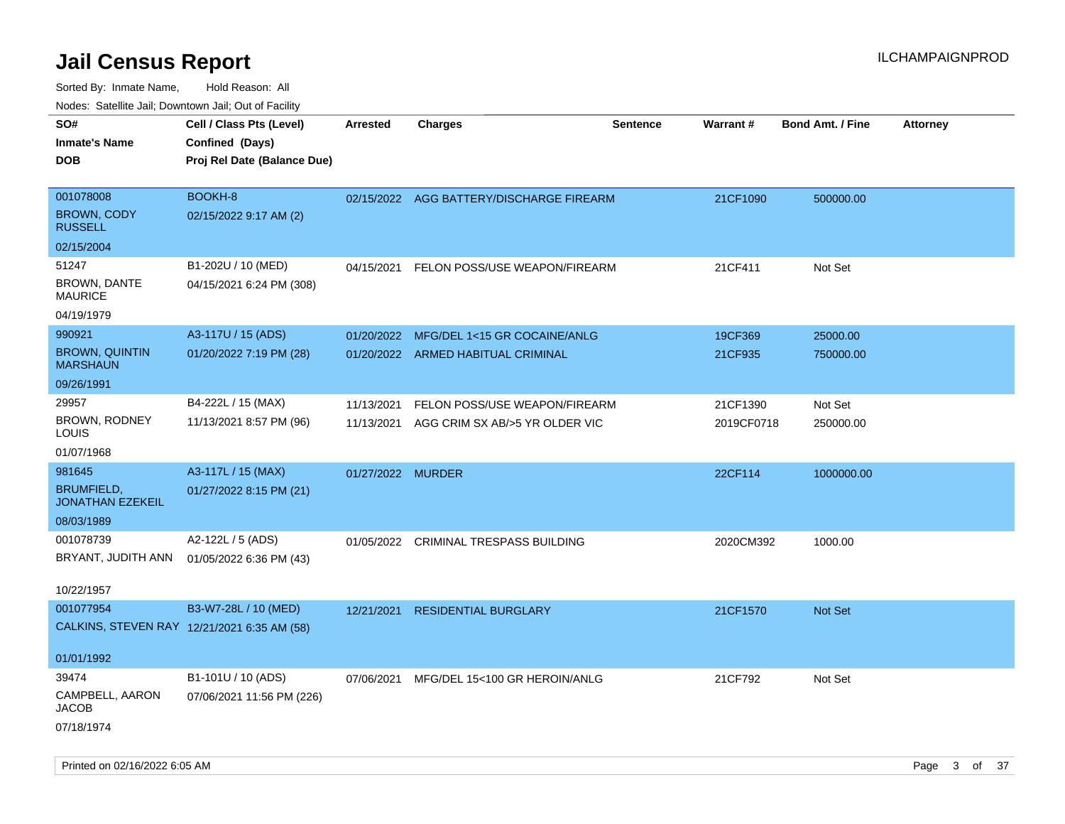| rouco. Calcinic Jan, Downtown Jan, Out of Facility |                                             |                   |                                          |                 |                 |                         |                 |
|----------------------------------------------------|---------------------------------------------|-------------------|------------------------------------------|-----------------|-----------------|-------------------------|-----------------|
| SO#                                                | Cell / Class Pts (Level)                    | <b>Arrested</b>   | <b>Charges</b>                           | <b>Sentence</b> | <b>Warrant#</b> | <b>Bond Amt. / Fine</b> | <b>Attorney</b> |
| Inmate's Name                                      | Confined (Days)                             |                   |                                          |                 |                 |                         |                 |
| DOB                                                | Proj Rel Date (Balance Due)                 |                   |                                          |                 |                 |                         |                 |
|                                                    |                                             |                   |                                          |                 |                 |                         |                 |
| 001078008                                          | BOOKH-8                                     |                   | 02/15/2022 AGG BATTERY/DISCHARGE FIREARM |                 | 21CF1090        | 500000.00               |                 |
| <b>BROWN, CODY</b><br><b>RUSSELL</b>               | 02/15/2022 9:17 AM (2)                      |                   |                                          |                 |                 |                         |                 |
| 02/15/2004                                         |                                             |                   |                                          |                 |                 |                         |                 |
| 51247                                              | B1-202U / 10 (MED)                          | 04/15/2021        | FELON POSS/USE WEAPON/FIREARM            |                 | 21CF411         | Not Set                 |                 |
| <b>BROWN, DANTE</b><br>MAURICE                     | 04/15/2021 6:24 PM (308)                    |                   |                                          |                 |                 |                         |                 |
| 04/19/1979                                         |                                             |                   |                                          |                 |                 |                         |                 |
| 990921                                             | A3-117U / 15 (ADS)                          | 01/20/2022        | MFG/DEL 1<15 GR COCAINE/ANLG             |                 | 19CF369         | 25000.00                |                 |
| <b>BROWN, QUINTIN</b><br><b>MARSHAUN</b>           | 01/20/2022 7:19 PM (28)                     |                   | 01/20/2022 ARMED HABITUAL CRIMINAL       |                 | 21CF935         | 750000.00               |                 |
| 09/26/1991                                         |                                             |                   |                                          |                 |                 |                         |                 |
| 29957                                              | B4-222L / 15 (MAX)                          | 11/13/2021        | FELON POSS/USE WEAPON/FIREARM            |                 | 21CF1390        | Not Set                 |                 |
| BROWN, RODNEY<br>LOUIS                             | 11/13/2021 8:57 PM (96)                     | 11/13/2021        | AGG CRIM SX AB/>5 YR OLDER VIC           |                 | 2019CF0718      | 250000.00               |                 |
| 01/07/1968                                         |                                             |                   |                                          |                 |                 |                         |                 |
| 981645                                             | A3-117L / 15 (MAX)                          | 01/27/2022 MURDER |                                          |                 | 22CF114         | 1000000.00              |                 |
| <b>BRUMFIELD,</b><br><b>JONATHAN EZEKEIL</b>       | 01/27/2022 8:15 PM (21)                     |                   |                                          |                 |                 |                         |                 |
| 08/03/1989                                         |                                             |                   |                                          |                 |                 |                         |                 |
| 001078739                                          | A2-122L / 5 (ADS)                           | 01/05/2022        | CRIMINAL TRESPASS BUILDING               |                 | 2020CM392       | 1000.00                 |                 |
| BRYANT, JUDITH ANN                                 | 01/05/2022 6:36 PM (43)                     |                   |                                          |                 |                 |                         |                 |
| 10/22/1957                                         |                                             |                   |                                          |                 |                 |                         |                 |
| 001077954                                          | B3-W7-28L / 10 (MED)                        | 12/21/2021        | <b>RESIDENTIAL BURGLARY</b>              |                 | 21CF1570        | Not Set                 |                 |
|                                                    | CALKINS, STEVEN RAY 12/21/2021 6:35 AM (58) |                   |                                          |                 |                 |                         |                 |
| 01/01/1992                                         |                                             |                   |                                          |                 |                 |                         |                 |
| 39474                                              | B1-101U / 10 (ADS)                          | 07/06/2021        | MFG/DEL 15<100 GR HEROIN/ANLG            |                 | 21CF792         | Not Set                 |                 |
| CAMPBELL, AARON<br>JACOB                           | 07/06/2021 11:56 PM (226)                   |                   |                                          |                 |                 |                         |                 |
| 07/18/1974                                         |                                             |                   |                                          |                 |                 |                         |                 |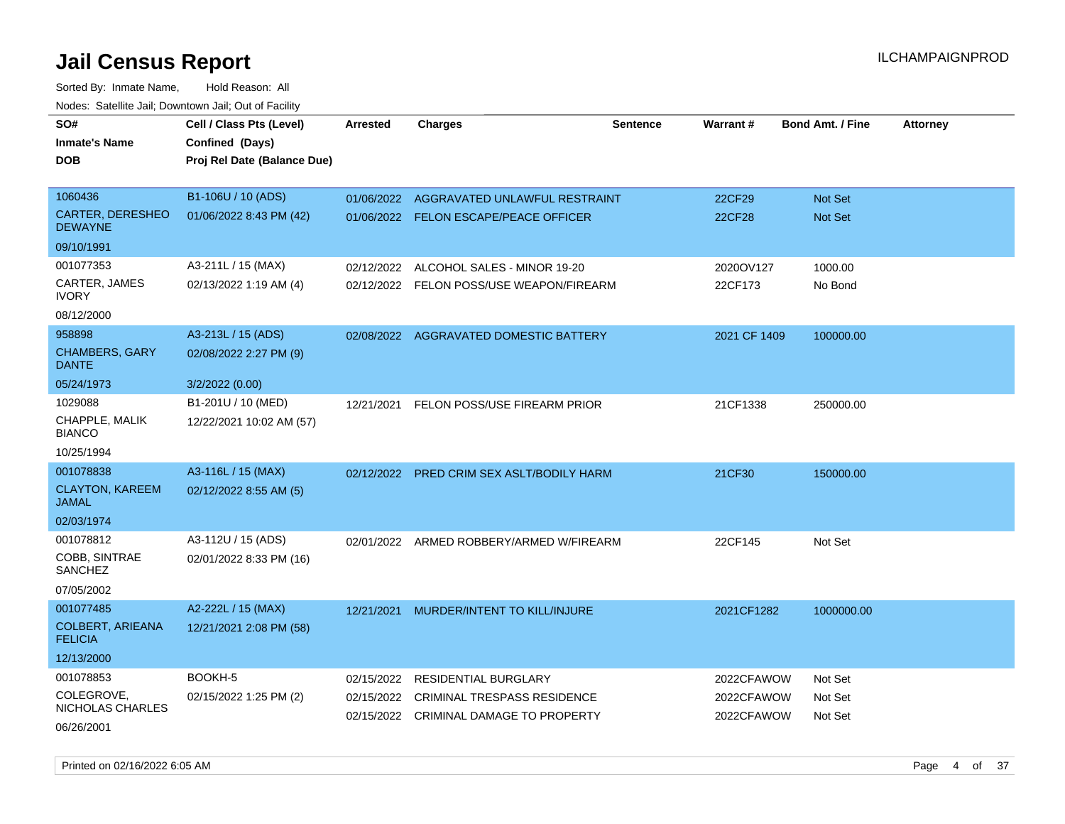Sorted By: Inmate Name, Hold Reason: All

|                                           | Nodes: Satellite Jail; Downtown Jail; Out of Facility |                 |                                           |                 |                 |                         |                 |
|-------------------------------------------|-------------------------------------------------------|-----------------|-------------------------------------------|-----------------|-----------------|-------------------------|-----------------|
| SO#                                       | Cell / Class Pts (Level)                              | <b>Arrested</b> | <b>Charges</b>                            | <b>Sentence</b> | <b>Warrant#</b> | <b>Bond Amt. / Fine</b> | <b>Attorney</b> |
| <b>Inmate's Name</b>                      | Confined (Days)                                       |                 |                                           |                 |                 |                         |                 |
| <b>DOB</b>                                | Proj Rel Date (Balance Due)                           |                 |                                           |                 |                 |                         |                 |
|                                           |                                                       |                 |                                           |                 |                 |                         |                 |
| 1060436                                   | B1-106U / 10 (ADS)                                    | 01/06/2022      | AGGRAVATED UNLAWFUL RESTRAINT             |                 | 22CF29          | Not Set                 |                 |
| <b>CARTER, DERESHEO</b><br><b>DEWAYNE</b> | 01/06/2022 8:43 PM (42)                               |                 | 01/06/2022 FELON ESCAPE/PEACE OFFICER     |                 | <b>22CF28</b>   | Not Set                 |                 |
| 09/10/1991                                |                                                       |                 |                                           |                 |                 |                         |                 |
| 001077353                                 | A3-211L / 15 (MAX)                                    | 02/12/2022      | ALCOHOL SALES - MINOR 19-20               |                 | 2020OV127       | 1000.00                 |                 |
| CARTER, JAMES<br><b>IVORY</b>             | 02/13/2022 1:19 AM (4)                                |                 | 02/12/2022 FELON POSS/USE WEAPON/FIREARM  |                 | 22CF173         | No Bond                 |                 |
| 08/12/2000                                |                                                       |                 |                                           |                 |                 |                         |                 |
| 958898                                    | A3-213L / 15 (ADS)                                    |                 | 02/08/2022 AGGRAVATED DOMESTIC BATTERY    |                 | 2021 CF 1409    | 100000.00               |                 |
| <b>CHAMBERS, GARY</b><br><b>DANTE</b>     | 02/08/2022 2:27 PM (9)                                |                 |                                           |                 |                 |                         |                 |
| 05/24/1973                                | 3/2/2022 (0.00)                                       |                 |                                           |                 |                 |                         |                 |
| 1029088                                   | B1-201U / 10 (MED)                                    | 12/21/2021      | FELON POSS/USE FIREARM PRIOR              |                 | 21CF1338        | 250000.00               |                 |
| CHAPPLE, MALIK<br><b>BIANCO</b>           | 12/22/2021 10:02 AM (57)                              |                 |                                           |                 |                 |                         |                 |
| 10/25/1994                                |                                                       |                 |                                           |                 |                 |                         |                 |
| 001078838                                 | A3-116L / 15 (MAX)                                    |                 | 02/12/2022 PRED CRIM SEX ASLT/BODILY HARM |                 | 21CF30          | 150000.00               |                 |
| <b>CLAYTON, KAREEM</b><br><b>JAMAL</b>    | 02/12/2022 8:55 AM (5)                                |                 |                                           |                 |                 |                         |                 |
| 02/03/1974                                |                                                       |                 |                                           |                 |                 |                         |                 |
| 001078812                                 | A3-112U / 15 (ADS)                                    |                 | 02/01/2022 ARMED ROBBERY/ARMED W/FIREARM  |                 | 22CF145         | Not Set                 |                 |
| COBB, SINTRAE<br>SANCHEZ                  | 02/01/2022 8:33 PM (16)                               |                 |                                           |                 |                 |                         |                 |
| 07/05/2002                                |                                                       |                 |                                           |                 |                 |                         |                 |
| 001077485                                 | A2-222L / 15 (MAX)                                    |                 | 12/21/2021 MURDER/INTENT TO KILL/INJURE   |                 | 2021CF1282      | 1000000.00              |                 |
| <b>COLBERT, ARIEANA</b><br><b>FELICIA</b> | 12/21/2021 2:08 PM (58)                               |                 |                                           |                 |                 |                         |                 |
| 12/13/2000                                |                                                       |                 |                                           |                 |                 |                         |                 |
| 001078853                                 | BOOKH-5                                               | 02/15/2022      | RESIDENTIAL BURGLARY                      |                 | 2022CFAWOW      | Not Set                 |                 |
| COLEGROVE,<br>NICHOLAS CHARLES            | 02/15/2022 1:25 PM (2)                                | 02/15/2022      | CRIMINAL TRESPASS RESIDENCE               |                 | 2022CFAWOW      | Not Set                 |                 |
| 06/26/2001                                |                                                       |                 | 02/15/2022 CRIMINAL DAMAGE TO PROPERTY    |                 | 2022CFAWOW      | Not Set                 |                 |

Printed on 02/16/2022 6:05 AM **Page 4 of 37**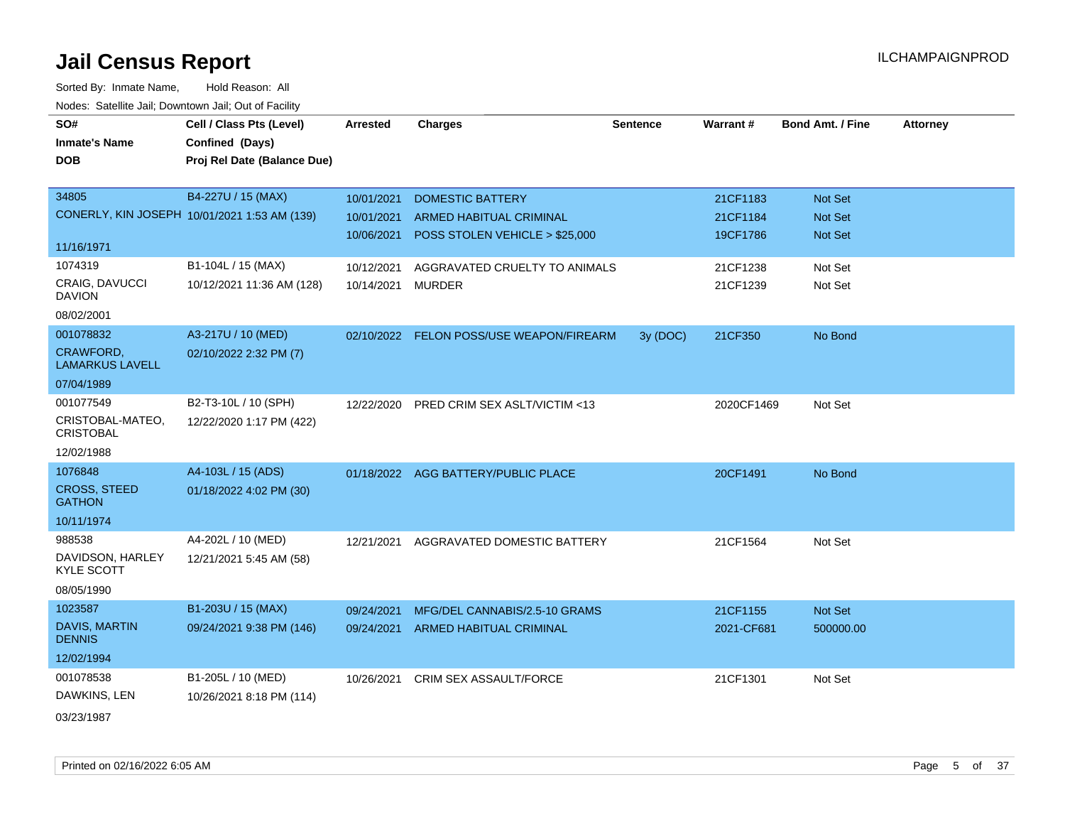| SO#                                        | Cell / Class Pts (Level)                     | <b>Arrested</b> | <b>Charges</b>                           | <b>Sentence</b> | Warrant#   | <b>Bond Amt. / Fine</b> | <b>Attorney</b> |
|--------------------------------------------|----------------------------------------------|-----------------|------------------------------------------|-----------------|------------|-------------------------|-----------------|
| <b>Inmate's Name</b>                       | Confined (Days)                              |                 |                                          |                 |            |                         |                 |
| <b>DOB</b>                                 | Proj Rel Date (Balance Due)                  |                 |                                          |                 |            |                         |                 |
|                                            |                                              |                 |                                          |                 |            |                         |                 |
| 34805                                      | B4-227U / 15 (MAX)                           | 10/01/2021      | <b>DOMESTIC BATTERY</b>                  |                 | 21CF1183   | <b>Not Set</b>          |                 |
|                                            | CONERLY, KIN JOSEPH 10/01/2021 1:53 AM (139) | 10/01/2021      | ARMED HABITUAL CRIMINAL                  |                 | 21CF1184   | <b>Not Set</b>          |                 |
|                                            |                                              | 10/06/2021      | POSS STOLEN VEHICLE > \$25,000           |                 | 19CF1786   | Not Set                 |                 |
| 11/16/1971                                 |                                              |                 |                                          |                 |            |                         |                 |
| 1074319                                    | B1-104L / 15 (MAX)                           | 10/12/2021      | AGGRAVATED CRUELTY TO ANIMALS            |                 | 21CF1238   | Not Set                 |                 |
| <b>CRAIG, DAVUCCI</b><br><b>DAVION</b>     | 10/12/2021 11:36 AM (128)                    | 10/14/2021      | <b>MURDER</b>                            |                 | 21CF1239   | Not Set                 |                 |
| 08/02/2001                                 |                                              |                 |                                          |                 |            |                         |                 |
| 001078832                                  | A3-217U / 10 (MED)                           |                 | 02/10/2022 FELON POSS/USE WEAPON/FIREARM | 3y (DOC)        | 21CF350    | No Bond                 |                 |
| <b>CRAWFORD,</b><br><b>LAMARKUS LAVELL</b> | 02/10/2022 2:32 PM (7)                       |                 |                                          |                 |            |                         |                 |
| 07/04/1989                                 |                                              |                 |                                          |                 |            |                         |                 |
| 001077549                                  | B2-T3-10L / 10 (SPH)                         | 12/22/2020      | PRED CRIM SEX ASLT/VICTIM <13            |                 | 2020CF1469 | Not Set                 |                 |
| CRISTOBAL-MATEO,<br><b>CRISTOBAL</b>       | 12/22/2020 1:17 PM (422)                     |                 |                                          |                 |            |                         |                 |
| 12/02/1988                                 |                                              |                 |                                          |                 |            |                         |                 |
| 1076848                                    | A4-103L / 15 (ADS)                           |                 | 01/18/2022 AGG BATTERY/PUBLIC PLACE      |                 | 20CF1491   | No Bond                 |                 |
| <b>CROSS, STEED</b><br><b>GATHON</b>       | 01/18/2022 4:02 PM (30)                      |                 |                                          |                 |            |                         |                 |
| 10/11/1974                                 |                                              |                 |                                          |                 |            |                         |                 |
| 988538                                     | A4-202L / 10 (MED)                           | 12/21/2021      | AGGRAVATED DOMESTIC BATTERY              |                 | 21CF1564   | Not Set                 |                 |
| DAVIDSON, HARLEY<br><b>KYLE SCOTT</b>      | 12/21/2021 5:45 AM (58)                      |                 |                                          |                 |            |                         |                 |
| 08/05/1990                                 |                                              |                 |                                          |                 |            |                         |                 |
| 1023587                                    | B1-203U / 15 (MAX)                           | 09/24/2021      | MFG/DEL CANNABIS/2.5-10 GRAMS            |                 | 21CF1155   | Not Set                 |                 |
| DAVIS, MARTIN<br><b>DENNIS</b>             | 09/24/2021 9:38 PM (146)                     | 09/24/2021      | ARMED HABITUAL CRIMINAL                  |                 | 2021-CF681 | 500000.00               |                 |
| 12/02/1994                                 |                                              |                 |                                          |                 |            |                         |                 |
| 001078538                                  | B1-205L / 10 (MED)                           | 10/26/2021      | <b>CRIM SEX ASSAULT/FORCE</b>            |                 | 21CF1301   | Not Set                 |                 |
| DAWKINS, LEN                               | 10/26/2021 8:18 PM (114)                     |                 |                                          |                 |            |                         |                 |
| 03/23/1987                                 |                                              |                 |                                          |                 |            |                         |                 |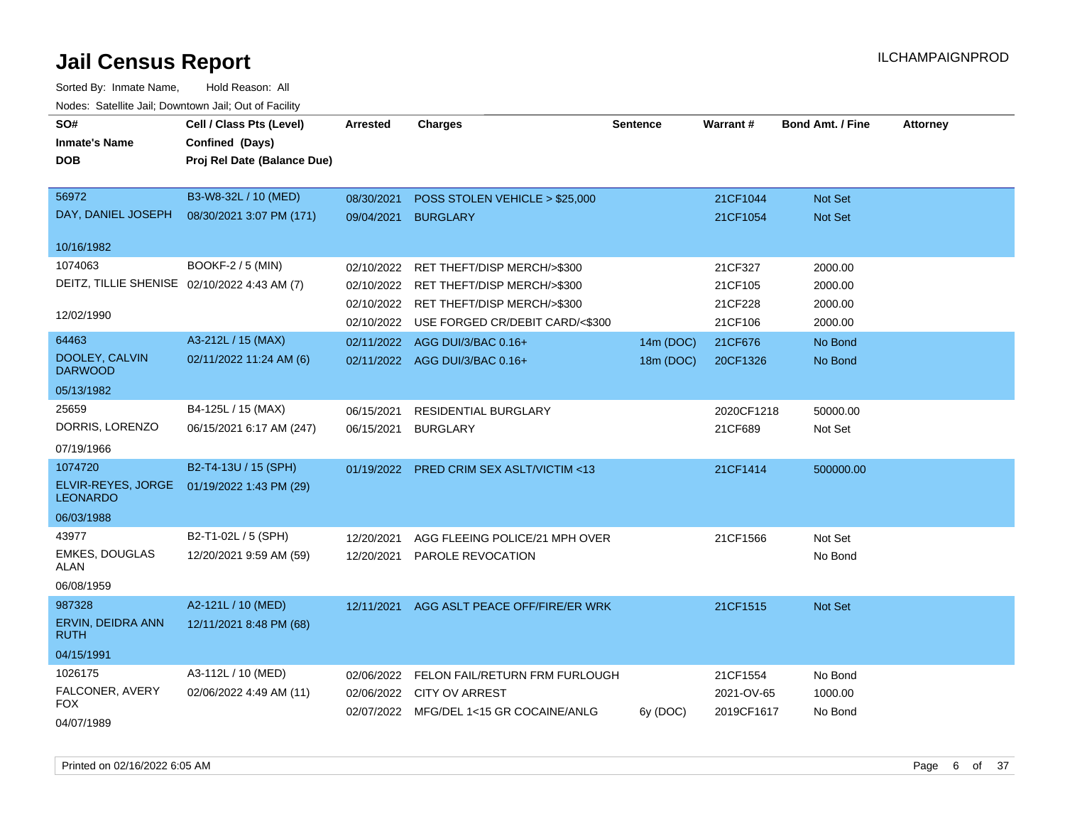| SO#                                          | Cell / Class Pts (Level)    | <b>Arrested</b> | <b>Charges</b>                          | <b>Sentence</b> | Warrant#   | <b>Bond Amt. / Fine</b> | <b>Attorney</b> |
|----------------------------------------------|-----------------------------|-----------------|-----------------------------------------|-----------------|------------|-------------------------|-----------------|
| <b>Inmate's Name</b>                         | Confined (Days)             |                 |                                         |                 |            |                         |                 |
| <b>DOB</b>                                   | Proj Rel Date (Balance Due) |                 |                                         |                 |            |                         |                 |
|                                              |                             |                 |                                         |                 |            |                         |                 |
| 56972                                        | B3-W8-32L / 10 (MED)        | 08/30/2021      | POSS STOLEN VEHICLE > \$25,000          |                 | 21CF1044   | <b>Not Set</b>          |                 |
| DAY, DANIEL JOSEPH                           | 08/30/2021 3:07 PM (171)    | 09/04/2021      | <b>BURGLARY</b>                         |                 | 21CF1054   | <b>Not Set</b>          |                 |
| 10/16/1982                                   |                             |                 |                                         |                 |            |                         |                 |
| 1074063                                      | BOOKF-2 / 5 (MIN)           | 02/10/2022      | RET THEFT/DISP MERCH/>\$300             |                 | 21CF327    | 2000.00                 |                 |
| DEITZ, TILLIE SHENISE 02/10/2022 4:43 AM (7) |                             | 02/10/2022      | RET THEFT/DISP MERCH/>\$300             |                 | 21CF105    | 2000.00                 |                 |
|                                              |                             | 02/10/2022      | RET THEFT/DISP MERCH/>\$300             |                 | 21CF228    | 2000.00                 |                 |
| 12/02/1990                                   |                             | 02/10/2022      | USE FORGED CR/DEBIT CARD/<\$300         |                 | 21CF106    | 2000.00                 |                 |
| 64463                                        | A3-212L / 15 (MAX)          | 02/11/2022      | AGG DUI/3/BAC 0.16+                     | 14m (DOC)       | 21CF676    | No Bond                 |                 |
| DOOLEY, CALVIN<br><b>DARWOOD</b>             | 02/11/2022 11:24 AM (6)     |                 | 02/11/2022 AGG DUI/3/BAC 0.16+          | 18m (DOC)       | 20CF1326   | No Bond                 |                 |
| 05/13/1982                                   |                             |                 |                                         |                 |            |                         |                 |
| 25659                                        | B4-125L / 15 (MAX)          | 06/15/2021      | RESIDENTIAL BURGLARY                    |                 | 2020CF1218 | 50000.00                |                 |
| DORRIS, LORENZO                              | 06/15/2021 6:17 AM (247)    | 06/15/2021      | <b>BURGLARY</b>                         |                 | 21CF689    | Not Set                 |                 |
| 07/19/1966                                   |                             |                 |                                         |                 |            |                         |                 |
| 1074720                                      | B2-T4-13U / 15 (SPH)        | 01/19/2022      | <b>PRED CRIM SEX ASLT/VICTIM &lt;13</b> |                 | 21CF1414   | 500000.00               |                 |
| ELVIR-REYES, JORGE<br><b>LEONARDO</b>        | 01/19/2022 1:43 PM (29)     |                 |                                         |                 |            |                         |                 |
| 06/03/1988                                   |                             |                 |                                         |                 |            |                         |                 |
| 43977                                        | B2-T1-02L / 5 (SPH)         | 12/20/2021      | AGG FLEEING POLICE/21 MPH OVER          |                 | 21CF1566   | Not Set                 |                 |
| <b>EMKES, DOUGLAS</b><br>ALAN                | 12/20/2021 9:59 AM (59)     | 12/20/2021      | PAROLE REVOCATION                       |                 |            | No Bond                 |                 |
| 06/08/1959                                   |                             |                 |                                         |                 |            |                         |                 |
| 987328                                       | A2-121L / 10 (MED)          | 12/11/2021      | AGG ASLT PEACE OFF/FIRE/ER WRK          |                 | 21CF1515   | Not Set                 |                 |
| ERVIN, DEIDRA ANN<br><b>RUTH</b>             | 12/11/2021 8:48 PM (68)     |                 |                                         |                 |            |                         |                 |
| 04/15/1991                                   |                             |                 |                                         |                 |            |                         |                 |
| 1026175                                      | A3-112L / 10 (MED)          | 02/06/2022      | FELON FAIL/RETURN FRM FURLOUGH          |                 | 21CF1554   | No Bond                 |                 |
| FALCONER, AVERY                              | 02/06/2022 4:49 AM (11)     | 02/06/2022      | <b>CITY OV ARREST</b>                   |                 | 2021-OV-65 | 1000.00                 |                 |
| FOX<br>04/07/1989                            |                             |                 | 02/07/2022 MFG/DEL 1<15 GR COCAINE/ANLG | 6y (DOC)        | 2019CF1617 | No Bond                 |                 |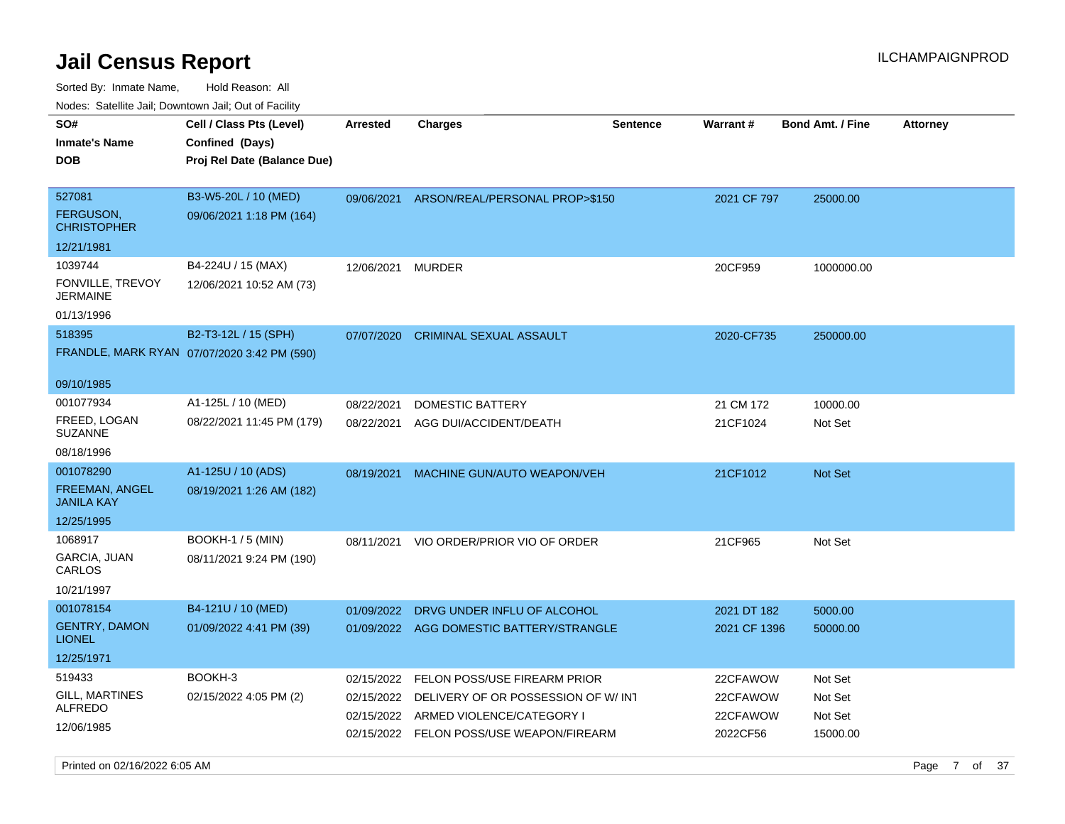Sorted By: Inmate Name, Hold Reason: All Nodes: Satellite Jail; Downtown Jail; Out of Facility

| 10000. Catolino can, Domntonn can, Cat or I doint<br>SO# | Cell / Class Pts (Level)                    | <b>Arrested</b> | Charges                                  | <b>Sentence</b> | <b>Warrant#</b> | <b>Bond Amt. / Fine</b> | <b>Attorney</b> |
|----------------------------------------------------------|---------------------------------------------|-----------------|------------------------------------------|-----------------|-----------------|-------------------------|-----------------|
| Inmate's Name                                            | Confined (Days)                             |                 |                                          |                 |                 |                         |                 |
| DOB                                                      | Proj Rel Date (Balance Due)                 |                 |                                          |                 |                 |                         |                 |
|                                                          |                                             |                 |                                          |                 |                 |                         |                 |
| 527081                                                   | B3-W5-20L / 10 (MED)                        | 09/06/2021      | ARSON/REAL/PERSONAL PROP>\$150           |                 | 2021 CF 797     | 25000.00                |                 |
| <b>FERGUSON,</b><br>CHRISTOPHER                          | 09/06/2021 1:18 PM (164)                    |                 |                                          |                 |                 |                         |                 |
| 12/21/1981                                               |                                             |                 |                                          |                 |                 |                         |                 |
| 1039744                                                  | B4-224U / 15 (MAX)                          | 12/06/2021      | MURDER                                   |                 | 20CF959         | 1000000.00              |                 |
| FONVILLE, TREVOY<br>JERMAINE                             | 12/06/2021 10:52 AM (73)                    |                 |                                          |                 |                 |                         |                 |
| 01/13/1996                                               |                                             |                 |                                          |                 |                 |                         |                 |
| 518395                                                   | B2-T3-12L / 15 (SPH)                        | 07/07/2020      | <b>CRIMINAL SEXUAL ASSAULT</b>           |                 | 2020-CF735      | 250000.00               |                 |
|                                                          | FRANDLE, MARK RYAN 07/07/2020 3:42 PM (590) |                 |                                          |                 |                 |                         |                 |
|                                                          |                                             |                 |                                          |                 |                 |                         |                 |
| 09/10/1985                                               |                                             |                 |                                          |                 |                 |                         |                 |
| 001077934                                                | A1-125L / 10 (MED)                          | 08/22/2021      | <b>DOMESTIC BATTERY</b>                  |                 | 21 CM 172       | 10000.00                |                 |
| FREED, LOGAN<br>SUZANNE                                  | 08/22/2021 11:45 PM (179)                   | 08/22/2021      | AGG DUI/ACCIDENT/DEATH                   |                 | 21CF1024        | Not Set                 |                 |
| 08/18/1996                                               |                                             |                 |                                          |                 |                 |                         |                 |
| 001078290                                                | A1-125U / 10 (ADS)                          | 08/19/2021      | MACHINE GUN/AUTO WEAPON/VEH              |                 | 21CF1012        | <b>Not Set</b>          |                 |
| FREEMAN, ANGEL<br>JANILA KAY                             | 08/19/2021 1:26 AM (182)                    |                 |                                          |                 |                 |                         |                 |
| 12/25/1995                                               |                                             |                 |                                          |                 |                 |                         |                 |
| 1068917                                                  | <b>BOOKH-1 / 5 (MIN)</b>                    | 08/11/2021      | VIO ORDER/PRIOR VIO OF ORDER             |                 | 21CF965         | Not Set                 |                 |
| GARCIA, JUAN<br>CARLOS                                   | 08/11/2021 9:24 PM (190)                    |                 |                                          |                 |                 |                         |                 |
| 10/21/1997                                               |                                             |                 |                                          |                 |                 |                         |                 |
| 001078154                                                | B4-121U / 10 (MED)                          | 01/09/2022      | DRVG UNDER INFLU OF ALCOHOL              |                 | 2021 DT 182     | 5000.00                 |                 |
| <b>GENTRY, DAMON</b><br><b>LIONEL</b>                    | 01/09/2022 4:41 PM (39)                     |                 | 01/09/2022 AGG DOMESTIC BATTERY/STRANGLE |                 | 2021 CF 1396    | 50000.00                |                 |
| 12/25/1971                                               |                                             |                 |                                          |                 |                 |                         |                 |
| 519433                                                   | BOOKH-3                                     | 02/15/2022      | FELON POSS/USE FIREARM PRIOR             |                 | 22CFAWOW        | Not Set                 |                 |
| GILL, MARTINES                                           | 02/15/2022 4:05 PM (2)                      | 02/15/2022      | DELIVERY OF OR POSSESSION OF W/INT       |                 | 22CFAWOW        | Not Set                 |                 |
| ALFREDO                                                  |                                             | 02/15/2022      | ARMED VIOLENCE/CATEGORY I                |                 | 22CFAWOW        | Not Set                 |                 |
| 12/06/1985                                               |                                             | 02/15/2022      | FELON POSS/USE WEAPON/FIREARM            |                 | 2022CF56        | 15000.00                |                 |
|                                                          |                                             |                 |                                          |                 |                 |                         |                 |

Printed on 02/16/2022 6:05 AM Page 7 of 37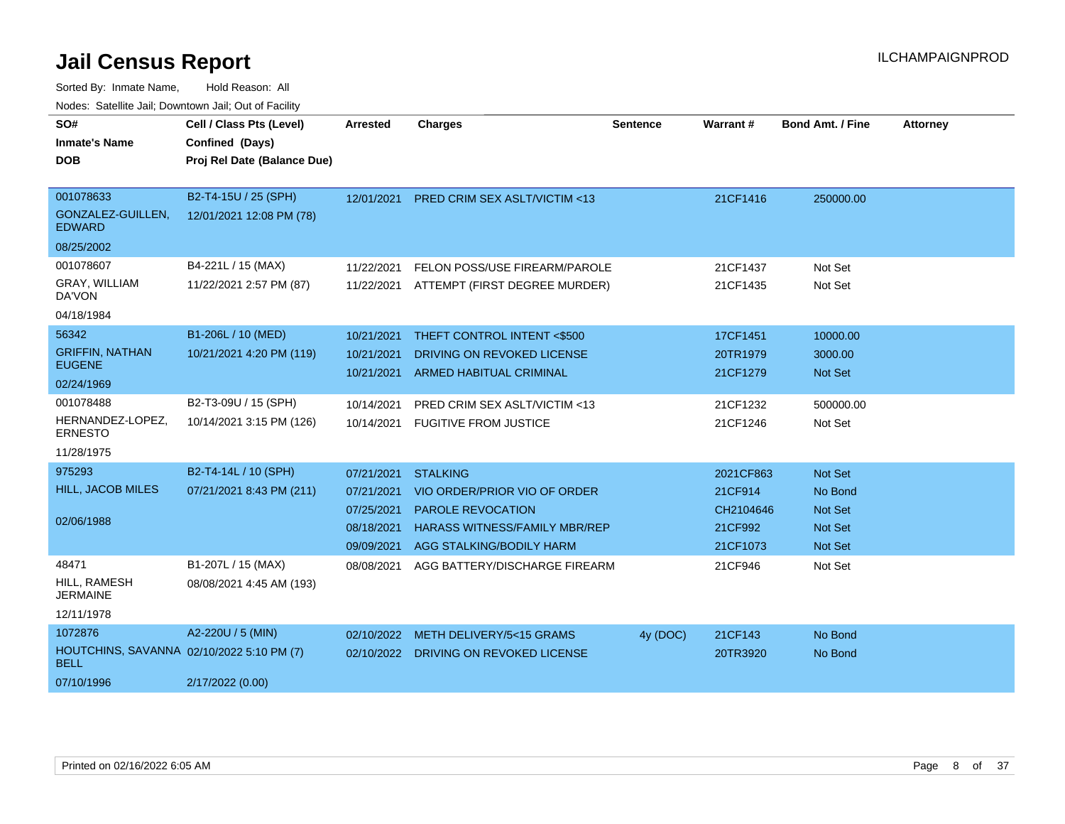| SO#<br><b>Inmate's Name</b>                              | Cell / Class Pts (Level)<br>Confined (Days)      | <b>Arrested</b> | <b>Charges</b>                          | <b>Sentence</b> | Warrant#  | <b>Bond Amt. / Fine</b> | <b>Attorney</b> |
|----------------------------------------------------------|--------------------------------------------------|-----------------|-----------------------------------------|-----------------|-----------|-------------------------|-----------------|
| <b>DOB</b>                                               | Proj Rel Date (Balance Due)                      |                 |                                         |                 |           |                         |                 |
|                                                          |                                                  |                 |                                         |                 |           |                         |                 |
| 001078633<br>GONZALEZ-GUILLEN,<br><b>EDWARD</b>          | B2-T4-15U / 25 (SPH)<br>12/01/2021 12:08 PM (78) | 12/01/2021      | <b>PRED CRIM SEX ASLT/VICTIM &lt;13</b> |                 | 21CF1416  | 250000.00               |                 |
| 08/25/2002                                               |                                                  |                 |                                         |                 |           |                         |                 |
| 001078607                                                | B4-221L / 15 (MAX)                               | 11/22/2021      | FELON POSS/USE FIREARM/PAROLE           |                 | 21CF1437  | Not Set                 |                 |
| GRAY, WILLIAM<br>DA'VON                                  | 11/22/2021 2:57 PM (87)                          | 11/22/2021      | ATTEMPT (FIRST DEGREE MURDER)           |                 | 21CF1435  | Not Set                 |                 |
| 04/18/1984                                               |                                                  |                 |                                         |                 |           |                         |                 |
| 56342                                                    | B1-206L / 10 (MED)                               | 10/21/2021      | THEFT CONTROL INTENT <\$500             |                 | 17CF1451  | 10000.00                |                 |
| <b>GRIFFIN, NATHAN</b>                                   | 10/21/2021 4:20 PM (119)                         | 10/21/2021      | DRIVING ON REVOKED LICENSE              |                 | 20TR1979  | 3000.00                 |                 |
| <b>EUGENE</b>                                            |                                                  | 10/21/2021      | <b>ARMED HABITUAL CRIMINAL</b>          |                 | 21CF1279  | <b>Not Set</b>          |                 |
| 02/24/1969                                               |                                                  |                 |                                         |                 |           |                         |                 |
| 001078488                                                | B2-T3-09U / 15 (SPH)                             | 10/14/2021      | PRED CRIM SEX ASLT/VICTIM <13           |                 | 21CF1232  | 500000.00               |                 |
| HERNANDEZ-LOPEZ,<br><b>ERNESTO</b>                       | 10/14/2021 3:15 PM (126)                         | 10/14/2021      | <b>FUGITIVE FROM JUSTICE</b>            |                 | 21CF1246  | Not Set                 |                 |
| 11/28/1975                                               |                                                  |                 |                                         |                 |           |                         |                 |
| 975293                                                   | B2-T4-14L / 10 (SPH)                             | 07/21/2021      | <b>STALKING</b>                         |                 | 2021CF863 | Not Set                 |                 |
| <b>HILL, JACOB MILES</b>                                 | 07/21/2021 8:43 PM (211)                         | 07/21/2021      | VIO ORDER/PRIOR VIO OF ORDER            |                 | 21CF914   | No Bond                 |                 |
|                                                          |                                                  | 07/25/2021      | PAROLE REVOCATION                       |                 | CH2104646 | <b>Not Set</b>          |                 |
| 02/06/1988                                               |                                                  | 08/18/2021      | <b>HARASS WITNESS/FAMILY MBR/REP</b>    |                 | 21CF992   | <b>Not Set</b>          |                 |
|                                                          |                                                  | 09/09/2021      | AGG STALKING/BODILY HARM                |                 | 21CF1073  | Not Set                 |                 |
| 48471                                                    | B1-207L / 15 (MAX)                               | 08/08/2021      | AGG BATTERY/DISCHARGE FIREARM           |                 | 21CF946   | Not Set                 |                 |
| HILL, RAMESH<br><b>JERMAINE</b>                          | 08/08/2021 4:45 AM (193)                         |                 |                                         |                 |           |                         |                 |
| 12/11/1978                                               |                                                  |                 |                                         |                 |           |                         |                 |
| 1072876                                                  | A2-220U / 5 (MIN)                                | 02/10/2022      | METH DELIVERY/5<15 GRAMS                | 4y (DOC)        | 21CF143   | No Bond                 |                 |
| HOUTCHINS, SAVANNA 02/10/2022 5:10 PM (7)<br><b>BELL</b> |                                                  |                 | 02/10/2022 DRIVING ON REVOKED LICENSE   |                 | 20TR3920  | No Bond                 |                 |
| 07/10/1996                                               | 2/17/2022 (0.00)                                 |                 |                                         |                 |           |                         |                 |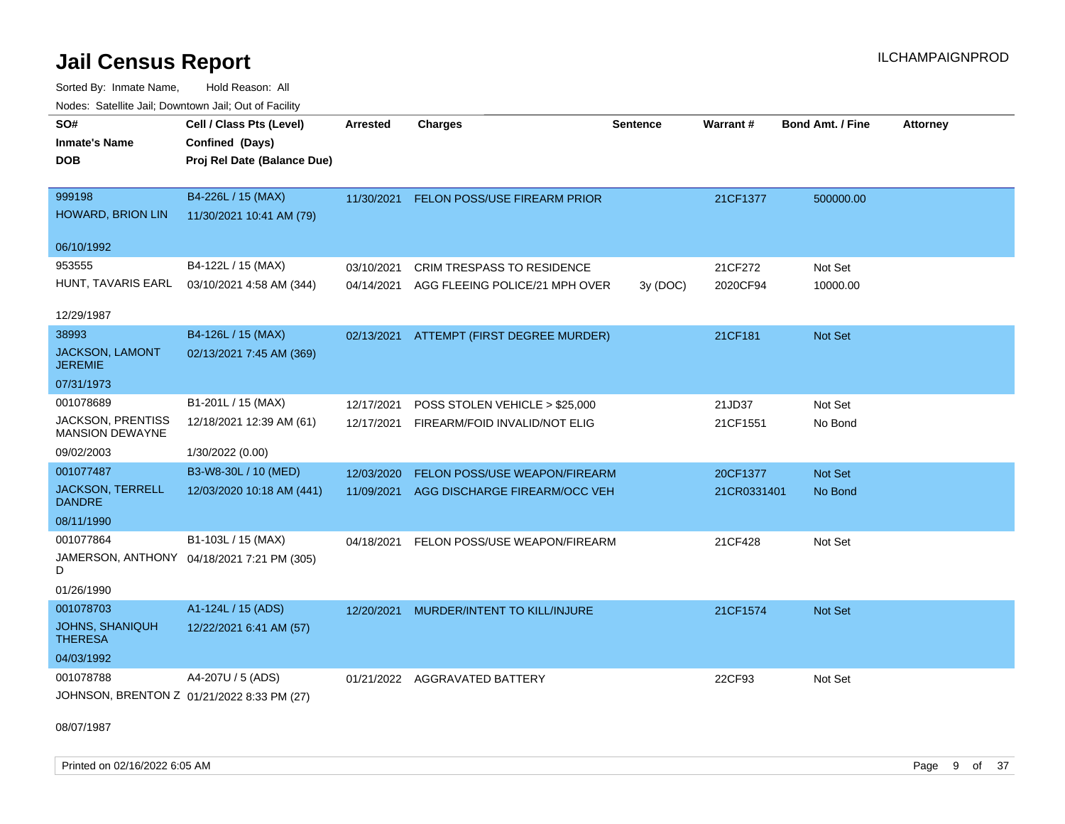Sorted By: Inmate Name, Hold Reason: All Nodes: Satellite Jail; Downtown Jail; Out of Facility

| Noues. Salemie Jan, Downtown Jan, Out of Facility |                                            |                 |                                          |                 |             |                         |                 |
|---------------------------------------------------|--------------------------------------------|-----------------|------------------------------------------|-----------------|-------------|-------------------------|-----------------|
| SO#                                               | Cell / Class Pts (Level)                   | <b>Arrested</b> | <b>Charges</b>                           | <b>Sentence</b> | Warrant#    | <b>Bond Amt. / Fine</b> | <b>Attorney</b> |
| <b>Inmate's Name</b>                              | Confined (Days)                            |                 |                                          |                 |             |                         |                 |
| <b>DOB</b>                                        | Proj Rel Date (Balance Due)                |                 |                                          |                 |             |                         |                 |
|                                                   |                                            |                 |                                          |                 |             |                         |                 |
| 999198                                            | B4-226L / 15 (MAX)                         | 11/30/2021      | FELON POSS/USE FIREARM PRIOR             |                 | 21CF1377    | 500000.00               |                 |
| <b>HOWARD, BRION LIN</b>                          | 11/30/2021 10:41 AM (79)                   |                 |                                          |                 |             |                         |                 |
|                                                   |                                            |                 |                                          |                 |             |                         |                 |
| 06/10/1992                                        |                                            |                 |                                          |                 |             |                         |                 |
| 953555                                            | B4-122L / 15 (MAX)                         | 03/10/2021      | <b>CRIM TRESPASS TO RESIDENCE</b>        |                 | 21CF272     | Not Set                 |                 |
| HUNT, TAVARIS EARL                                | 03/10/2021 4:58 AM (344)                   | 04/14/2021      | AGG FLEEING POLICE/21 MPH OVER           | 3y (DOC)        | 2020CF94    | 10000.00                |                 |
|                                                   |                                            |                 |                                          |                 |             |                         |                 |
| 12/29/1987                                        |                                            |                 |                                          |                 |             |                         |                 |
| 38993                                             | B4-126L / 15 (MAX)                         |                 | 02/13/2021 ATTEMPT (FIRST DEGREE MURDER) |                 | 21CF181     | Not Set                 |                 |
| <b>JACKSON, LAMONT</b><br><b>JEREMIE</b>          | 02/13/2021 7:45 AM (369)                   |                 |                                          |                 |             |                         |                 |
| 07/31/1973                                        |                                            |                 |                                          |                 |             |                         |                 |
| 001078689                                         | B1-201L / 15 (MAX)                         | 12/17/2021      | POSS STOLEN VEHICLE > \$25,000           |                 | 21JD37      | Not Set                 |                 |
| JACKSON, PRENTISS<br><b>MANSION DEWAYNE</b>       | 12/18/2021 12:39 AM (61)                   | 12/17/2021      | FIREARM/FOID INVALID/NOT ELIG            |                 | 21CF1551    | No Bond                 |                 |
| 09/02/2003                                        | 1/30/2022 (0.00)                           |                 |                                          |                 |             |                         |                 |
| 001077487                                         | B3-W8-30L / 10 (MED)                       | 12/03/2020      | FELON POSS/USE WEAPON/FIREARM            |                 | 20CF1377    | Not Set                 |                 |
| <b>JACKSON, TERRELL</b><br><b>DANDRE</b>          | 12/03/2020 10:18 AM (441)                  |                 | 11/09/2021 AGG DISCHARGE FIREARM/OCC VEH |                 | 21CR0331401 | No Bond                 |                 |
| 08/11/1990                                        |                                            |                 |                                          |                 |             |                         |                 |
| 001077864                                         | B1-103L / 15 (MAX)                         | 04/18/2021      | FELON POSS/USE WEAPON/FIREARM            |                 | 21CF428     | Not Set                 |                 |
| D                                                 | JAMERSON, ANTHONY 04/18/2021 7:21 PM (305) |                 |                                          |                 |             |                         |                 |
| 01/26/1990                                        |                                            |                 |                                          |                 |             |                         |                 |
| 001078703                                         | A1-124L / 15 (ADS)                         | 12/20/2021      | MURDER/INTENT TO KILL/INJURE             |                 | 21CF1574    | Not Set                 |                 |
| JOHNS, SHANIQUH<br><b>THERESA</b>                 | 12/22/2021 6:41 AM (57)                    |                 |                                          |                 |             |                         |                 |
| 04/03/1992                                        |                                            |                 |                                          |                 |             |                         |                 |
| 001078788                                         | A4-207U / 5 (ADS)                          |                 | 01/21/2022 AGGRAVATED BATTERY            |                 | 22CF93      | Not Set                 |                 |
|                                                   | JOHNSON, BRENTON Z 01/21/2022 8:33 PM (27) |                 |                                          |                 |             |                         |                 |
|                                                   |                                            |                 |                                          |                 |             |                         |                 |

08/07/1987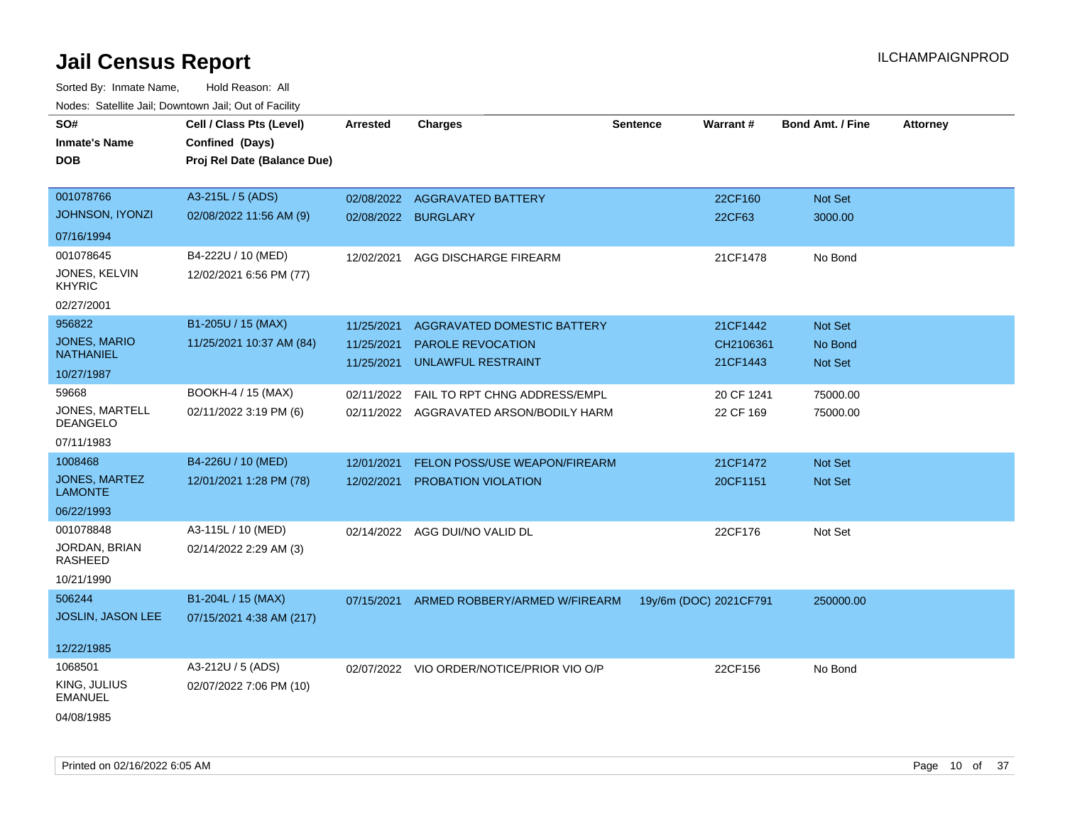| SO#<br><b>Inmate's Name</b><br><b>DOB</b> | Cell / Class Pts (Level)<br>Confined (Days)<br>Proj Rel Date (Balance Due) | <b>Arrested</b>     | <b>Charges</b>                            | <b>Sentence</b>        | Warrant#   | <b>Bond Amt. / Fine</b> | <b>Attorney</b> |
|-------------------------------------------|----------------------------------------------------------------------------|---------------------|-------------------------------------------|------------------------|------------|-------------------------|-----------------|
| 001078766                                 | A3-215L / 5 (ADS)                                                          | 02/08/2022          | <b>AGGRAVATED BATTERY</b>                 |                        | 22CF160    | Not Set                 |                 |
| <b>JOHNSON, IYONZI</b>                    | 02/08/2022 11:56 AM (9)                                                    | 02/08/2022 BURGLARY |                                           |                        | 22CF63     | 3000.00                 |                 |
| 07/16/1994                                |                                                                            |                     |                                           |                        |            |                         |                 |
| 001078645                                 | B4-222U / 10 (MED)                                                         | 12/02/2021          | AGG DISCHARGE FIREARM                     |                        | 21CF1478   | No Bond                 |                 |
| JONES, KELVIN<br><b>KHYRIC</b>            | 12/02/2021 6:56 PM (77)                                                    |                     |                                           |                        |            |                         |                 |
| 02/27/2001                                |                                                                            |                     |                                           |                        |            |                         |                 |
| 956822                                    | B1-205U / 15 (MAX)                                                         | 11/25/2021          | AGGRAVATED DOMESTIC BATTERY               |                        | 21CF1442   | Not Set                 |                 |
| JONES, MARIO<br><b>NATHANIEL</b>          | 11/25/2021 10:37 AM (84)                                                   | 11/25/2021          | <b>PAROLE REVOCATION</b>                  |                        | CH2106361  | No Bond                 |                 |
| 10/27/1987                                |                                                                            | 11/25/2021          | UNLAWFUL RESTRAINT                        |                        | 21CF1443   | Not Set                 |                 |
| 59668                                     | BOOKH-4 / 15 (MAX)                                                         |                     |                                           |                        |            |                         |                 |
| JONES, MARTELL                            |                                                                            | 02/11/2022          | FAIL TO RPT CHNG ADDRESS/EMPL             |                        | 20 CF 1241 | 75000.00                |                 |
| <b>DEANGELO</b>                           | 02/11/2022 3:19 PM (6)                                                     |                     | 02/11/2022 AGGRAVATED ARSON/BODILY HARM   |                        | 22 CF 169  | 75000.00                |                 |
| 07/11/1983                                |                                                                            |                     |                                           |                        |            |                         |                 |
| 1008468                                   | B4-226U / 10 (MED)                                                         | 12/01/2021          | FELON POSS/USE WEAPON/FIREARM             |                        | 21CF1472   | Not Set                 |                 |
| JONES, MARTEZ<br><b>LAMONTE</b>           | 12/01/2021 1:28 PM (78)                                                    | 12/02/2021          | <b>PROBATION VIOLATION</b>                |                        | 20CF1151   | Not Set                 |                 |
| 06/22/1993                                |                                                                            |                     |                                           |                        |            |                         |                 |
| 001078848                                 | A3-115L / 10 (MED)                                                         | 02/14/2022          | AGG DUI/NO VALID DL                       |                        | 22CF176    | Not Set                 |                 |
| JORDAN, BRIAN<br>RASHEED                  | 02/14/2022 2:29 AM (3)                                                     |                     |                                           |                        |            |                         |                 |
| 10/21/1990                                |                                                                            |                     |                                           |                        |            |                         |                 |
| 506244                                    | B1-204L / 15 (MAX)                                                         | 07/15/2021          | ARMED ROBBERY/ARMED W/FIREARM             | 19y/6m (DOC) 2021CF791 |            | 250000.00               |                 |
| <b>JOSLIN, JASON LEE</b>                  | 07/15/2021 4:38 AM (217)                                                   |                     |                                           |                        |            |                         |                 |
| 12/22/1985                                |                                                                            |                     |                                           |                        |            |                         |                 |
| 1068501                                   | A3-212U / 5 (ADS)                                                          |                     | 02/07/2022 VIO ORDER/NOTICE/PRIOR VIO O/P |                        | 22CF156    | No Bond                 |                 |
| KING, JULIUS<br><b>EMANUEL</b>            | 02/07/2022 7:06 PM (10)                                                    |                     |                                           |                        |            |                         |                 |
| 04/08/1985                                |                                                                            |                     |                                           |                        |            |                         |                 |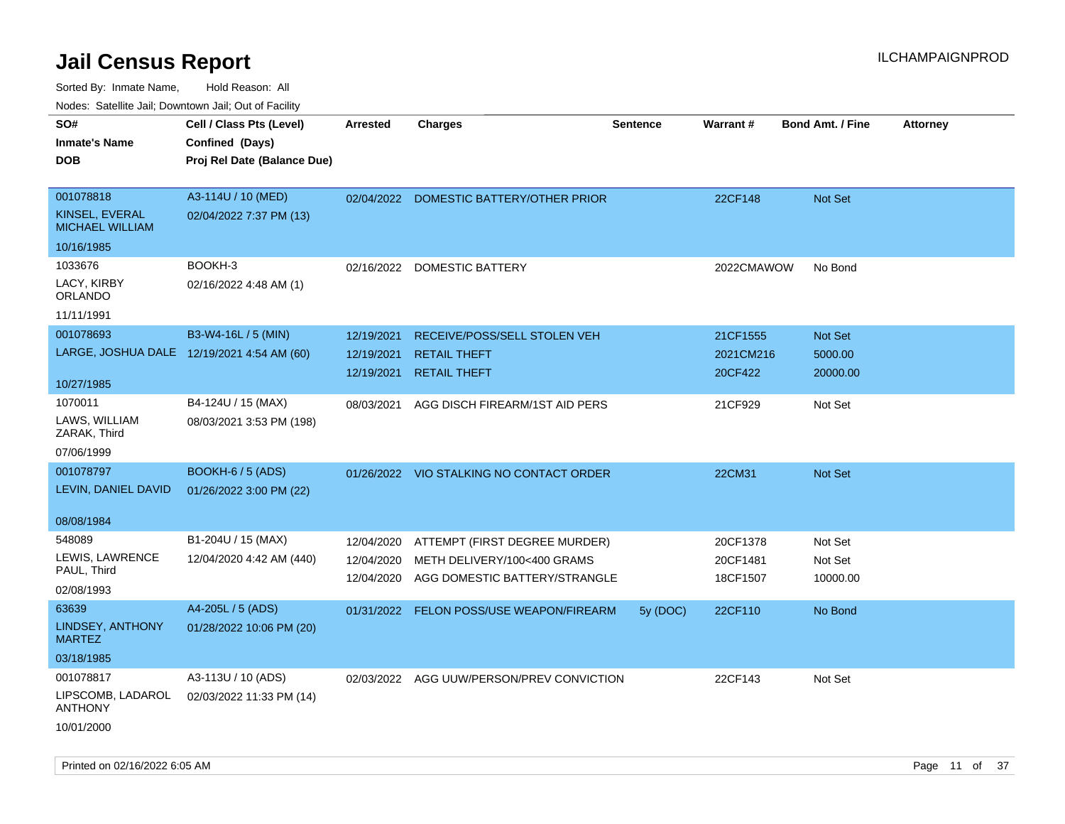| ivouss. Satellite Jali, Downtown Jali, Out of Facility |                                            |            |                                           |                 |                 |                         |                 |
|--------------------------------------------------------|--------------------------------------------|------------|-------------------------------------------|-----------------|-----------------|-------------------------|-----------------|
| SO#                                                    | Cell / Class Pts (Level)                   | Arrested   | <b>Charges</b>                            | <b>Sentence</b> | <b>Warrant#</b> | <b>Bond Amt. / Fine</b> | <b>Attorney</b> |
| Inmate's Name                                          | Confined (Days)                            |            |                                           |                 |                 |                         |                 |
| DOB                                                    | Proj Rel Date (Balance Due)                |            |                                           |                 |                 |                         |                 |
|                                                        |                                            |            |                                           |                 |                 |                         |                 |
| 001078818                                              | A3-114U / 10 (MED)                         |            | 02/04/2022 DOMESTIC BATTERY/OTHER PRIOR   |                 | 22CF148         | Not Set                 |                 |
| KINSEL, EVERAL<br><b>MICHAEL WILLIAM</b>               | 02/04/2022 7:37 PM (13)                    |            |                                           |                 |                 |                         |                 |
| 10/16/1985                                             |                                            |            |                                           |                 |                 |                         |                 |
| 1033676                                                | BOOKH-3                                    | 02/16/2022 | DOMESTIC BATTERY                          |                 | 2022CMAWOW      | No Bond                 |                 |
| LACY, KIRBY<br>ORLANDO                                 | 02/16/2022 4:48 AM (1)                     |            |                                           |                 |                 |                         |                 |
| 11/11/1991                                             |                                            |            |                                           |                 |                 |                         |                 |
| 001078693                                              | B3-W4-16L / 5 (MIN)                        | 12/19/2021 | RECEIVE/POSS/SELL STOLEN VEH              |                 | 21CF1555        | <b>Not Set</b>          |                 |
|                                                        | LARGE, JOSHUA DALE 12/19/2021 4:54 AM (60) | 12/19/2021 | <b>RETAIL THEFT</b>                       |                 | 2021CM216       | 5000.00                 |                 |
|                                                        |                                            | 12/19/2021 | <b>RETAIL THEFT</b>                       |                 | 20CF422         | 20000.00                |                 |
| 10/27/1985                                             |                                            |            |                                           |                 |                 |                         |                 |
| 1070011                                                | B4-124U / 15 (MAX)                         | 08/03/2021 | AGG DISCH FIREARM/1ST AID PERS            |                 | 21CF929         | Not Set                 |                 |
| LAWS, WILLIAM<br>ZARAK, Third                          | 08/03/2021 3:53 PM (198)                   |            |                                           |                 |                 |                         |                 |
| 07/06/1999                                             |                                            |            |                                           |                 |                 |                         |                 |
| 001078797                                              | <b>BOOKH-6 / 5 (ADS)</b>                   |            | 01/26/2022 VIO STALKING NO CONTACT ORDER  |                 | 22CM31          | Not Set                 |                 |
| LEVIN, DANIEL DAVID                                    | 01/26/2022 3:00 PM (22)                    |            |                                           |                 |                 |                         |                 |
|                                                        |                                            |            |                                           |                 |                 |                         |                 |
| 08/08/1984                                             |                                            |            |                                           |                 |                 |                         |                 |
| 548089                                                 | B1-204U / 15 (MAX)                         | 12/04/2020 | ATTEMPT (FIRST DEGREE MURDER)             |                 | 20CF1378        | Not Set                 |                 |
| LEWIS, LAWRENCE<br>PAUL, Third                         | 12/04/2020 4:42 AM (440)                   | 12/04/2020 | METH DELIVERY/100<400 GRAMS               |                 | 20CF1481        | Not Set                 |                 |
| 02/08/1993                                             |                                            | 12/04/2020 | AGG DOMESTIC BATTERY/STRANGLE             |                 | 18CF1507        | 10000.00                |                 |
|                                                        |                                            |            |                                           |                 |                 |                         |                 |
| 63639                                                  | A4-205L / 5 (ADS)                          |            | 01/31/2022 FELON POSS/USE WEAPON/FIREARM  | 5y (DOC)        | 22CF110         | No Bond                 |                 |
| LINDSEY, ANTHONY<br>MARTEZ                             | 01/28/2022 10:06 PM (20)                   |            |                                           |                 |                 |                         |                 |
| 03/18/1985                                             |                                            |            |                                           |                 |                 |                         |                 |
| 001078817                                              | A3-113U / 10 (ADS)                         |            | 02/03/2022 AGG UUW/PERSON/PREV CONVICTION |                 | 22CF143         | Not Set                 |                 |
| LIPSCOMB, LADAROL<br><b>ANTHONY</b>                    | 02/03/2022 11:33 PM (14)                   |            |                                           |                 |                 |                         |                 |
| 10/01/2000                                             |                                            |            |                                           |                 |                 |                         |                 |
|                                                        |                                            |            |                                           |                 |                 |                         |                 |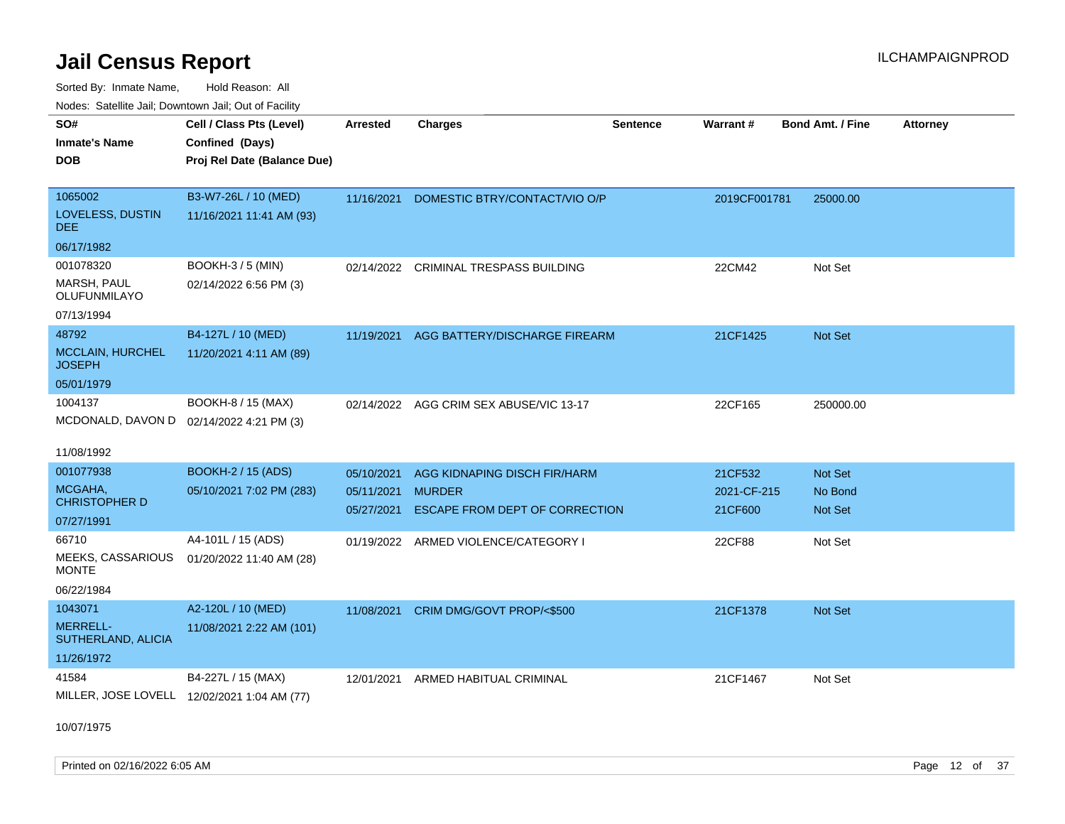Sorted By: Inmate Name, Hold Reason: All Nodes: Satellite Jail; Downtown Jail; Out of Facility

| roaco. Calcinio dan, Downtown dan, Cal or Fability |                                             |                 |                                          |                 |              |                         |                 |
|----------------------------------------------------|---------------------------------------------|-----------------|------------------------------------------|-----------------|--------------|-------------------------|-----------------|
| SO#<br>Inmate's Name                               | Cell / Class Pts (Level)<br>Confined (Days) | <b>Arrested</b> | <b>Charges</b>                           | <b>Sentence</b> | Warrant#     | <b>Bond Amt. / Fine</b> | <b>Attorney</b> |
| DOB                                                | Proj Rel Date (Balance Due)                 |                 |                                          |                 |              |                         |                 |
| 1065002                                            | B3-W7-26L / 10 (MED)                        | 11/16/2021      | DOMESTIC BTRY/CONTACT/VIO O/P            |                 | 2019CF001781 | 25000.00                |                 |
| LOVELESS, DUSTIN<br>DEE                            | 11/16/2021 11:41 AM (93)                    |                 |                                          |                 |              |                         |                 |
| 06/17/1982                                         |                                             |                 |                                          |                 |              |                         |                 |
| 001078320                                          | <b>BOOKH-3 / 5 (MIN)</b>                    | 02/14/2022      | <b>CRIMINAL TRESPASS BUILDING</b>        |                 | 22CM42       | Not Set                 |                 |
| MARSH, PAUL<br>OLUFUNMILAYO                        | 02/14/2022 6:56 PM (3)                      |                 |                                          |                 |              |                         |                 |
| 07/13/1994                                         |                                             |                 |                                          |                 |              |                         |                 |
| 48792                                              | B4-127L / 10 (MED)                          |                 | 11/19/2021 AGG BATTERY/DISCHARGE FIREARM |                 | 21CF1425     | <b>Not Set</b>          |                 |
| MCCLAIN, HURCHEL<br>JOSEPH                         | 11/20/2021 4:11 AM (89)                     |                 |                                          |                 |              |                         |                 |
| 05/01/1979                                         |                                             |                 |                                          |                 |              |                         |                 |
| 1004137                                            | BOOKH-8 / 15 (MAX)                          |                 | 02/14/2022 AGG CRIM SEX ABUSE/VIC 13-17  |                 | 22CF165      | 250000.00               |                 |
| MCDONALD, DAVON D 02/14/2022 4:21 PM (3)           |                                             |                 |                                          |                 |              |                         |                 |
| 11/08/1992                                         |                                             |                 |                                          |                 |              |                         |                 |
| 001077938                                          | <b>BOOKH-2 / 15 (ADS)</b>                   | 05/10/2021      | AGG KIDNAPING DISCH FIR/HARM             |                 | 21CF532      | <b>Not Set</b>          |                 |
| MCGAHA,                                            | 05/10/2021 7:02 PM (283)                    | 05/11/2021      | <b>MURDER</b>                            |                 | 2021-CF-215  | No Bond                 |                 |
| <b>CHRISTOPHER D</b>                               |                                             | 05/27/2021      | ESCAPE FROM DEPT OF CORRECTION           |                 | 21CF600      | <b>Not Set</b>          |                 |
| 07/27/1991                                         |                                             |                 |                                          |                 |              |                         |                 |
| 66710                                              | A4-101L / 15 (ADS)                          |                 | 01/19/2022 ARMED VIOLENCE/CATEGORY I     |                 | 22CF88       | Not Set                 |                 |
| MEEKS, CASSARIOUS<br>MONTE                         | 01/20/2022 11:40 AM (28)                    |                 |                                          |                 |              |                         |                 |
| 06/22/1984                                         |                                             |                 |                                          |                 |              |                         |                 |
| 1043071                                            | A2-120L / 10 (MED)                          | 11/08/2021      | CRIM DMG/GOVT PROP/<\$500                |                 | 21CF1378     | <b>Not Set</b>          |                 |
| <b>MERRELL-</b><br>SUTHERLAND, ALICIA              | 11/08/2021 2:22 AM (101)                    |                 |                                          |                 |              |                         |                 |
| 11/26/1972                                         |                                             |                 |                                          |                 |              |                         |                 |
| 41584                                              | B4-227L / 15 (MAX)                          | 12/01/2021      | ARMED HABITUAL CRIMINAL                  |                 | 21CF1467     | Not Set                 |                 |
|                                                    | MILLER, JOSE LOVELL 12/02/2021 1:04 AM (77) |                 |                                          |                 |              |                         |                 |

10/07/1975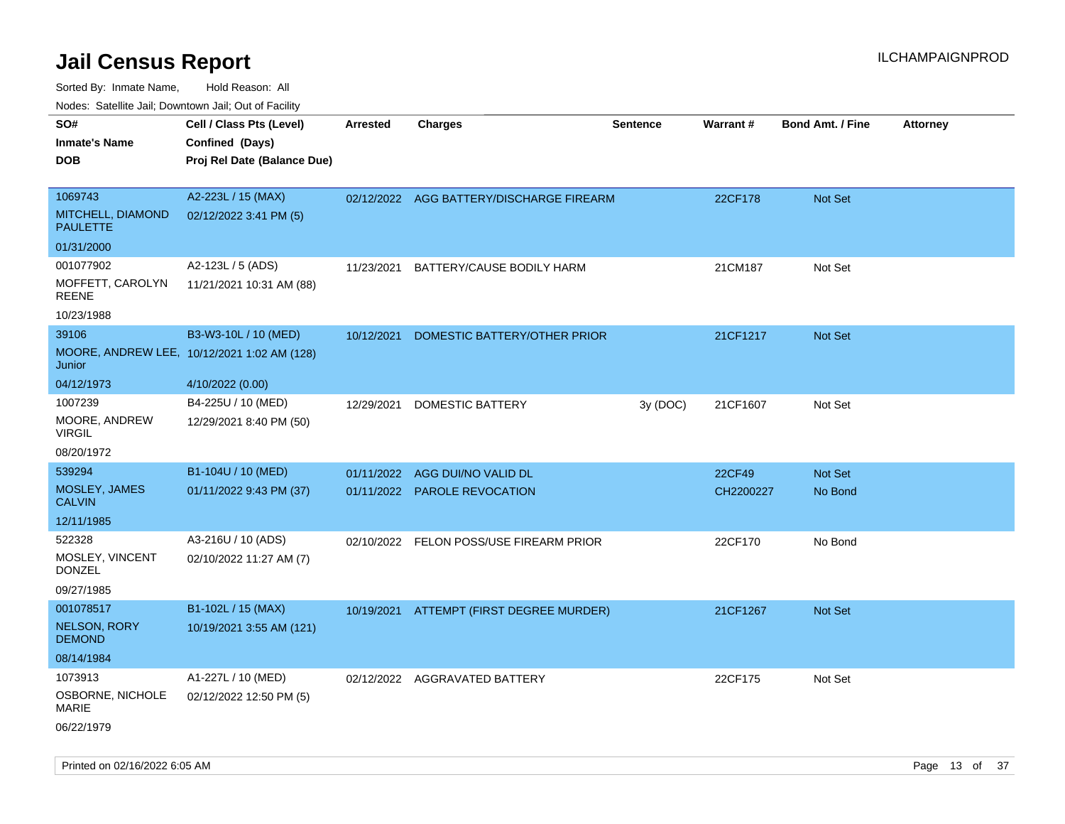Sorted By: Inmate Name, Hold Reason: All

Nodes: Satellite Jail; Downtown Jail; Out of Facility

| SO#<br><b>Inmate's Name</b><br><b>DOB</b>       | Cell / Class Pts (Level)<br>Confined (Days)<br>Proj Rel Date (Balance Due) | <b>Arrested</b> | <b>Charges</b>                           | <b>Sentence</b> | <b>Warrant#</b> | <b>Bond Amt. / Fine</b> | Attorney |
|-------------------------------------------------|----------------------------------------------------------------------------|-----------------|------------------------------------------|-----------------|-----------------|-------------------------|----------|
| 1069743<br>MITCHELL, DIAMOND<br><b>PAULETTE</b> | A2-223L / 15 (MAX)<br>02/12/2022 3:41 PM (5)                               |                 | 02/12/2022 AGG BATTERY/DISCHARGE FIREARM |                 | 22CF178         | Not Set                 |          |
| 01/31/2000                                      |                                                                            |                 |                                          |                 |                 |                         |          |
| 001077902<br>MOFFETT, CAROLYN<br><b>REENE</b>   | A2-123L / 5 (ADS)<br>11/21/2021 10:31 AM (88)                              |                 | 11/23/2021 BATTERY/CAUSE BODILY HARM     |                 | 21CM187         | Not Set                 |          |
| 10/23/1988<br>39106                             |                                                                            |                 |                                          |                 |                 |                         |          |
| Junior                                          | B3-W3-10L / 10 (MED)<br>MOORE, ANDREW LEE, 10/12/2021 1:02 AM (128)        | 10/12/2021      | DOMESTIC BATTERY/OTHER PRIOR             |                 | 21CF1217        | Not Set                 |          |
| 04/12/1973                                      | 4/10/2022 (0.00)                                                           |                 |                                          |                 |                 |                         |          |
| 1007239<br>MOORE, ANDREW<br><b>VIRGIL</b>       | B4-225U / 10 (MED)<br>12/29/2021 8:40 PM (50)                              | 12/29/2021      | <b>DOMESTIC BATTERY</b>                  | 3y (DOC)        | 21CF1607        | Not Set                 |          |
| 08/20/1972                                      |                                                                            |                 |                                          |                 |                 |                         |          |
| 539294                                          | B1-104U / 10 (MED)                                                         |                 | 01/11/2022 AGG DUI/NO VALID DL           |                 | 22CF49          | Not Set                 |          |
| MOSLEY, JAMES<br><b>CALVIN</b>                  | 01/11/2022 9:43 PM (37)                                                    |                 | 01/11/2022 PAROLE REVOCATION             |                 | CH2200227       | No Bond                 |          |
| 12/11/1985                                      |                                                                            |                 |                                          |                 |                 |                         |          |
| 522328<br>MOSLEY, VINCENT                       | A3-216U / 10 (ADS)<br>02/10/2022 11:27 AM (7)                              |                 | 02/10/2022 FELON POSS/USE FIREARM PRIOR  |                 | 22CF170         | No Bond                 |          |
| <b>DONZEL</b><br>09/27/1985                     |                                                                            |                 |                                          |                 |                 |                         |          |
| 001078517                                       | B1-102L / 15 (MAX)                                                         |                 | 10/19/2021 ATTEMPT (FIRST DEGREE MURDER) |                 | 21CF1267        | Not Set                 |          |
| <b>NELSON, RORY</b><br><b>DEMOND</b>            | 10/19/2021 3:55 AM (121)                                                   |                 |                                          |                 |                 |                         |          |
| 08/14/1984                                      |                                                                            |                 |                                          |                 |                 |                         |          |
| 1073913<br>OSBORNE, NICHOLE<br><b>MARIE</b>     | A1-227L / 10 (MED)<br>02/12/2022 12:50 PM (5)                              |                 | 02/12/2022 AGGRAVATED BATTERY            |                 | 22CF175         | Not Set                 |          |
| 06/22/1979                                      |                                                                            |                 |                                          |                 |                 |                         |          |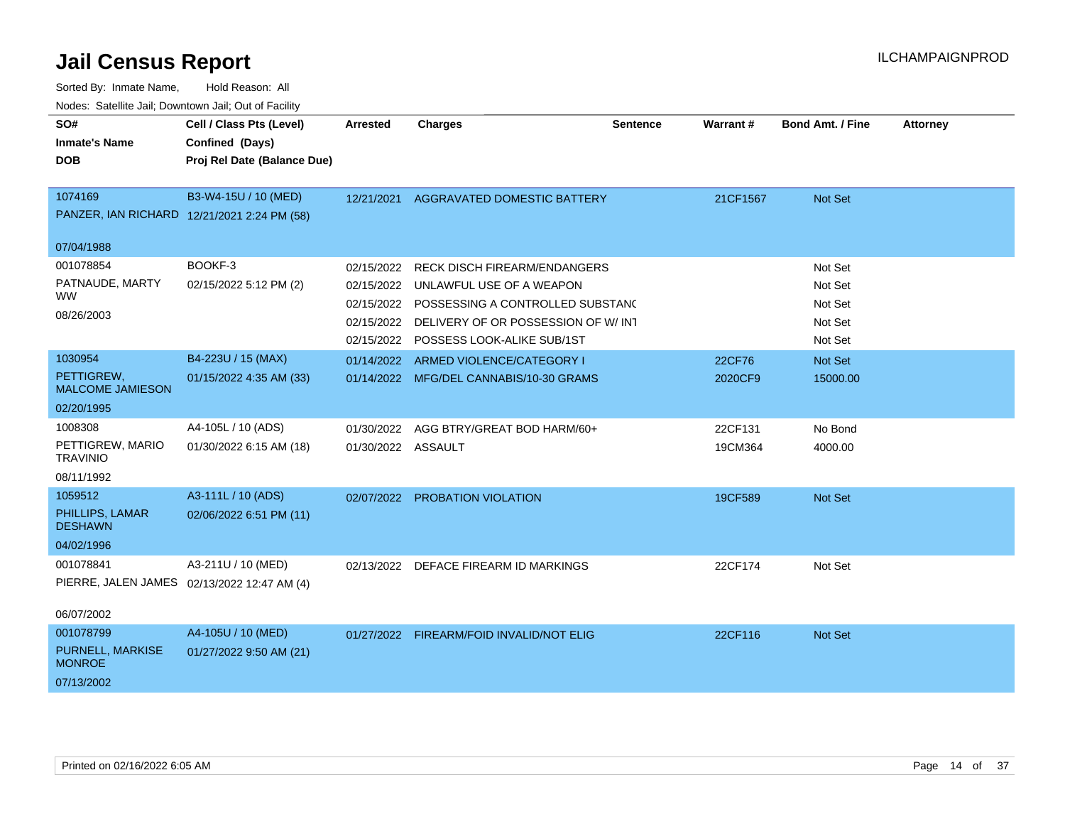| SO#<br><b>Inmate's Name</b><br><b>DOB</b> | Cell / Class Pts (Level)<br>Confined (Days)<br>Proj Rel Date (Balance Due) | <b>Arrested</b>    | <b>Charges</b>                              | <b>Sentence</b> | Warrant# | <b>Bond Amt. / Fine</b> | <b>Attorney</b> |
|-------------------------------------------|----------------------------------------------------------------------------|--------------------|---------------------------------------------|-----------------|----------|-------------------------|-----------------|
| 1074169                                   | B3-W4-15U / 10 (MED)                                                       | 12/21/2021         | AGGRAVATED DOMESTIC BATTERY                 |                 | 21CF1567 | <b>Not Set</b>          |                 |
|                                           | PANZER, IAN RICHARD 12/21/2021 2:24 PM (58)                                |                    |                                             |                 |          |                         |                 |
| 07/04/1988                                |                                                                            |                    |                                             |                 |          |                         |                 |
| 001078854                                 | BOOKF-3                                                                    | 02/15/2022         | <b>RECK DISCH FIREARM/ENDANGERS</b>         |                 |          | Not Set                 |                 |
| PATNAUDE, MARTY                           | 02/15/2022 5:12 PM (2)                                                     | 02/15/2022         | UNLAWFUL USE OF A WEAPON                    |                 |          | Not Set                 |                 |
| <b>WW</b>                                 |                                                                            |                    | 02/15/2022 POSSESSING A CONTROLLED SUBSTANC |                 |          | Not Set                 |                 |
| 08/26/2003                                |                                                                            | 02/15/2022         | DELIVERY OF OR POSSESSION OF W/INT          |                 |          | Not Set                 |                 |
|                                           |                                                                            |                    | 02/15/2022 POSSESS LOOK-ALIKE SUB/1ST       |                 |          | Not Set                 |                 |
| 1030954                                   | B4-223U / 15 (MAX)                                                         | 01/14/2022         | ARMED VIOLENCE/CATEGORY I                   |                 | 22CF76   | <b>Not Set</b>          |                 |
| PETTIGREW,<br><b>MALCOME JAMIESON</b>     | 01/15/2022 4:35 AM (33)                                                    |                    | 01/14/2022 MFG/DEL CANNABIS/10-30 GRAMS     |                 | 2020CF9  | 15000.00                |                 |
| 02/20/1995                                |                                                                            |                    |                                             |                 |          |                         |                 |
| 1008308                                   | A4-105L / 10 (ADS)                                                         | 01/30/2022         | AGG BTRY/GREAT BOD HARM/60+                 |                 | 22CF131  | No Bond                 |                 |
| PETTIGREW, MARIO<br><b>TRAVINIO</b>       | 01/30/2022 6:15 AM (18)                                                    | 01/30/2022 ASSAULT |                                             |                 | 19CM364  | 4000.00                 |                 |
| 08/11/1992                                |                                                                            |                    |                                             |                 |          |                         |                 |
| 1059512                                   | A3-111L / 10 (ADS)                                                         |                    | 02/07/2022 PROBATION VIOLATION              |                 | 19CF589  | <b>Not Set</b>          |                 |
| PHILLIPS, LAMAR<br><b>DESHAWN</b>         | 02/06/2022 6:51 PM (11)                                                    |                    |                                             |                 |          |                         |                 |
| 04/02/1996                                |                                                                            |                    |                                             |                 |          |                         |                 |
| 001078841                                 | A3-211U / 10 (MED)<br>PIERRE, JALEN JAMES 02/13/2022 12:47 AM (4)          |                    | 02/13/2022 DEFACE FIREARM ID MARKINGS       |                 | 22CF174  | Not Set                 |                 |
| 06/07/2002                                |                                                                            |                    |                                             |                 |          |                         |                 |
| 001078799                                 | A4-105U / 10 (MED)                                                         |                    | 01/27/2022 FIREARM/FOID INVALID/NOT ELIG    |                 | 22CF116  | Not Set                 |                 |
| <b>PURNELL, MARKISE</b><br><b>MONROE</b>  | 01/27/2022 9:50 AM (21)                                                    |                    |                                             |                 |          |                         |                 |
| 07/13/2002                                |                                                                            |                    |                                             |                 |          |                         |                 |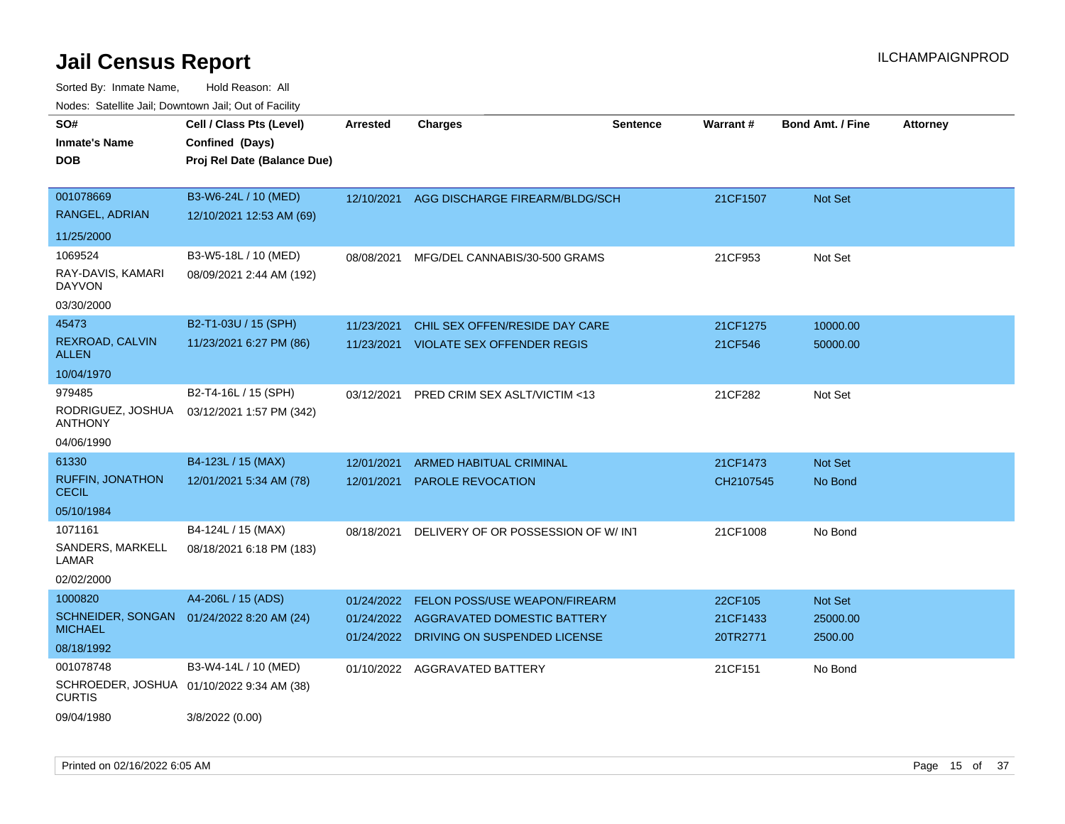| 10000. Catolino can, Domntonn can, Cat or I doint |                                                                            |                          |                                                             |                 |                      |                         |                 |
|---------------------------------------------------|----------------------------------------------------------------------------|--------------------------|-------------------------------------------------------------|-----------------|----------------------|-------------------------|-----------------|
| SO#<br>Inmate's Name<br>DOB                       | Cell / Class Pts (Level)<br>Confined (Days)<br>Proj Rel Date (Balance Due) | Arrested                 | <b>Charges</b>                                              | <b>Sentence</b> | <b>Warrant#</b>      | <b>Bond Amt. / Fine</b> | <b>Attorney</b> |
| 001078669<br>RANGEL, ADRIAN                       | B3-W6-24L / 10 (MED)<br>12/10/2021 12:53 AM (69)                           | 12/10/2021               | AGG DISCHARGE FIREARM/BLDG/SCH                              |                 | 21CF1507             | Not Set                 |                 |
| 11/25/2000                                        |                                                                            |                          |                                                             |                 |                      |                         |                 |
| 1069524<br>RAY-DAVIS, KAMARI<br>DAYVON            | B3-W5-18L / 10 (MED)<br>08/09/2021 2:44 AM (192)                           | 08/08/2021               | MFG/DEL CANNABIS/30-500 GRAMS                               |                 | 21CF953              | Not Set                 |                 |
| 03/30/2000                                        |                                                                            |                          |                                                             |                 |                      |                         |                 |
| 45473                                             | B2-T1-03U / 15 (SPH)                                                       | 11/23/2021               | CHIL SEX OFFEN/RESIDE DAY CARE                              |                 | 21CF1275             | 10000.00                |                 |
| REXROAD, CALVIN<br>ALLEN                          | 11/23/2021 6:27 PM (86)                                                    |                          | 11/23/2021 VIOLATE SEX OFFENDER REGIS                       |                 | 21CF546              | 50000.00                |                 |
| 10/04/1970                                        |                                                                            |                          |                                                             |                 |                      |                         |                 |
| 979485                                            | B2-T4-16L / 15 (SPH)                                                       | 03/12/2021               | PRED CRIM SEX ASLT/VICTIM <13                               |                 | 21CF282              | Not Set                 |                 |
| RODRIGUEZ, JOSHUA<br>ANTHONY                      | 03/12/2021 1:57 PM (342)                                                   |                          |                                                             |                 |                      |                         |                 |
| 04/06/1990                                        |                                                                            |                          |                                                             |                 |                      |                         |                 |
| 61330                                             | B4-123L / 15 (MAX)                                                         | 12/01/2021               | <b>ARMED HABITUAL CRIMINAL</b>                              |                 | 21CF1473             | <b>Not Set</b>          |                 |
| RUFFIN, JONATHON<br>CECIL                         | 12/01/2021 5:34 AM (78)                                                    | 12/01/2021               | <b>PAROLE REVOCATION</b>                                    |                 | CH2107545            | No Bond                 |                 |
| 05/10/1984                                        |                                                                            |                          |                                                             |                 |                      |                         |                 |
| 1071161                                           | B4-124L / 15 (MAX)                                                         | 08/18/2021               | DELIVERY OF OR POSSESSION OF W/INT                          |                 | 21CF1008             | No Bond                 |                 |
| SANDERS, MARKELL<br>LAMAR                         | 08/18/2021 6:18 PM (183)                                                   |                          |                                                             |                 |                      |                         |                 |
| 02/02/2000                                        |                                                                            |                          |                                                             |                 |                      |                         |                 |
| 1000820                                           | A4-206L / 15 (ADS)                                                         | 01/24/2022               | FELON POSS/USE WEAPON/FIREARM                               |                 | 22CF105              | <b>Not Set</b>          |                 |
| SCHNEIDER, SONGAN<br>MICHAEL                      | 01/24/2022 8:20 AM (24)                                                    | 01/24/2022<br>01/24/2022 | AGGRAVATED DOMESTIC BATTERY<br>DRIVING ON SUSPENDED LICENSE |                 | 21CF1433<br>20TR2771 | 25000.00<br>2500.00     |                 |
| 08/18/1992                                        |                                                                            |                          |                                                             |                 |                      |                         |                 |
| 001078748<br>CURTIS                               | B3-W4-14L / 10 (MED)<br>SCHROEDER, JOSHUA 01/10/2022 9:34 AM (38)          | 01/10/2022               | AGGRAVATED BATTERY                                          |                 | 21CF151              | No Bond                 |                 |
| 09/04/1980                                        | 3/8/2022 (0.00)                                                            |                          |                                                             |                 |                      |                         |                 |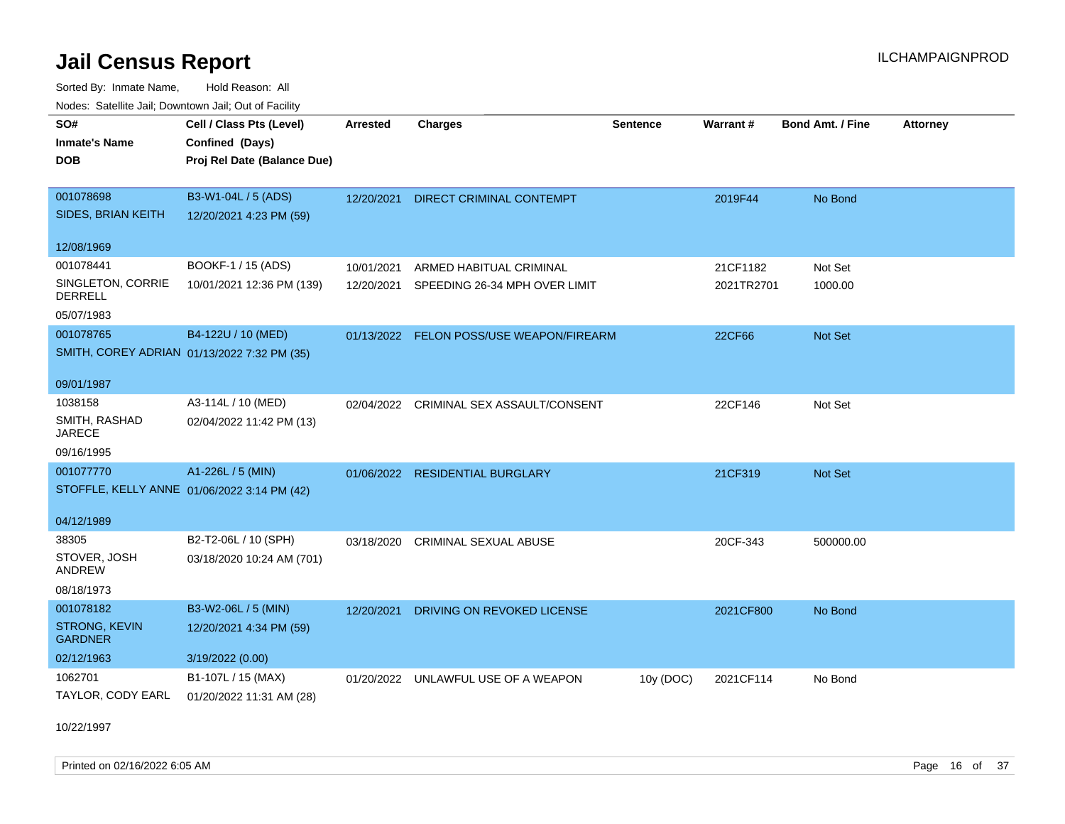Sorted By: Inmate Name, Hold Reason: All Nodes: Satellite Jail; Downtown Jail; Out of Facility

| <u>Houce.</u> Catoling bail, Downtown bail, Out of Fability |                             |                 |                                          |                 |            |                         |                 |
|-------------------------------------------------------------|-----------------------------|-----------------|------------------------------------------|-----------------|------------|-------------------------|-----------------|
| SO#                                                         | Cell / Class Pts (Level)    | <b>Arrested</b> | <b>Charges</b>                           | <b>Sentence</b> | Warrant#   | <b>Bond Amt. / Fine</b> | <b>Attorney</b> |
| <b>Inmate's Name</b>                                        | Confined (Days)             |                 |                                          |                 |            |                         |                 |
| <b>DOB</b>                                                  | Proj Rel Date (Balance Due) |                 |                                          |                 |            |                         |                 |
|                                                             |                             |                 |                                          |                 |            |                         |                 |
| 001078698                                                   | B3-W1-04L / 5 (ADS)         | 12/20/2021      | <b>DIRECT CRIMINAL CONTEMPT</b>          |                 | 2019F44    | No Bond                 |                 |
| SIDES, BRIAN KEITH                                          | 12/20/2021 4:23 PM (59)     |                 |                                          |                 |            |                         |                 |
| 12/08/1969                                                  |                             |                 |                                          |                 |            |                         |                 |
| 001078441                                                   | BOOKF-1 / 15 (ADS)          | 10/01/2021      | ARMED HABITUAL CRIMINAL                  |                 | 21CF1182   | Not Set                 |                 |
| SINGLETON, CORRIE<br><b>DERRELL</b>                         | 10/01/2021 12:36 PM (139)   | 12/20/2021      | SPEEDING 26-34 MPH OVER LIMIT            |                 | 2021TR2701 | 1000.00                 |                 |
| 05/07/1983                                                  |                             |                 |                                          |                 |            |                         |                 |
| 001078765                                                   | B4-122U / 10 (MED)          |                 | 01/13/2022 FELON POSS/USE WEAPON/FIREARM |                 | 22CF66     | Not Set                 |                 |
| SMITH, COREY ADRIAN 01/13/2022 7:32 PM (35)                 |                             |                 |                                          |                 |            |                         |                 |
| 09/01/1987                                                  |                             |                 |                                          |                 |            |                         |                 |
|                                                             |                             |                 |                                          |                 |            |                         |                 |
| 1038158                                                     | A3-114L / 10 (MED)          |                 | 02/04/2022 CRIMINAL SEX ASSAULT/CONSENT  |                 | 22CF146    | Not Set                 |                 |
| SMITH, RASHAD<br><b>JARECE</b>                              | 02/04/2022 11:42 PM (13)    |                 |                                          |                 |            |                         |                 |
| 09/16/1995                                                  |                             |                 |                                          |                 |            |                         |                 |
| 001077770                                                   | A1-226L / 5 (MIN)           |                 | 01/06/2022 RESIDENTIAL BURGLARY          |                 | 21CF319    | <b>Not Set</b>          |                 |
| STOFFLE, KELLY ANNE 01/06/2022 3:14 PM (42)                 |                             |                 |                                          |                 |            |                         |                 |
|                                                             |                             |                 |                                          |                 |            |                         |                 |
| 04/12/1989                                                  |                             |                 |                                          |                 |            |                         |                 |
| 38305                                                       | B2-T2-06L / 10 (SPH)        | 03/18/2020      | <b>CRIMINAL SEXUAL ABUSE</b>             |                 | 20CF-343   | 500000.00               |                 |
| STOVER, JOSH<br>ANDREW                                      | 03/18/2020 10:24 AM (701)   |                 |                                          |                 |            |                         |                 |
| 08/18/1973                                                  |                             |                 |                                          |                 |            |                         |                 |
| 001078182                                                   | B3-W2-06L / 5 (MIN)         | 12/20/2021      | DRIVING ON REVOKED LICENSE               |                 | 2021CF800  | No Bond                 |                 |
| <b>STRONG, KEVIN</b><br><b>GARDNER</b>                      | 12/20/2021 4:34 PM (59)     |                 |                                          |                 |            |                         |                 |
| 02/12/1963                                                  | 3/19/2022 (0.00)            |                 |                                          |                 |            |                         |                 |
| 1062701                                                     | B1-107L / 15 (MAX)          | 01/20/2022      | UNLAWFUL USE OF A WEAPON                 | 10y (DOC)       | 2021CF114  | No Bond                 |                 |
| TAYLOR, CODY EARL                                           | 01/20/2022 11:31 AM (28)    |                 |                                          |                 |            |                         |                 |

10/22/1997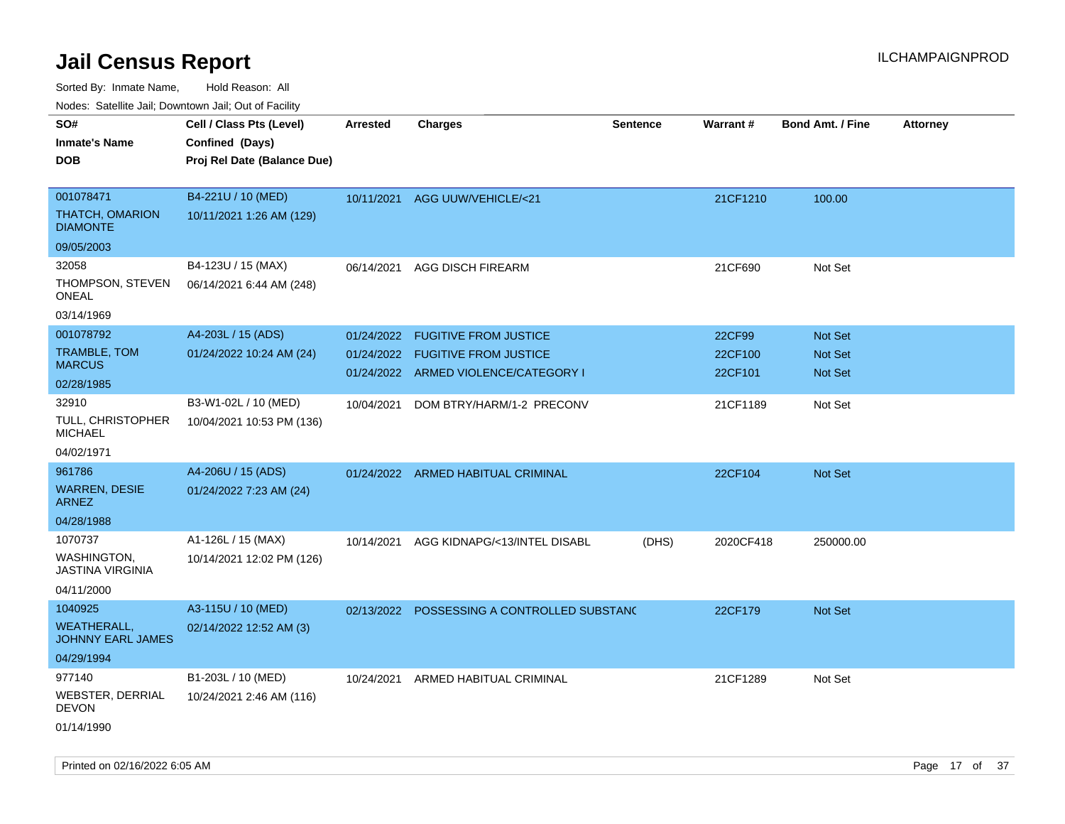Sorted By: Inmate Name, Hold Reason: All

Nodes: Satellite Jail; Downtown Jail; Out of Facility

| ivoues. Salellite Jali, Downtown Jali, Out of Facility |                             |            |                                             |                 |           |                         |                 |
|--------------------------------------------------------|-----------------------------|------------|---------------------------------------------|-----------------|-----------|-------------------------|-----------------|
| SO#                                                    | Cell / Class Pts (Level)    | Arrested   | <b>Charges</b>                              | <b>Sentence</b> | Warrant#  | <b>Bond Amt. / Fine</b> | <b>Attorney</b> |
| <b>Inmate's Name</b>                                   | Confined (Days)             |            |                                             |                 |           |                         |                 |
| <b>DOB</b>                                             | Proj Rel Date (Balance Due) |            |                                             |                 |           |                         |                 |
|                                                        |                             |            |                                             |                 |           |                         |                 |
| 001078471                                              | B4-221U / 10 (MED)          |            | 10/11/2021 AGG UUW/VEHICLE/<21              |                 | 21CF1210  | 100.00                  |                 |
| <b>THATCH, OMARION</b><br><b>DIAMONTE</b>              | 10/11/2021 1:26 AM (129)    |            |                                             |                 |           |                         |                 |
| 09/05/2003                                             |                             |            |                                             |                 |           |                         |                 |
| 32058                                                  | B4-123U / 15 (MAX)          | 06/14/2021 | <b>AGG DISCH FIREARM</b>                    |                 | 21CF690   | Not Set                 |                 |
| THOMPSON, STEVEN<br>ONEAL                              | 06/14/2021 6:44 AM (248)    |            |                                             |                 |           |                         |                 |
| 03/14/1969                                             |                             |            |                                             |                 |           |                         |                 |
| 001078792                                              | A4-203L / 15 (ADS)          | 01/24/2022 | <b>FUGITIVE FROM JUSTICE</b>                |                 | 22CF99    | Not Set                 |                 |
| TRAMBLE, TOM                                           | 01/24/2022 10:24 AM (24)    |            | 01/24/2022 FUGITIVE FROM JUSTICE            |                 | 22CF100   | Not Set                 |                 |
| <b>MARCUS</b>                                          |                             |            | 01/24/2022 ARMED VIOLENCE/CATEGORY I        |                 | 22CF101   | <b>Not Set</b>          |                 |
| 02/28/1985                                             |                             |            |                                             |                 |           |                         |                 |
| 32910                                                  | B3-W1-02L / 10 (MED)        | 10/04/2021 | DOM BTRY/HARM/1-2 PRECONV                   |                 | 21CF1189  | Not Set                 |                 |
| TULL, CHRISTOPHER<br><b>MICHAEL</b>                    | 10/04/2021 10:53 PM (136)   |            |                                             |                 |           |                         |                 |
| 04/02/1971                                             |                             |            |                                             |                 |           |                         |                 |
| 961786                                                 | A4-206U / 15 (ADS)          |            | 01/24/2022 ARMED HABITUAL CRIMINAL          |                 | 22CF104   | <b>Not Set</b>          |                 |
| <b>WARREN, DESIE</b><br><b>ARNEZ</b>                   | 01/24/2022 7:23 AM (24)     |            |                                             |                 |           |                         |                 |
| 04/28/1988                                             |                             |            |                                             |                 |           |                         |                 |
| 1070737                                                | A1-126L / 15 (MAX)          | 10/14/2021 | AGG KIDNAPG/<13/INTEL DISABL                | (DHS)           | 2020CF418 | 250000.00               |                 |
| WASHINGTON,<br><b>JASTINA VIRGINIA</b>                 | 10/14/2021 12:02 PM (126)   |            |                                             |                 |           |                         |                 |
| 04/11/2000                                             |                             |            |                                             |                 |           |                         |                 |
| 1040925                                                | A3-115U / 10 (MED)          |            | 02/13/2022 POSSESSING A CONTROLLED SUBSTANC |                 | 22CF179   | Not Set                 |                 |
| <b>WEATHERALL,</b><br><b>JOHNNY EARL JAMES</b>         | 02/14/2022 12:52 AM (3)     |            |                                             |                 |           |                         |                 |
| 04/29/1994                                             |                             |            |                                             |                 |           |                         |                 |
| 977140                                                 | B1-203L / 10 (MED)          | 10/24/2021 | ARMED HABITUAL CRIMINAL                     |                 | 21CF1289  | Not Set                 |                 |
| WEBSTER, DERRIAL<br><b>DEVON</b>                       | 10/24/2021 2:46 AM (116)    |            |                                             |                 |           |                         |                 |
| 01/14/1990                                             |                             |            |                                             |                 |           |                         |                 |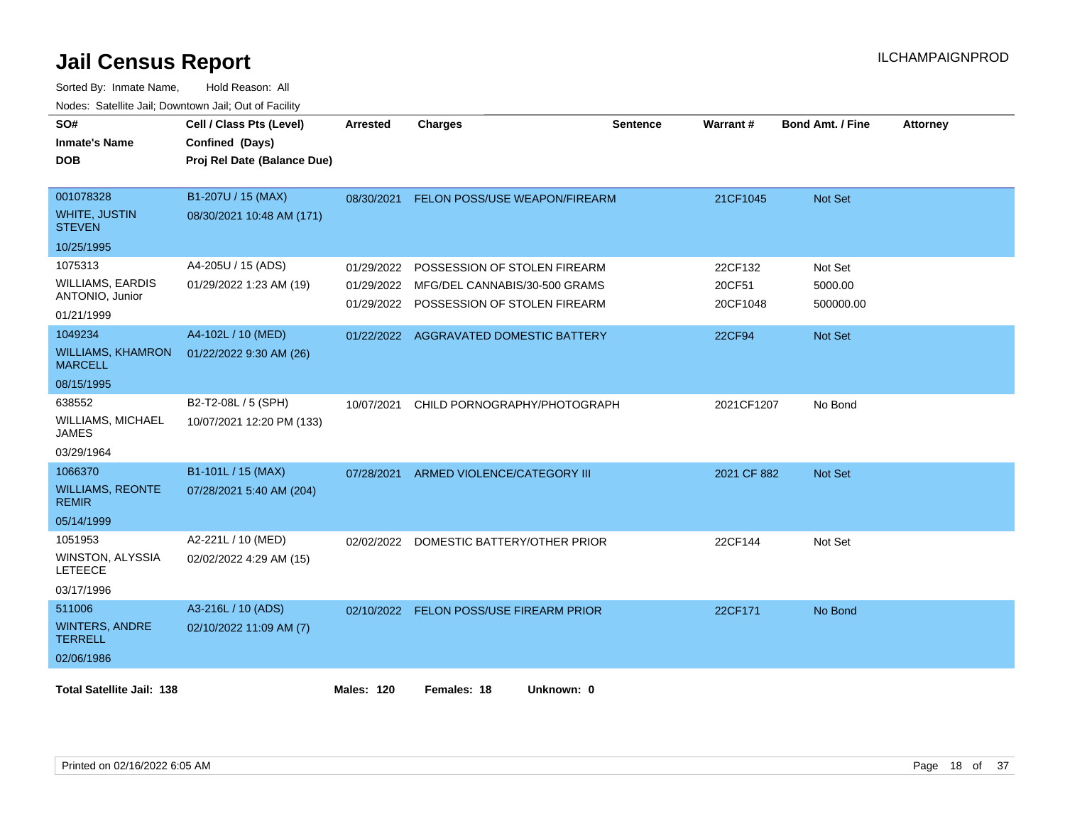| SO#<br><b>Inmate's Name</b><br><b>DOB</b>                           | Cell / Class Pts (Level)<br>Confined (Days)<br>Proj Rel Date (Balance Due) | <b>Arrested</b>          | <b>Charges</b>                                                                                           | <b>Sentence</b> | Warrant#                      | <b>Bond Amt. / Fine</b>         | <b>Attorney</b> |
|---------------------------------------------------------------------|----------------------------------------------------------------------------|--------------------------|----------------------------------------------------------------------------------------------------------|-----------------|-------------------------------|---------------------------------|-----------------|
| 001078328<br><b>WHITE, JUSTIN</b><br><b>STEVEN</b>                  | B1-207U / 15 (MAX)<br>08/30/2021 10:48 AM (171)                            | 08/30/2021               | <b>FELON POSS/USE WEAPON/FIREARM</b>                                                                     |                 | 21CF1045                      | Not Set                         |                 |
| 10/25/1995                                                          |                                                                            |                          |                                                                                                          |                 |                               |                                 |                 |
| 1075313<br><b>WILLIAMS, EARDIS</b><br>ANTONIO, Junior<br>01/21/1999 | A4-205U / 15 (ADS)<br>01/29/2022 1:23 AM (19)                              | 01/29/2022<br>01/29/2022 | POSSESSION OF STOLEN FIREARM<br>MFG/DEL CANNABIS/30-500 GRAMS<br>01/29/2022 POSSESSION OF STOLEN FIREARM |                 | 22CF132<br>20CF51<br>20CF1048 | Not Set<br>5000.00<br>500000.00 |                 |
| 1049234<br><b>WILLIAMS, KHAMRON</b>                                 | A4-102L / 10 (MED)<br>01/22/2022 9:30 AM (26)                              |                          | 01/22/2022 AGGRAVATED DOMESTIC BATTERY                                                                   |                 | <b>22CF94</b>                 | Not Set                         |                 |
| <b>MARCELL</b><br>08/15/1995                                        |                                                                            |                          |                                                                                                          |                 |                               |                                 |                 |
| 638552<br><b>WILLIAMS, MICHAEL</b><br><b>JAMES</b>                  | B2-T2-08L / 5 (SPH)<br>10/07/2021 12:20 PM (133)                           | 10/07/2021               | CHILD PORNOGRAPHY/PHOTOGRAPH                                                                             |                 | 2021CF1207                    | No Bond                         |                 |
| 03/29/1964                                                          |                                                                            |                          |                                                                                                          |                 |                               |                                 |                 |
| 1066370<br><b>WILLIAMS, REONTE</b><br><b>REMIR</b>                  | B1-101L / 15 (MAX)<br>07/28/2021 5:40 AM (204)                             | 07/28/2021               | ARMED VIOLENCE/CATEGORY III                                                                              |                 | 2021 CF 882                   | Not Set                         |                 |
| 05/14/1999                                                          |                                                                            |                          |                                                                                                          |                 |                               |                                 |                 |
| 1051953<br>WINSTON, ALYSSIA<br><b>LETEECE</b>                       | A2-221L / 10 (MED)<br>02/02/2022 4:29 AM (15)                              | 02/02/2022               | DOMESTIC BATTERY/OTHER PRIOR                                                                             |                 | 22CF144                       | Not Set                         |                 |
| 03/17/1996                                                          |                                                                            |                          |                                                                                                          |                 |                               |                                 |                 |
| 511006<br><b>WINTERS, ANDRE</b><br><b>TERRELL</b>                   | A3-216L / 10 (ADS)<br>02/10/2022 11:09 AM (7)                              |                          | 02/10/2022 FELON POSS/USE FIREARM PRIOR                                                                  |                 | 22CF171                       | No Bond                         |                 |
| 02/06/1986                                                          |                                                                            |                          |                                                                                                          |                 |                               |                                 |                 |
| <b>Total Satellite Jail: 138</b>                                    |                                                                            | Males: 120               | Females: 18<br>Unknown: 0                                                                                |                 |                               |                                 |                 |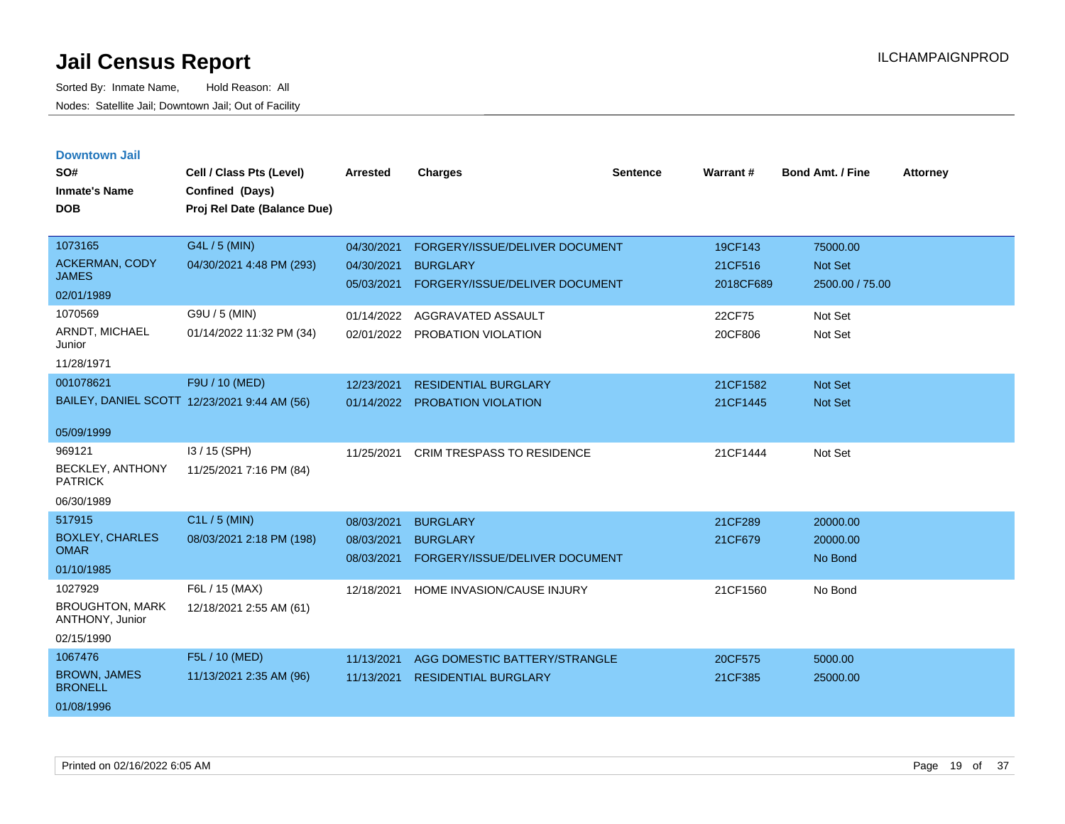| <b>Downtown Jail</b> |  |
|----------------------|--|
|                      |  |
|                      |  |

| SO#<br><b>Inmate's Name</b><br><b>DOB</b> | Cell / Class Pts (Level)<br>Confined (Days)<br>Proj Rel Date (Balance Due) | <b>Arrested</b> | <b>Charges</b>                    | <b>Sentence</b> | <b>Warrant#</b> | <b>Bond Amt. / Fine</b> | <b>Attorney</b> |
|-------------------------------------------|----------------------------------------------------------------------------|-----------------|-----------------------------------|-----------------|-----------------|-------------------------|-----------------|
| 1073165                                   | G4L / 5 (MIN)                                                              | 04/30/2021      | FORGERY/ISSUE/DELIVER DOCUMENT    |                 | 19CF143         | 75000.00                |                 |
| <b>ACKERMAN, CODY</b><br><b>JAMES</b>     | 04/30/2021 4:48 PM (293)                                                   | 04/30/2021      | <b>BURGLARY</b>                   |                 | 21CF516         | <b>Not Set</b>          |                 |
| 02/01/1989                                |                                                                            | 05/03/2021      | FORGERY/ISSUE/DELIVER DOCUMENT    |                 | 2018CF689       | 2500.00 / 75.00         |                 |
| 1070569                                   | G9U / 5 (MIN)                                                              | 01/14/2022      | AGGRAVATED ASSAULT                |                 | 22CF75          | Not Set                 |                 |
| ARNDT, MICHAEL<br>Junior                  | 01/14/2022 11:32 PM (34)                                                   | 02/01/2022      | PROBATION VIOLATION               |                 | 20CF806         | Not Set                 |                 |
| 11/28/1971                                |                                                                            |                 |                                   |                 |                 |                         |                 |
| 001078621                                 | F9U / 10 (MED)                                                             | 12/23/2021      | <b>RESIDENTIAL BURGLARY</b>       |                 | 21CF1582        | Not Set                 |                 |
|                                           | BAILEY, DANIEL SCOTT 12/23/2021 9:44 AM (56)                               | 01/14/2022      | <b>PROBATION VIOLATION</b>        |                 | 21CF1445        | Not Set                 |                 |
| 05/09/1999                                |                                                                            |                 |                                   |                 |                 |                         |                 |
| 969121                                    | I3 / 15 (SPH)                                                              | 11/25/2021      | <b>CRIM TRESPASS TO RESIDENCE</b> |                 | 21CF1444        | Not Set                 |                 |
| BECKLEY, ANTHONY<br><b>PATRICK</b>        | 11/25/2021 7:16 PM (84)                                                    |                 |                                   |                 |                 |                         |                 |
| 06/30/1989                                |                                                                            |                 |                                   |                 |                 |                         |                 |
| 517915                                    | C1L / 5 (MIN)                                                              | 08/03/2021      | <b>BURGLARY</b>                   |                 | 21CF289         | 20000.00                |                 |
| <b>BOXLEY, CHARLES</b><br><b>OMAR</b>     | 08/03/2021 2:18 PM (198)                                                   | 08/03/2021      | <b>BURGLARY</b>                   |                 | 21CF679         | 20000.00                |                 |
| 01/10/1985                                |                                                                            | 08/03/2021      | FORGERY/ISSUE/DELIVER DOCUMENT    |                 |                 | No Bond                 |                 |
| 1027929                                   | F6L / 15 (MAX)                                                             | 12/18/2021      | HOME INVASION/CAUSE INJURY        |                 | 21CF1560        | No Bond                 |                 |
| <b>BROUGHTON, MARK</b><br>ANTHONY, Junior | 12/18/2021 2:55 AM (61)                                                    |                 |                                   |                 |                 |                         |                 |
| 02/15/1990                                |                                                                            |                 |                                   |                 |                 |                         |                 |
| 1067476                                   | F5L / 10 (MED)                                                             | 11/13/2021      | AGG DOMESTIC BATTERY/STRANGLE     |                 | 20CF575         | 5000.00                 |                 |
| <b>BROWN, JAMES</b><br><b>BRONELL</b>     | 11/13/2021 2:35 AM (96)                                                    | 11/13/2021      | <b>RESIDENTIAL BURGLARY</b>       |                 | 21CF385         | 25000.00                |                 |
| 01/08/1996                                |                                                                            |                 |                                   |                 |                 |                         |                 |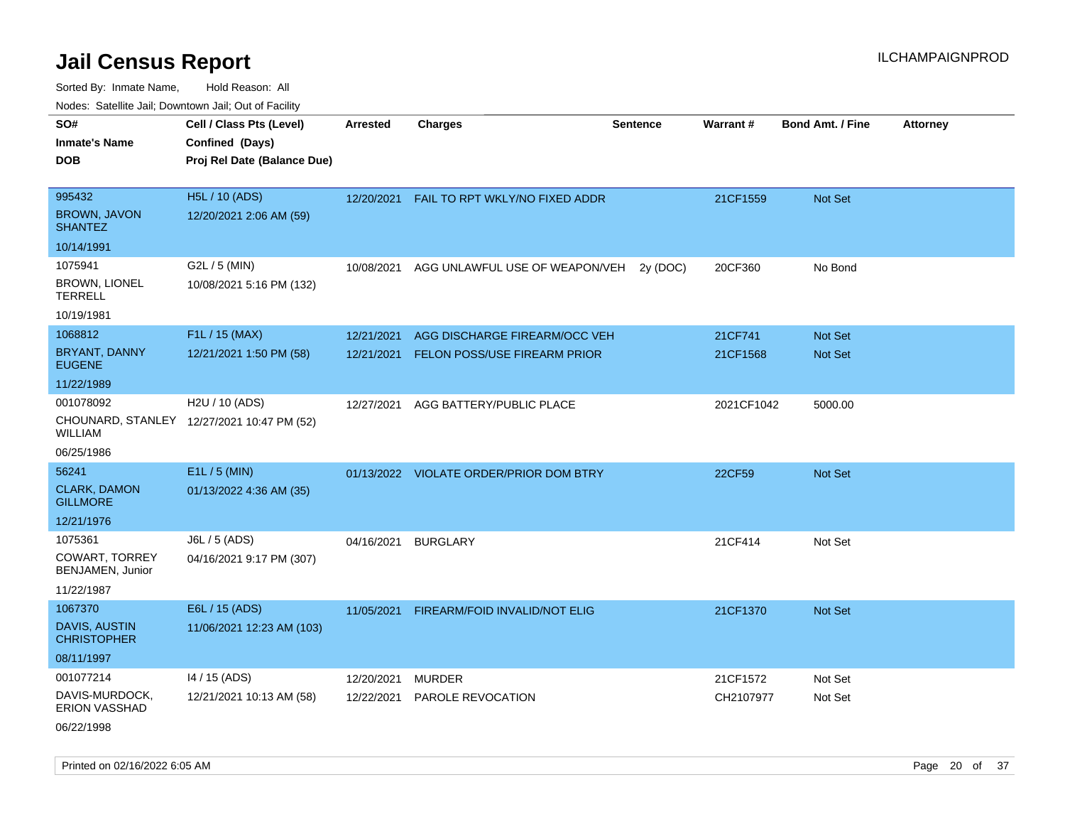| SO#                                        | Cell / Class Pts (Level)                   | <b>Arrested</b> | <b>Charges</b>                          | <b>Sentence</b> | Warrant#   | <b>Bond Amt. / Fine</b> | <b>Attorney</b> |
|--------------------------------------------|--------------------------------------------|-----------------|-----------------------------------------|-----------------|------------|-------------------------|-----------------|
| <b>Inmate's Name</b>                       | Confined (Days)                            |                 |                                         |                 |            |                         |                 |
| <b>DOB</b>                                 | Proj Rel Date (Balance Due)                |                 |                                         |                 |            |                         |                 |
|                                            |                                            |                 |                                         |                 |            |                         |                 |
| 995432                                     | H5L / 10 (ADS)                             | 12/20/2021      | FAIL TO RPT WKLY/NO FIXED ADDR          |                 | 21CF1559   | Not Set                 |                 |
| <b>BROWN, JAVON</b><br><b>SHANTEZ</b>      | 12/20/2021 2:06 AM (59)                    |                 |                                         |                 |            |                         |                 |
| 10/14/1991                                 |                                            |                 |                                         |                 |            |                         |                 |
| 1075941                                    | G2L / 5 (MIN)                              | 10/08/2021      | AGG UNLAWFUL USE OF WEAPON/VEH          | 2y (DOC)        | 20CF360    | No Bond                 |                 |
| <b>BROWN, LIONEL</b><br><b>TERRELL</b>     | 10/08/2021 5:16 PM (132)                   |                 |                                         |                 |            |                         |                 |
| 10/19/1981                                 |                                            |                 |                                         |                 |            |                         |                 |
| 1068812                                    | F1L / 15 (MAX)                             | 12/21/2021      | AGG DISCHARGE FIREARM/OCC VEH           |                 | 21CF741    | Not Set                 |                 |
| <b>BRYANT, DANNY</b><br><b>EUGENE</b>      | 12/21/2021 1:50 PM (58)                    | 12/21/2021      | FELON POSS/USE FIREARM PRIOR            |                 | 21CF1568   | Not Set                 |                 |
| 11/22/1989                                 |                                            |                 |                                         |                 |            |                         |                 |
| 001078092                                  | H2U / 10 (ADS)                             | 12/27/2021      | AGG BATTERY/PUBLIC PLACE                |                 | 2021CF1042 | 5000.00                 |                 |
| WILLIAM                                    | CHOUNARD, STANLEY 12/27/2021 10:47 PM (52) |                 |                                         |                 |            |                         |                 |
| 06/25/1986                                 |                                            |                 |                                         |                 |            |                         |                 |
| 56241                                      | $E1L / 5$ (MIN)                            |                 | 01/13/2022 VIOLATE ORDER/PRIOR DOM BTRY |                 | 22CF59     | Not Set                 |                 |
| <b>CLARK, DAMON</b><br><b>GILLMORE</b>     | 01/13/2022 4:36 AM (35)                    |                 |                                         |                 |            |                         |                 |
| 12/21/1976                                 |                                            |                 |                                         |                 |            |                         |                 |
| 1075361                                    | J6L / 5 (ADS)                              | 04/16/2021      | <b>BURGLARY</b>                         |                 | 21CF414    | Not Set                 |                 |
| <b>COWART, TORREY</b><br>BENJAMEN, Junior  | 04/16/2021 9:17 PM (307)                   |                 |                                         |                 |            |                         |                 |
| 11/22/1987                                 |                                            |                 |                                         |                 |            |                         |                 |
| 1067370                                    | E6L / 15 (ADS)                             | 11/05/2021      | FIREARM/FOID INVALID/NOT ELIG           |                 | 21CF1370   | Not Set                 |                 |
| <b>DAVIS, AUSTIN</b><br><b>CHRISTOPHER</b> | 11/06/2021 12:23 AM (103)                  |                 |                                         |                 |            |                         |                 |
| 08/11/1997                                 |                                            |                 |                                         |                 |            |                         |                 |
| 001077214                                  | 14 / 15 (ADS)                              | 12/20/2021      | MURDER                                  |                 | 21CF1572   | Not Set                 |                 |
| DAVIS-MURDOCK,<br><b>ERION VASSHAD</b>     | 12/21/2021 10:13 AM (58)                   | 12/22/2021      | <b>PAROLE REVOCATION</b>                |                 | CH2107977  | Not Set                 |                 |
| 06/22/1998                                 |                                            |                 |                                         |                 |            |                         |                 |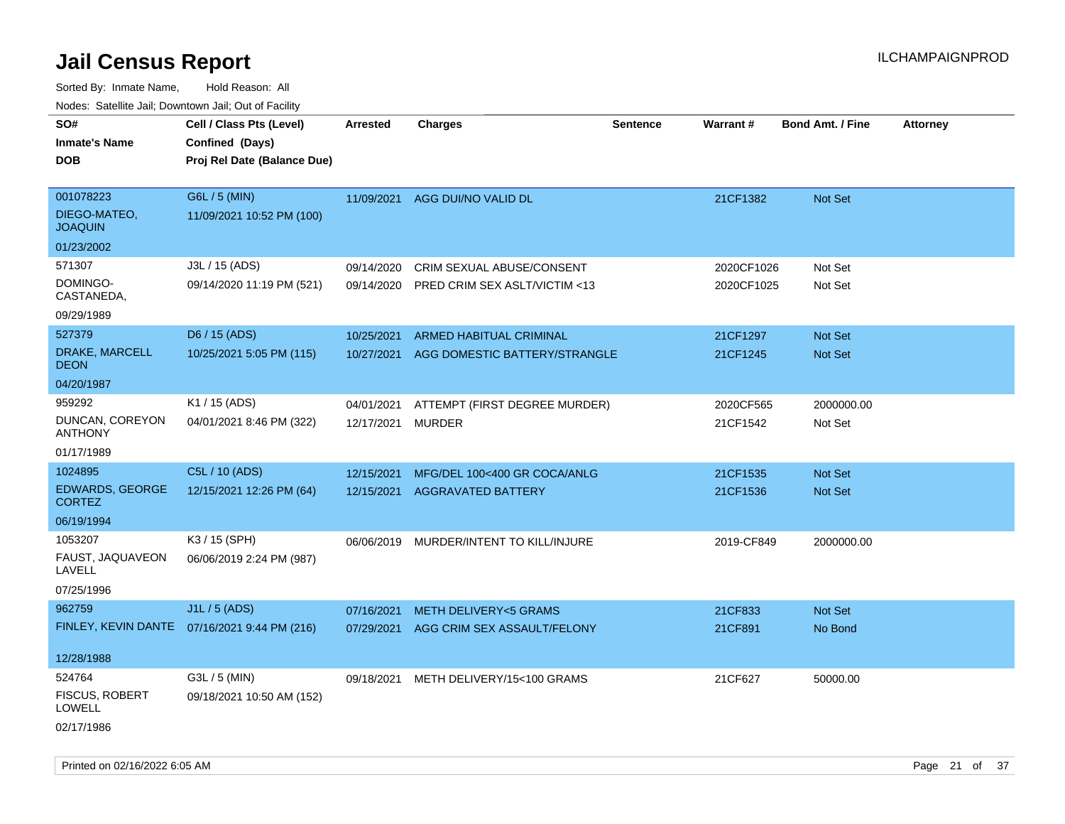| SO#<br><b>Inmate's Name</b><br><b>DOB</b>   | Cell / Class Pts (Level)<br>Confined (Days)<br>Proj Rel Date (Balance Due) | Arrested          | <b>Charges</b>                          | <b>Sentence</b> | Warrant#   | <b>Bond Amt. / Fine</b> | <b>Attorney</b> |
|---------------------------------------------|----------------------------------------------------------------------------|-------------------|-----------------------------------------|-----------------|------------|-------------------------|-----------------|
| 001078223<br>DIEGO-MATEO.<br><b>JOAQUIN</b> | G6L / 5 (MIN)<br>11/09/2021 10:52 PM (100)                                 | 11/09/2021        | AGG DUI/NO VALID DL                     |                 | 21CF1382   | Not Set                 |                 |
| 01/23/2002                                  |                                                                            |                   |                                         |                 |            |                         |                 |
| 571307                                      | J3L / 15 (ADS)                                                             | 09/14/2020        | CRIM SEXUAL ABUSE/CONSENT               |                 | 2020CF1026 | Not Set                 |                 |
| DOMINGO-<br>CASTANEDA,                      | 09/14/2020 11:19 PM (521)                                                  | 09/14/2020        | PRED CRIM SEX ASLT/VICTIM <13           |                 | 2020CF1025 | Not Set                 |                 |
| 09/29/1989                                  |                                                                            |                   |                                         |                 |            |                         |                 |
| 527379                                      | D6 / 15 (ADS)                                                              | 10/25/2021        | ARMED HABITUAL CRIMINAL                 |                 | 21CF1297   | Not Set                 |                 |
| DRAKE, MARCELL<br><b>DEON</b>               | 10/25/2021 5:05 PM (115)                                                   | 10/27/2021        | AGG DOMESTIC BATTERY/STRANGLE           |                 | 21CF1245   | Not Set                 |                 |
| 04/20/1987                                  |                                                                            |                   |                                         |                 |            |                         |                 |
| 959292                                      | K1 / 15 (ADS)                                                              | 04/01/2021        | ATTEMPT (FIRST DEGREE MURDER)           |                 | 2020CF565  | 2000000.00              |                 |
| DUNCAN, COREYON<br><b>ANTHONY</b>           | 04/01/2021 8:46 PM (322)                                                   | 12/17/2021 MURDER |                                         |                 | 21CF1542   | Not Set                 |                 |
| 01/17/1989                                  |                                                                            |                   |                                         |                 |            |                         |                 |
| 1024895                                     | C5L / 10 (ADS)                                                             | 12/15/2021        | MFG/DEL 100<400 GR COCA/ANLG            |                 | 21CF1535   | Not Set                 |                 |
| <b>EDWARDS, GEORGE</b><br><b>CORTEZ</b>     | 12/15/2021 12:26 PM (64)                                                   | 12/15/2021        | <b>AGGRAVATED BATTERY</b>               |                 | 21CF1536   | <b>Not Set</b>          |                 |
| 06/19/1994                                  |                                                                            |                   |                                         |                 |            |                         |                 |
| 1053207                                     | K3 / 15 (SPH)                                                              |                   | 06/06/2019 MURDER/INTENT TO KILL/INJURE |                 | 2019-CF849 | 2000000.00              |                 |
| FAUST, JAQUAVEON<br>LAVELL                  | 06/06/2019 2:24 PM (987)                                                   |                   |                                         |                 |            |                         |                 |
| 07/25/1996                                  |                                                                            |                   |                                         |                 |            |                         |                 |
| 962759                                      | J1L / 5 (ADS)                                                              | 07/16/2021        | <b>METH DELIVERY&lt;5 GRAMS</b>         |                 | 21CF833    | Not Set                 |                 |
|                                             | FINLEY, KEVIN DANTE 07/16/2021 9:44 PM (216)                               | 07/29/2021        | AGG CRIM SEX ASSAULT/FELONY             |                 | 21CF891    | No Bond                 |                 |
| 12/28/1988                                  |                                                                            |                   |                                         |                 |            |                         |                 |
| 524764                                      | G3L / 5 (MIN)                                                              | 09/18/2021        | METH DELIVERY/15<100 GRAMS              |                 | 21CF627    | 50000.00                |                 |
| <b>FISCUS, ROBERT</b><br>LOWELL             | 09/18/2021 10:50 AM (152)                                                  |                   |                                         |                 |            |                         |                 |
| 02/17/1986                                  |                                                                            |                   |                                         |                 |            |                         |                 |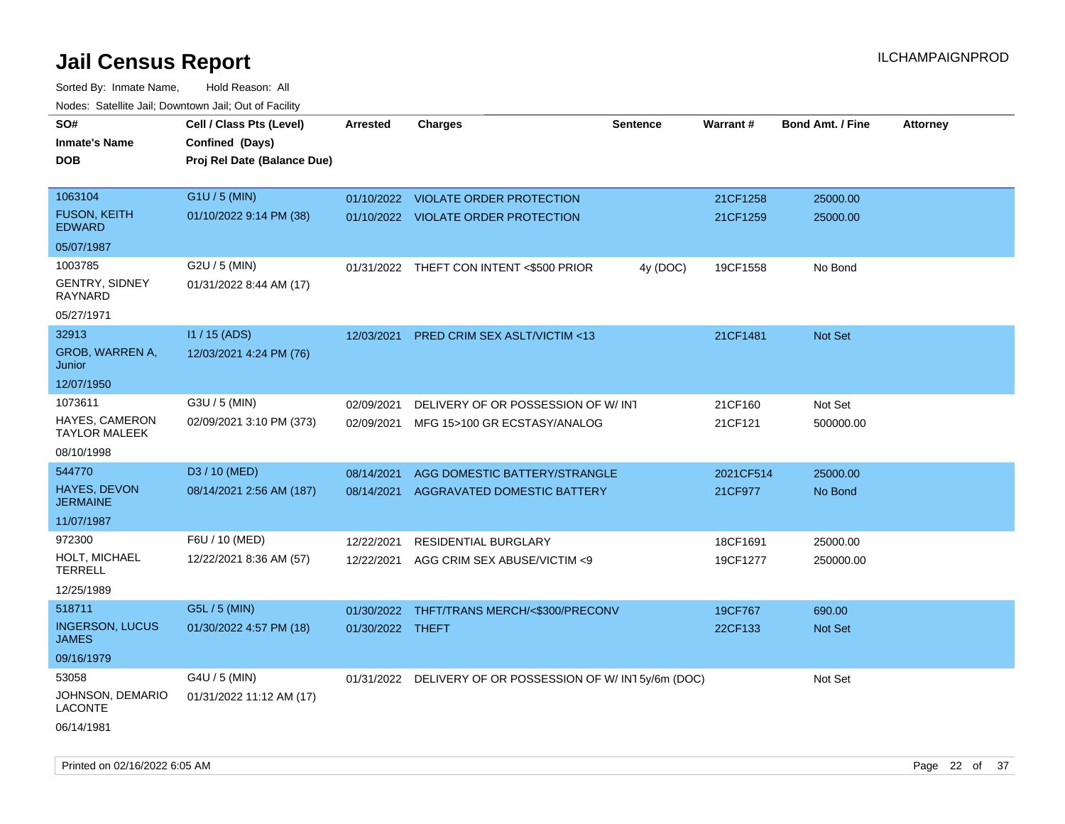| 10000. Catolino can, Domntonn can, Oat or I domt<br>SO# | Cell / Class Pts (Level)    | <b>Arrested</b>  | <b>Charges</b>                                           | <b>Sentence</b> | Warrant#  | <b>Bond Amt. / Fine</b> | <b>Attorney</b> |
|---------------------------------------------------------|-----------------------------|------------------|----------------------------------------------------------|-----------------|-----------|-------------------------|-----------------|
| Inmate's Name                                           | Confined (Days)             |                  |                                                          |                 |           |                         |                 |
| DOB                                                     | Proj Rel Date (Balance Due) |                  |                                                          |                 |           |                         |                 |
|                                                         |                             |                  |                                                          |                 |           |                         |                 |
| 1063104                                                 | G1U / 5 (MIN)               |                  | 01/10/2022 VIOLATE ORDER PROTECTION                      |                 | 21CF1258  | 25000.00                |                 |
| <b>FUSON, KEITH</b><br>EDWARD                           | 01/10/2022 9:14 PM (38)     |                  | 01/10/2022 VIOLATE ORDER PROTECTION                      |                 | 21CF1259  | 25000.00                |                 |
| 05/07/1987                                              |                             |                  |                                                          |                 |           |                         |                 |
| 1003785                                                 | G2U / 5 (MIN)               |                  | 01/31/2022 THEFT CON INTENT <\$500 PRIOR                 | 4y (DOC)        | 19CF1558  | No Bond                 |                 |
| GENTRY, SIDNEY<br>RAYNARD                               | 01/31/2022 8:44 AM (17)     |                  |                                                          |                 |           |                         |                 |
| 05/27/1971                                              |                             |                  |                                                          |                 |           |                         |                 |
| 32913                                                   | $11/15$ (ADS)               | 12/03/2021       | PRED CRIM SEX ASLT/VICTIM <13                            |                 | 21CF1481  | Not Set                 |                 |
| GROB, WARREN A,<br>Junior                               | 12/03/2021 4:24 PM (76)     |                  |                                                          |                 |           |                         |                 |
| 12/07/1950                                              |                             |                  |                                                          |                 |           |                         |                 |
| 1073611                                                 | G3U / 5 (MIN)               | 02/09/2021       | DELIVERY OF OR POSSESSION OF W/INT                       |                 | 21CF160   | Not Set                 |                 |
| HAYES, CAMERON<br>TAYLOR MALEEK                         | 02/09/2021 3:10 PM (373)    | 02/09/2021       | MFG 15>100 GR ECSTASY/ANALOG                             |                 | 21CF121   | 500000.00               |                 |
| 08/10/1998                                              |                             |                  |                                                          |                 |           |                         |                 |
| 544770                                                  | D3 / 10 (MED)               | 08/14/2021       | AGG DOMESTIC BATTERY/STRANGLE                            |                 | 2021CF514 | 25000.00                |                 |
| <b>HAYES, DEVON</b><br>JERMAINE                         | 08/14/2021 2:56 AM (187)    | 08/14/2021       | AGGRAVATED DOMESTIC BATTERY                              |                 | 21CF977   | No Bond                 |                 |
| 11/07/1987                                              |                             |                  |                                                          |                 |           |                         |                 |
| 972300                                                  | F6U / 10 (MED)              | 12/22/2021       | <b>RESIDENTIAL BURGLARY</b>                              |                 | 18CF1691  | 25000.00                |                 |
| HOLT, MICHAEL<br>TERRELL                                | 12/22/2021 8:36 AM (57)     | 12/22/2021       | AGG CRIM SEX ABUSE/VICTIM <9                             |                 | 19CF1277  | 250000.00               |                 |
| 12/25/1989                                              |                             |                  |                                                          |                 |           |                         |                 |
| 518711                                                  | G5L / 5 (MIN)               | 01/30/2022       | THFT/TRANS MERCH/<\$300/PRECONV                          |                 | 19CF767   | 690.00                  |                 |
| <b>INGERSON, LUCUS</b><br>JAMES                         | 01/30/2022 4:57 PM (18)     | 01/30/2022 THEFT |                                                          |                 | 22CF133   | <b>Not Set</b>          |                 |
| 09/16/1979                                              |                             |                  |                                                          |                 |           |                         |                 |
| 53058                                                   | G4U / 5 (MIN)               |                  | 01/31/2022 DELIVERY OF OR POSSESSION OF W/IN15y/6m (DOC) |                 |           | Not Set                 |                 |
| JOHNSON, DEMARIO<br>LACONTE                             | 01/31/2022 11:12 AM (17)    |                  |                                                          |                 |           |                         |                 |
| 06/14/1981                                              |                             |                  |                                                          |                 |           |                         |                 |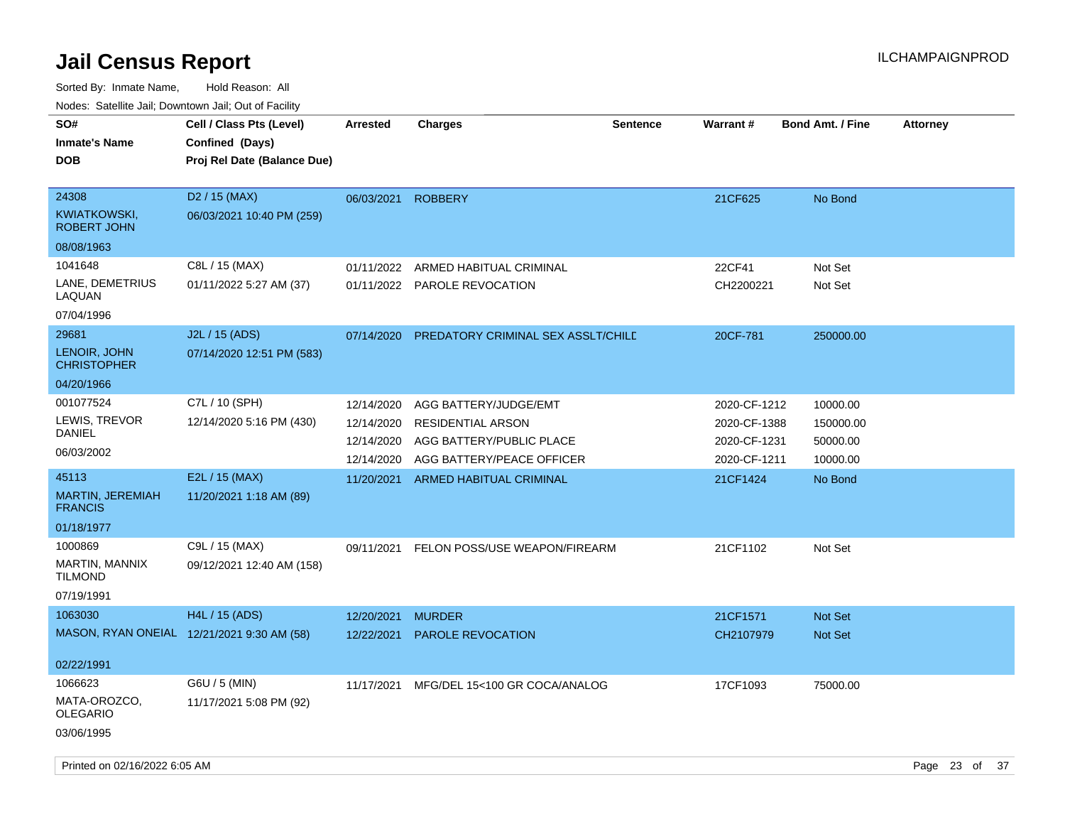| SO#<br><b>Inmate's Name</b><br><b>DOB</b>          | Cell / Class Pts (Level)<br>Confined (Days)<br>Proj Rel Date (Balance Due) | <b>Arrested</b>          | <b>Charges</b>                                       | <b>Sentence</b> | <b>Warrant#</b>              | <b>Bond Amt. / Fine</b> | <b>Attorney</b> |    |
|----------------------------------------------------|----------------------------------------------------------------------------|--------------------------|------------------------------------------------------|-----------------|------------------------------|-------------------------|-----------------|----|
| 24308<br><b>KWIATKOWSKI,</b><br><b>ROBERT JOHN</b> | D <sub>2</sub> / 15 (MAX)<br>06/03/2021 10:40 PM (259)                     | 06/03/2021               | <b>ROBBERY</b>                                       |                 | 21CF625                      | No Bond                 |                 |    |
| 08/08/1963                                         |                                                                            |                          |                                                      |                 |                              |                         |                 |    |
| 1041648                                            | C8L / 15 (MAX)                                                             | 01/11/2022               | ARMED HABITUAL CRIMINAL                              |                 | 22CF41                       | Not Set                 |                 |    |
| LANE, DEMETRIUS<br>LAQUAN                          | 01/11/2022 5:27 AM (37)                                                    |                          | 01/11/2022 PAROLE REVOCATION                         |                 | CH2200221                    | Not Set                 |                 |    |
| 07/04/1996                                         |                                                                            |                          |                                                      |                 |                              |                         |                 |    |
| 29681                                              | J2L / 15 (ADS)                                                             | 07/14/2020               | PREDATORY CRIMINAL SEX ASSLT/CHILE                   |                 | 20CF-781                     | 250000.00               |                 |    |
| LENOIR, JOHN<br><b>CHRISTOPHER</b>                 | 07/14/2020 12:51 PM (583)                                                  |                          |                                                      |                 |                              |                         |                 |    |
| 04/20/1966                                         |                                                                            |                          |                                                      |                 |                              |                         |                 |    |
| 001077524                                          | C7L / 10 (SPH)                                                             | 12/14/2020               | AGG BATTERY/JUDGE/EMT                                |                 | 2020-CF-1212                 | 10000.00                |                 |    |
| LEWIS, TREVOR<br>DANIEL                            | 12/14/2020 5:16 PM (430)                                                   | 12/14/2020<br>12/14/2020 | <b>RESIDENTIAL ARSON</b><br>AGG BATTERY/PUBLIC PLACE |                 | 2020-CF-1388<br>2020-CF-1231 | 150000.00               |                 |    |
| 06/03/2002                                         |                                                                            | 12/14/2020               | AGG BATTERY/PEACE OFFICER                            |                 | 2020-CF-1211                 | 50000.00<br>10000.00    |                 |    |
| 45113                                              | E2L / 15 (MAX)                                                             | 11/20/2021               | ARMED HABITUAL CRIMINAL                              |                 | 21CF1424                     | No Bond                 |                 |    |
| MARTIN, JEREMIAH<br><b>FRANCIS</b>                 | 11/20/2021 1:18 AM (89)                                                    |                          |                                                      |                 |                              |                         |                 |    |
| 01/18/1977                                         |                                                                            |                          |                                                      |                 |                              |                         |                 |    |
| 1000869                                            | C9L / 15 (MAX)                                                             | 09/11/2021               | FELON POSS/USE WEAPON/FIREARM                        |                 | 21CF1102                     | Not Set                 |                 |    |
| MARTIN, MANNIX<br><b>TILMOND</b>                   | 09/12/2021 12:40 AM (158)                                                  |                          |                                                      |                 |                              |                         |                 |    |
| 07/19/1991                                         |                                                                            |                          |                                                      |                 |                              |                         |                 |    |
| 1063030                                            | H4L / 15 (ADS)                                                             | 12/20/2021               | <b>MURDER</b>                                        |                 | 21CF1571                     | <b>Not Set</b>          |                 |    |
|                                                    | MASON, RYAN ONEIAL 12/21/2021 9:30 AM (58)                                 | 12/22/2021               | <b>PAROLE REVOCATION</b>                             |                 | CH2107979                    | <b>Not Set</b>          |                 |    |
| 02/22/1991                                         |                                                                            |                          |                                                      |                 |                              |                         |                 |    |
| 1066623                                            | G6U / 5 (MIN)                                                              | 11/17/2021               | MFG/DEL 15<100 GR COCA/ANALOG                        |                 | 17CF1093                     | 75000.00                |                 |    |
| MATA-OROZCO,<br><b>OLEGARIO</b>                    | 11/17/2021 5:08 PM (92)                                                    |                          |                                                      |                 |                              |                         |                 |    |
| 03/06/1995                                         |                                                                            |                          |                                                      |                 |                              |                         |                 |    |
| Printed on 02/16/2022 6:05 AM                      |                                                                            |                          |                                                      |                 |                              |                         | Page 23 of      | 37 |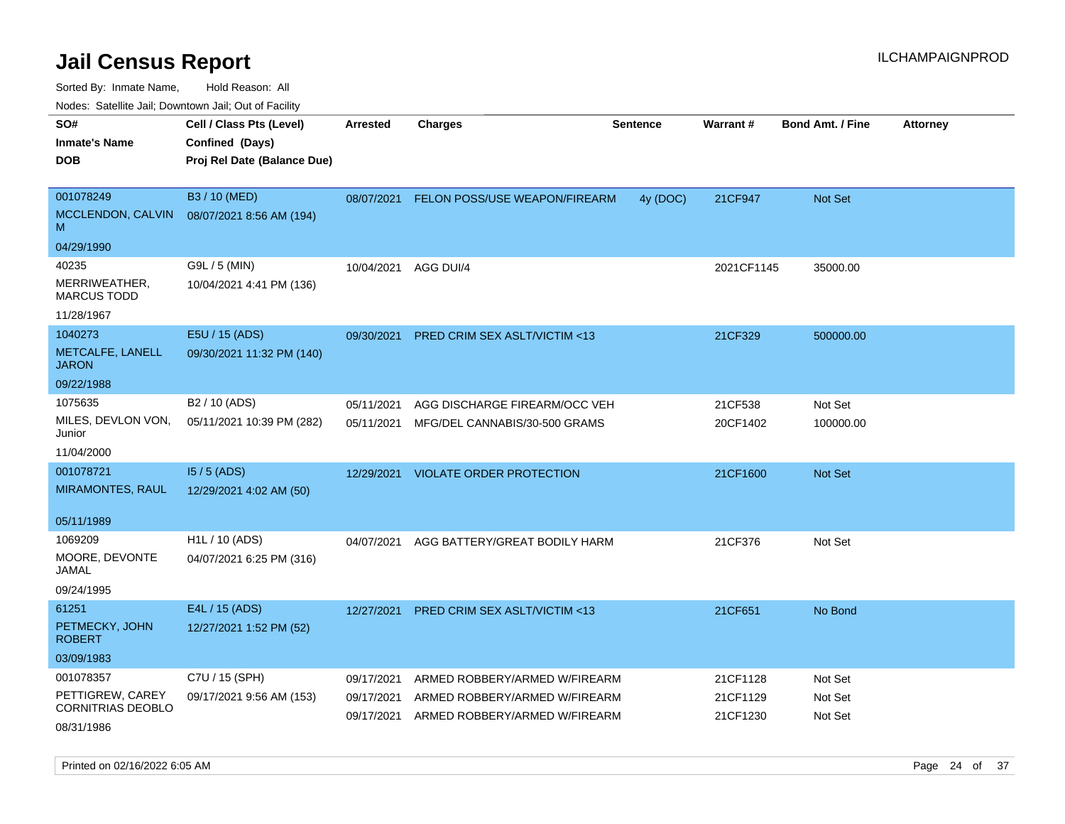Sorted By: Inmate Name, Hold Reason: All

Nodes: Satellite Jail; Downtown Jail; Out of Facility

| roaco. Oatomto dan, Downtown dan, Oat or Fability |                             |            |                                         |                 |            |                         |                 |
|---------------------------------------------------|-----------------------------|------------|-----------------------------------------|-----------------|------------|-------------------------|-----------------|
| SO#                                               | Cell / Class Pts (Level)    | Arrested   | <b>Charges</b>                          | <b>Sentence</b> | Warrant#   | <b>Bond Amt. / Fine</b> | <b>Attorney</b> |
| <b>Inmate's Name</b>                              | Confined (Days)             |            |                                         |                 |            |                         |                 |
| <b>DOB</b>                                        | Proj Rel Date (Balance Due) |            |                                         |                 |            |                         |                 |
|                                                   |                             |            |                                         |                 |            |                         |                 |
| 001078249                                         | B3 / 10 (MED)               | 08/07/2021 | FELON POSS/USE WEAPON/FIREARM           | 4y (DOC)        | 21CF947    | Not Set                 |                 |
| MCCLENDON, CALVIN<br>M                            | 08/07/2021 8:56 AM (194)    |            |                                         |                 |            |                         |                 |
| 04/29/1990                                        |                             |            |                                         |                 |            |                         |                 |
| 40235                                             | G9L / 5 (MIN)               | 10/04/2021 | AGG DUI/4                               |                 | 2021CF1145 | 35000.00                |                 |
| MERRIWEATHER,<br><b>MARCUS TODD</b>               | 10/04/2021 4:41 PM (136)    |            |                                         |                 |            |                         |                 |
| 11/28/1967                                        |                             |            |                                         |                 |            |                         |                 |
| 1040273                                           | E5U / 15 (ADS)              | 09/30/2021 | <b>PRED CRIM SEX ASLT/VICTIM &lt;13</b> |                 | 21CF329    | 500000.00               |                 |
| METCALFE, LANELL<br><b>JARON</b>                  | 09/30/2021 11:32 PM (140)   |            |                                         |                 |            |                         |                 |
| 09/22/1988                                        |                             |            |                                         |                 |            |                         |                 |
| 1075635                                           | B <sub>2</sub> / 10 (ADS)   | 05/11/2021 | AGG DISCHARGE FIREARM/OCC VEH           |                 | 21CF538    | Not Set                 |                 |
| MILES, DEVLON VON,<br>Junior                      | 05/11/2021 10:39 PM (282)   | 05/11/2021 | MFG/DEL CANNABIS/30-500 GRAMS           |                 | 20CF1402   | 100000.00               |                 |
| 11/04/2000                                        |                             |            |                                         |                 |            |                         |                 |
| 001078721                                         | 15 / 5 (ADS)                | 12/29/2021 | <b>VIOLATE ORDER PROTECTION</b>         |                 | 21CF1600   | <b>Not Set</b>          |                 |
| <b>MIRAMONTES, RAUL</b>                           | 12/29/2021 4:02 AM (50)     |            |                                         |                 |            |                         |                 |
|                                                   |                             |            |                                         |                 |            |                         |                 |
| 05/11/1989                                        |                             |            |                                         |                 |            |                         |                 |
| 1069209                                           | H <sub>1</sub> L / 10 (ADS) | 04/07/2021 | AGG BATTERY/GREAT BODILY HARM           |                 | 21CF376    | Not Set                 |                 |
| MOORE, DEVONTE<br>JAMAL                           | 04/07/2021 6:25 PM (316)    |            |                                         |                 |            |                         |                 |
| 09/24/1995                                        |                             |            |                                         |                 |            |                         |                 |
| 61251                                             | E4L / 15 (ADS)              | 12/27/2021 | PRED CRIM SEX ASLT/VICTIM <13           |                 | 21CF651    | No Bond                 |                 |
| PETMECKY, JOHN<br><b>ROBERT</b>                   | 12/27/2021 1:52 PM (52)     |            |                                         |                 |            |                         |                 |
| 03/09/1983                                        |                             |            |                                         |                 |            |                         |                 |
| 001078357                                         | C7U / 15 (SPH)              | 09/17/2021 | ARMED ROBBERY/ARMED W/FIREARM           |                 | 21CF1128   | Not Set                 |                 |
| PETTIGREW, CAREY                                  | 09/17/2021 9:56 AM (153)    | 09/17/2021 | ARMED ROBBERY/ARMED W/FIREARM           |                 | 21CF1129   | Not Set                 |                 |
| CORNITRIAS DEOBLO                                 |                             | 09/17/2021 | ARMED ROBBERY/ARMED W/FIREARM           |                 | 21CF1230   | Not Set                 |                 |
| 08/31/1986                                        |                             |            |                                         |                 |            |                         |                 |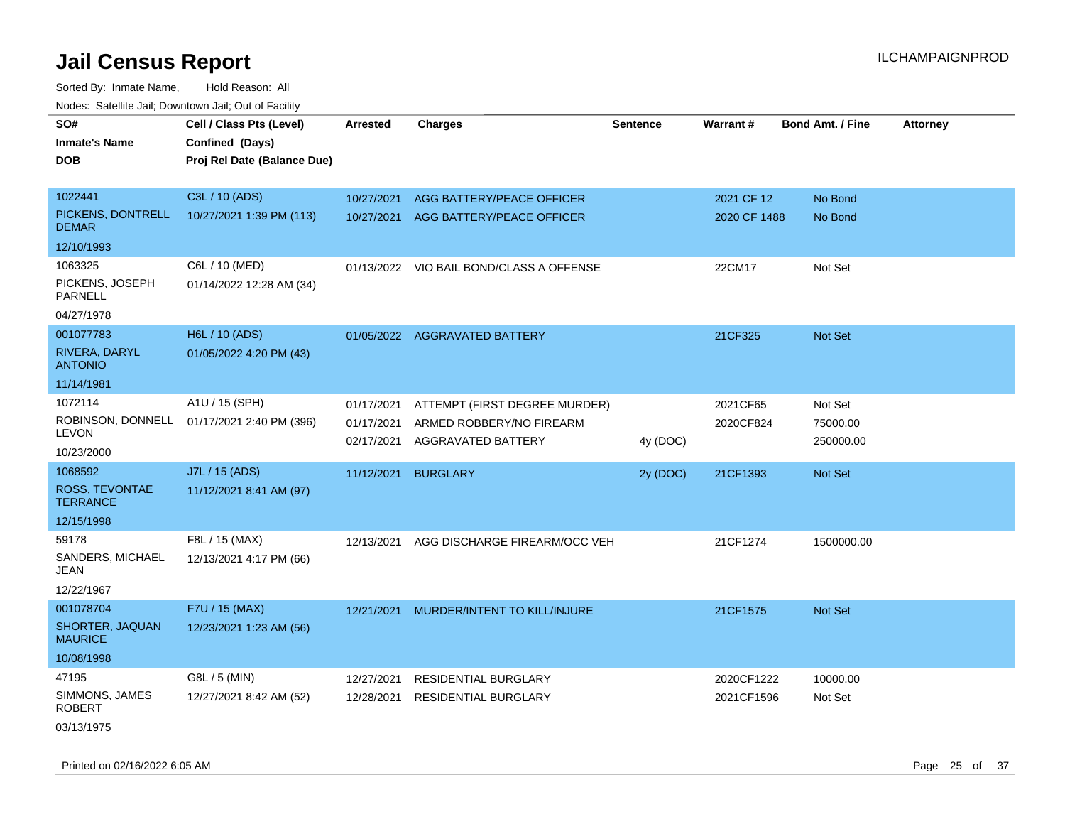Sorted By: Inmate Name, Hold Reason: All Nodes: Satellite Jail; Downtown Jail; Out of Facility

| roaco. Calcinio dan, Downtown dan, Out or Fability           |                                                                            |                                        |                                                                                 |                 |                            |                                  |                 |
|--------------------------------------------------------------|----------------------------------------------------------------------------|----------------------------------------|---------------------------------------------------------------------------------|-----------------|----------------------------|----------------------------------|-----------------|
| SO#<br><b>Inmate's Name</b><br><b>DOB</b>                    | Cell / Class Pts (Level)<br>Confined (Days)<br>Proj Rel Date (Balance Due) | <b>Arrested</b>                        | <b>Charges</b>                                                                  | <b>Sentence</b> | Warrant#                   | <b>Bond Amt. / Fine</b>          | <b>Attorney</b> |
| 1022441<br>PICKENS, DONTRELL                                 | C3L / 10 (ADS)<br>10/27/2021 1:39 PM (113)                                 | 10/27/2021                             | AGG BATTERY/PEACE OFFICER<br>10/27/2021 AGG BATTERY/PEACE OFFICER               |                 | 2021 CF 12<br>2020 CF 1488 | No Bond<br>No Bond               |                 |
| <b>DEMAR</b><br>12/10/1993                                   |                                                                            |                                        |                                                                                 |                 |                            |                                  |                 |
| 1063325<br>PICKENS, JOSEPH<br><b>PARNELL</b><br>04/27/1978   | C6L / 10 (MED)<br>01/14/2022 12:28 AM (34)                                 |                                        | 01/13/2022 VIO BAIL BOND/CLASS A OFFENSE                                        |                 | 22CM17                     | Not Set                          |                 |
| 001077783<br>RIVERA, DARYL<br><b>ANTONIO</b><br>11/14/1981   | H6L / 10 (ADS)<br>01/05/2022 4:20 PM (43)                                  |                                        | 01/05/2022 AGGRAVATED BATTERY                                                   |                 | 21CF325                    | Not Set                          |                 |
| 1072114<br>ROBINSON, DONNELL<br><b>LEVON</b><br>10/23/2000   | A1U / 15 (SPH)<br>01/17/2021 2:40 PM (396)                                 | 01/17/2021<br>01/17/2021<br>02/17/2021 | ATTEMPT (FIRST DEGREE MURDER)<br>ARMED ROBBERY/NO FIREARM<br>AGGRAVATED BATTERY | 4y (DOC)        | 2021CF65<br>2020CF824      | Not Set<br>75000.00<br>250000.00 |                 |
| 1068592<br>ROSS, TEVONTAE<br><b>TERRANCE</b><br>12/15/1998   | J7L / 15 (ADS)<br>11/12/2021 8:41 AM (97)                                  | 11/12/2021                             | <b>BURGLARY</b>                                                                 | 2y (DOC)        | 21CF1393                   | Not Set                          |                 |
| 59178<br>SANDERS, MICHAEL<br>JEAN<br>12/22/1967              | F8L / 15 (MAX)<br>12/13/2021 4:17 PM (66)                                  | 12/13/2021                             | AGG DISCHARGE FIREARM/OCC VEH                                                   |                 | 21CF1274                   | 1500000.00                       |                 |
| 001078704<br>SHORTER, JAQUAN<br><b>MAURICE</b><br>10/08/1998 | F7U / 15 (MAX)<br>12/23/2021 1:23 AM (56)                                  | 12/21/2021                             | MURDER/INTENT TO KILL/INJURE                                                    |                 | 21CF1575                   | <b>Not Set</b>                   |                 |
| 47195<br>SIMMONS, JAMES<br><b>ROBERT</b><br>03/13/1975       | G8L / 5 (MIN)<br>12/27/2021 8:42 AM (52)                                   | 12/27/2021<br>12/28/2021               | <b>RESIDENTIAL BURGLARY</b><br><b>RESIDENTIAL BURGLARY</b>                      |                 | 2020CF1222<br>2021CF1596   | 10000.00<br>Not Set              |                 |

Printed on 02/16/2022 6:05 AM Page 25 of 37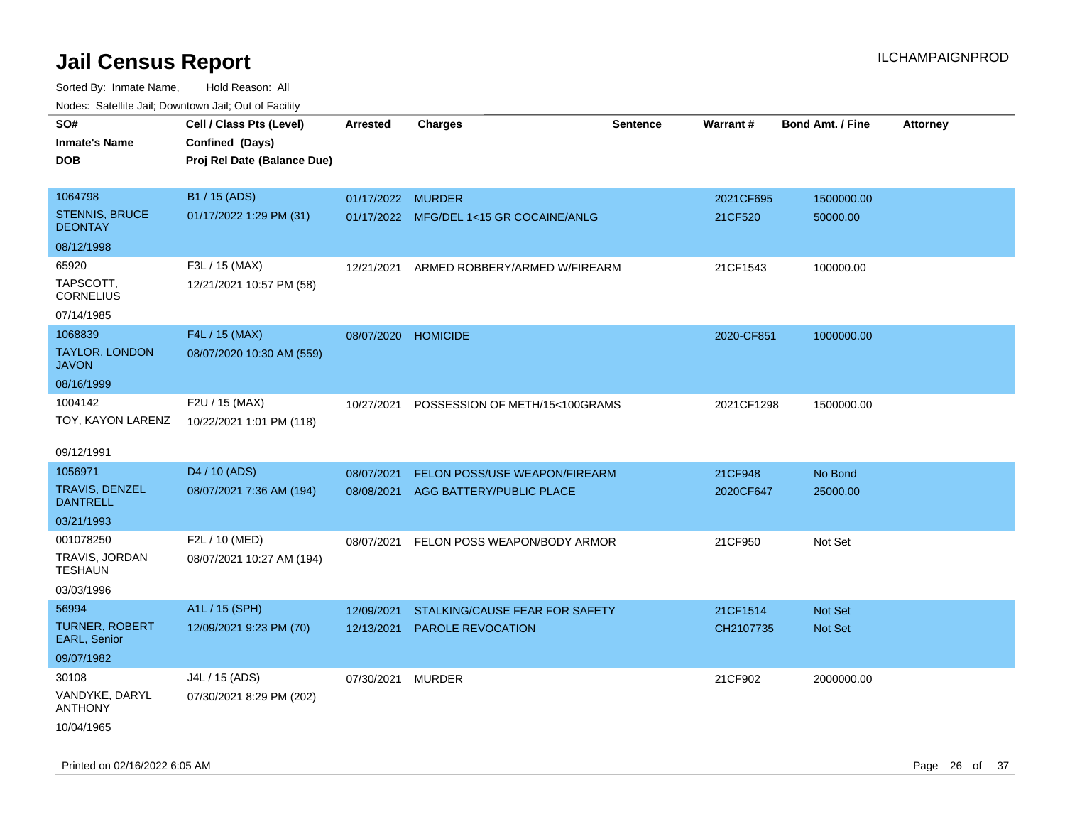| ivouss. Saleline Jali, Downtown Jali, Out of Facility |                             |                     |                                         |                 |                 |                         |                 |
|-------------------------------------------------------|-----------------------------|---------------------|-----------------------------------------|-----------------|-----------------|-------------------------|-----------------|
| SO#                                                   | Cell / Class Pts (Level)    | Arrested            | <b>Charges</b>                          | <b>Sentence</b> | <b>Warrant#</b> | <b>Bond Amt. / Fine</b> | <b>Attorney</b> |
| Inmate's Name                                         | Confined (Days)             |                     |                                         |                 |                 |                         |                 |
| <b>DOB</b>                                            | Proj Rel Date (Balance Due) |                     |                                         |                 |                 |                         |                 |
|                                                       |                             |                     |                                         |                 |                 |                         |                 |
| 1064798                                               | B1 / 15 (ADS)               | 01/17/2022 MURDER   |                                         |                 | 2021CF695       | 1500000.00              |                 |
| STENNIS, BRUCE<br><b>DEONTAY</b>                      | 01/17/2022 1:29 PM (31)     |                     | 01/17/2022 MFG/DEL 1<15 GR COCAINE/ANLG |                 | 21CF520         | 50000.00                |                 |
| 08/12/1998                                            |                             |                     |                                         |                 |                 |                         |                 |
| 65920                                                 | F3L / 15 (MAX)              | 12/21/2021          | ARMED ROBBERY/ARMED W/FIREARM           |                 | 21CF1543        | 100000.00               |                 |
| TAPSCOTT.<br>CORNELIUS                                | 12/21/2021 10:57 PM (58)    |                     |                                         |                 |                 |                         |                 |
| 07/14/1985                                            |                             |                     |                                         |                 |                 |                         |                 |
| 1068839                                               | F4L / 15 (MAX)              | 08/07/2020 HOMICIDE |                                         |                 | 2020-CF851      | 1000000.00              |                 |
| TAYLOR, LONDON<br>JAVON                               | 08/07/2020 10:30 AM (559)   |                     |                                         |                 |                 |                         |                 |
| 08/16/1999                                            |                             |                     |                                         |                 |                 |                         |                 |
| 1004142                                               | F2U / 15 (MAX)              | 10/27/2021          | POSSESSION OF METH/15<100GRAMS          |                 | 2021CF1298      | 1500000.00              |                 |
| TOY, KAYON LARENZ                                     | 10/22/2021 1:01 PM (118)    |                     |                                         |                 |                 |                         |                 |
|                                                       |                             |                     |                                         |                 |                 |                         |                 |
| 09/12/1991                                            |                             |                     |                                         |                 |                 |                         |                 |
| 1056971                                               | D <sub>4</sub> / 10 (ADS)   | 08/07/2021          | <b>FELON POSS/USE WEAPON/FIREARM</b>    |                 | 21CF948         | No Bond                 |                 |
| TRAVIS, DENZEL<br>DANTRELL                            | 08/07/2021 7:36 AM (194)    |                     | 08/08/2021 AGG BATTERY/PUBLIC PLACE     |                 | 2020CF647       | 25000.00                |                 |
| 03/21/1993                                            |                             |                     |                                         |                 |                 |                         |                 |
| 001078250                                             | F2L / 10 (MED)              | 08/07/2021          | FELON POSS WEAPON/BODY ARMOR            |                 | 21CF950         | Not Set                 |                 |
| TRAVIS, JORDAN<br>TESHAUN                             | 08/07/2021 10:27 AM (194)   |                     |                                         |                 |                 |                         |                 |
| 03/03/1996                                            |                             |                     |                                         |                 |                 |                         |                 |
| 56994                                                 | A1L / 15 (SPH)              | 12/09/2021          | STALKING/CAUSE FEAR FOR SAFETY          |                 | 21CF1514        | <b>Not Set</b>          |                 |
| <b>TURNER, ROBERT</b><br><b>EARL, Senior</b>          | 12/09/2021 9:23 PM (70)     | 12/13/2021          | PAROLE REVOCATION                       |                 | CH2107735       | <b>Not Set</b>          |                 |
| 09/07/1982                                            |                             |                     |                                         |                 |                 |                         |                 |
| 30108                                                 | J4L / 15 (ADS)              | 07/30/2021          | <b>MURDER</b>                           |                 | 21CF902         | 2000000.00              |                 |
| VANDYKE, DARYL<br>ANTHONY                             | 07/30/2021 8:29 PM (202)    |                     |                                         |                 |                 |                         |                 |
| 10/04/1965                                            |                             |                     |                                         |                 |                 |                         |                 |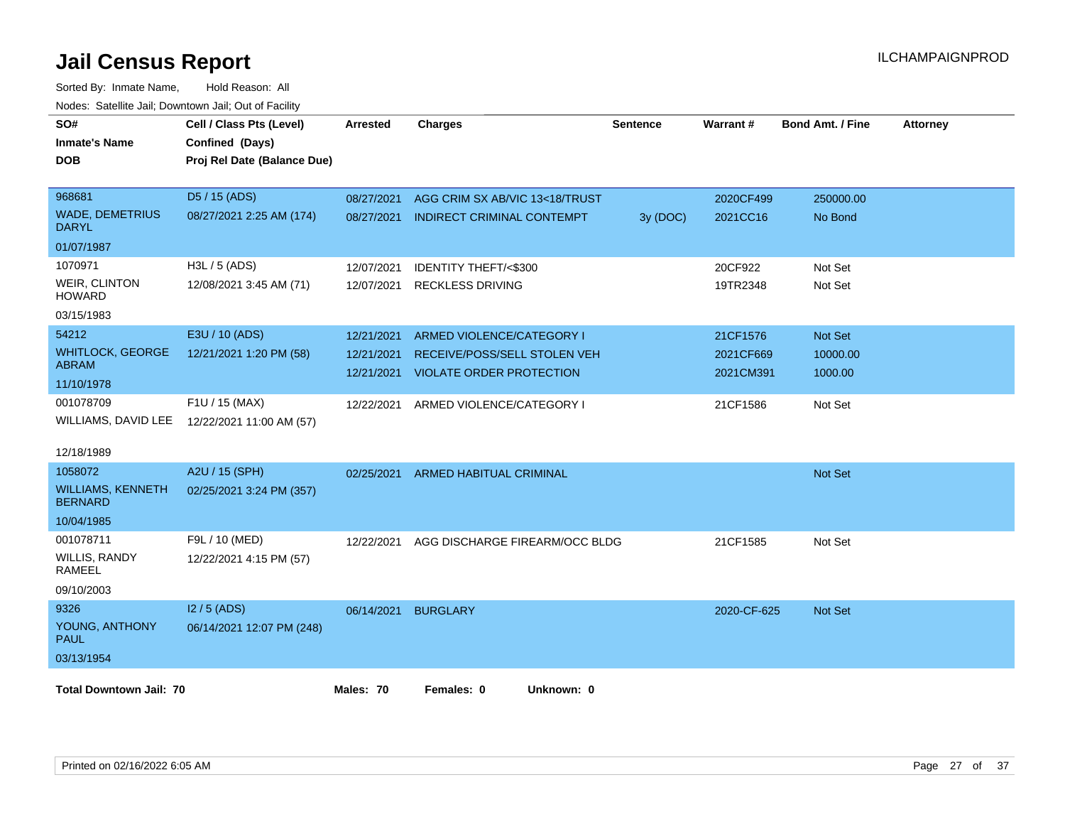| SO#<br><b>Inmate's Name</b><br><b>DOB</b>  | Cell / Class Pts (Level)<br>Confined (Days)<br>Proj Rel Date (Balance Due) | <b>Arrested</b> | <b>Charges</b>                  | <b>Sentence</b> | Warrant#    | <b>Bond Amt. / Fine</b> | <b>Attorney</b> |
|--------------------------------------------|----------------------------------------------------------------------------|-----------------|---------------------------------|-----------------|-------------|-------------------------|-----------------|
| 968681                                     | D5 / 15 (ADS)                                                              | 08/27/2021      | AGG CRIM SX AB/VIC 13<18/TRUST  |                 | 2020CF499   | 250000.00               |                 |
| <b>WADE, DEMETRIUS</b><br>DARYL            | 08/27/2021 2:25 AM (174)                                                   | 08/27/2021      | INDIRECT CRIMINAL CONTEMPT      | 3y (DOC)        | 2021CC16    | No Bond                 |                 |
| 01/07/1987                                 |                                                                            |                 |                                 |                 |             |                         |                 |
| 1070971                                    | H3L / 5 (ADS)                                                              | 12/07/2021      | IDENTITY THEFT/<\$300           |                 | 20CF922     | Not Set                 |                 |
| WEIR, CLINTON<br><b>HOWARD</b>             | 12/08/2021 3:45 AM (71)                                                    | 12/07/2021      | <b>RECKLESS DRIVING</b>         |                 | 19TR2348    | Not Set                 |                 |
| 03/15/1983                                 |                                                                            |                 |                                 |                 |             |                         |                 |
| 54212                                      | E3U / 10 (ADS)                                                             | 12/21/2021      | ARMED VIOLENCE/CATEGORY I       |                 | 21CF1576    | <b>Not Set</b>          |                 |
| <b>WHITLOCK, GEORGE</b>                    | 12/21/2021 1:20 PM (58)                                                    | 12/21/2021      | RECEIVE/POSS/SELL STOLEN VEH    |                 | 2021CF669   | 10000.00                |                 |
| <b>ABRAM</b>                               |                                                                            | 12/21/2021      | <b>VIOLATE ORDER PROTECTION</b> |                 | 2021CM391   | 1000.00                 |                 |
| 11/10/1978                                 |                                                                            |                 |                                 |                 |             |                         |                 |
| 001078709                                  | F1U / 15 (MAX)                                                             | 12/22/2021      | ARMED VIOLENCE/CATEGORY I       |                 | 21CF1586    | Not Set                 |                 |
|                                            | WILLIAMS, DAVID LEE 12/22/2021 11:00 AM (57)                               |                 |                                 |                 |             |                         |                 |
| 12/18/1989                                 |                                                                            |                 |                                 |                 |             |                         |                 |
| 1058072                                    | A2U / 15 (SPH)                                                             | 02/25/2021      | <b>ARMED HABITUAL CRIMINAL</b>  |                 |             | <b>Not Set</b>          |                 |
| <b>WILLIAMS, KENNETH</b><br><b>BERNARD</b> | 02/25/2021 3:24 PM (357)                                                   |                 |                                 |                 |             |                         |                 |
| 10/04/1985                                 |                                                                            |                 |                                 |                 |             |                         |                 |
| 001078711                                  | F9L / 10 (MED)                                                             | 12/22/2021      | AGG DISCHARGE FIREARM/OCC BLDG  |                 | 21CF1585    | Not Set                 |                 |
| <b>WILLIS, RANDY</b><br>RAMEEL             | 12/22/2021 4:15 PM (57)                                                    |                 |                                 |                 |             |                         |                 |
| 09/10/2003                                 |                                                                            |                 |                                 |                 |             |                         |                 |
| 9326                                       | $12/5$ (ADS)                                                               | 06/14/2021      | <b>BURGLARY</b>                 |                 | 2020-CF-625 | <b>Not Set</b>          |                 |
| YOUNG, ANTHONY<br>PAUL                     | 06/14/2021 12:07 PM (248)                                                  |                 |                                 |                 |             |                         |                 |
| 03/13/1954                                 |                                                                            |                 |                                 |                 |             |                         |                 |
| <b>Total Downtown Jail: 70</b>             |                                                                            | Males: 70       | Females: 0<br>Unknown: 0        |                 |             |                         |                 |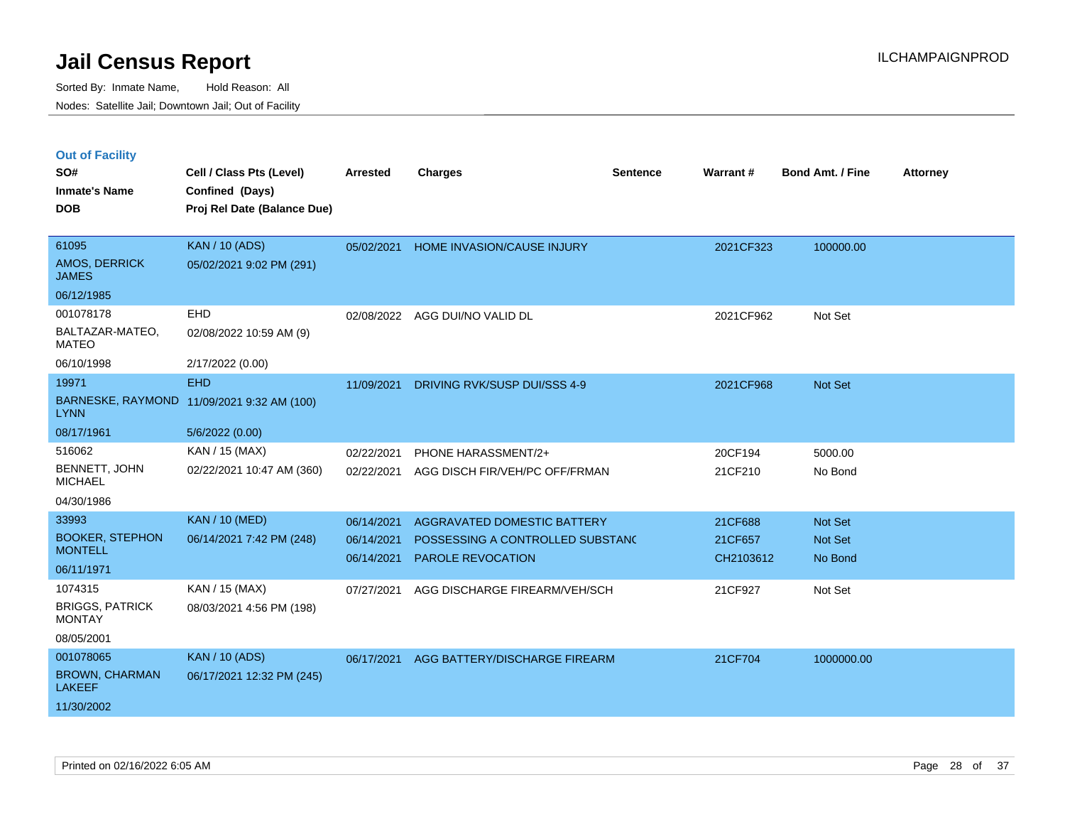|  | <b>Out of Facility</b> |  |
|--|------------------------|--|

| SO#<br><b>Inmate's Name</b><br><b>DOB</b>                         | Cell / Class Pts (Level)<br>Confined (Days)<br>Proj Rel Date (Balance Due)  | <b>Arrested</b>                        | <b>Charges</b>                                                                                     | <b>Sentence</b> | Warrant#                        | <b>Bond Amt. / Fine</b>       | <b>Attorney</b> |
|-------------------------------------------------------------------|-----------------------------------------------------------------------------|----------------------------------------|----------------------------------------------------------------------------------------------------|-----------------|---------------------------------|-------------------------------|-----------------|
| 61095<br>AMOS, DERRICK<br><b>JAMES</b><br>06/12/1985              | <b>KAN / 10 (ADS)</b><br>05/02/2021 9:02 PM (291)                           | 05/02/2021                             | HOME INVASION/CAUSE INJURY                                                                         |                 | 2021CF323                       | 100000.00                     |                 |
| 001078178<br>BALTAZAR-MATEO,<br><b>MATEO</b><br>06/10/1998        | EHD<br>02/08/2022 10:59 AM (9)<br>2/17/2022 (0.00)                          | 02/08/2022                             | AGG DUI/NO VALID DL                                                                                |                 | 2021CF962                       | Not Set                       |                 |
| 19971<br><b>LYNN</b><br>08/17/1961                                | <b>EHD</b><br>BARNESKE, RAYMOND 11/09/2021 9:32 AM (100)<br>5/6/2022 (0.00) | 11/09/2021                             | DRIVING RVK/SUSP DUI/SSS 4-9                                                                       |                 | 2021CF968                       | Not Set                       |                 |
| 516062<br>BENNETT, JOHN<br><b>MICHAEL</b><br>04/30/1986           | KAN / 15 (MAX)<br>02/22/2021 10:47 AM (360)                                 | 02/22/2021<br>02/22/2021               | PHONE HARASSMENT/2+<br>AGG DISCH FIR/VEH/PC OFF/FRMAN                                              |                 | 20CF194<br>21CF210              | 5000.00<br>No Bond            |                 |
| 33993<br><b>BOOKER, STEPHON</b><br><b>MONTELL</b><br>06/11/1971   | <b>KAN / 10 (MED)</b><br>06/14/2021 7:42 PM (248)                           | 06/14/2021<br>06/14/2021<br>06/14/2021 | <b>AGGRAVATED DOMESTIC BATTERY</b><br>POSSESSING A CONTROLLED SUBSTANC<br><b>PAROLE REVOCATION</b> |                 | 21CF688<br>21CF657<br>CH2103612 | Not Set<br>Not Set<br>No Bond |                 |
| 1074315<br><b>BRIGGS, PATRICK</b><br><b>MONTAY</b><br>08/05/2001  | KAN / 15 (MAX)<br>08/03/2021 4:56 PM (198)                                  | 07/27/2021                             | AGG DISCHARGE FIREARM/VEH/SCH                                                                      |                 | 21CF927                         | Not Set                       |                 |
| 001078065<br><b>BROWN, CHARMAN</b><br><b>LAKEEF</b><br>11/30/2002 | <b>KAN / 10 (ADS)</b><br>06/17/2021 12:32 PM (245)                          | 06/17/2021                             | AGG BATTERY/DISCHARGE FIREARM                                                                      |                 | 21CF704                         | 1000000.00                    |                 |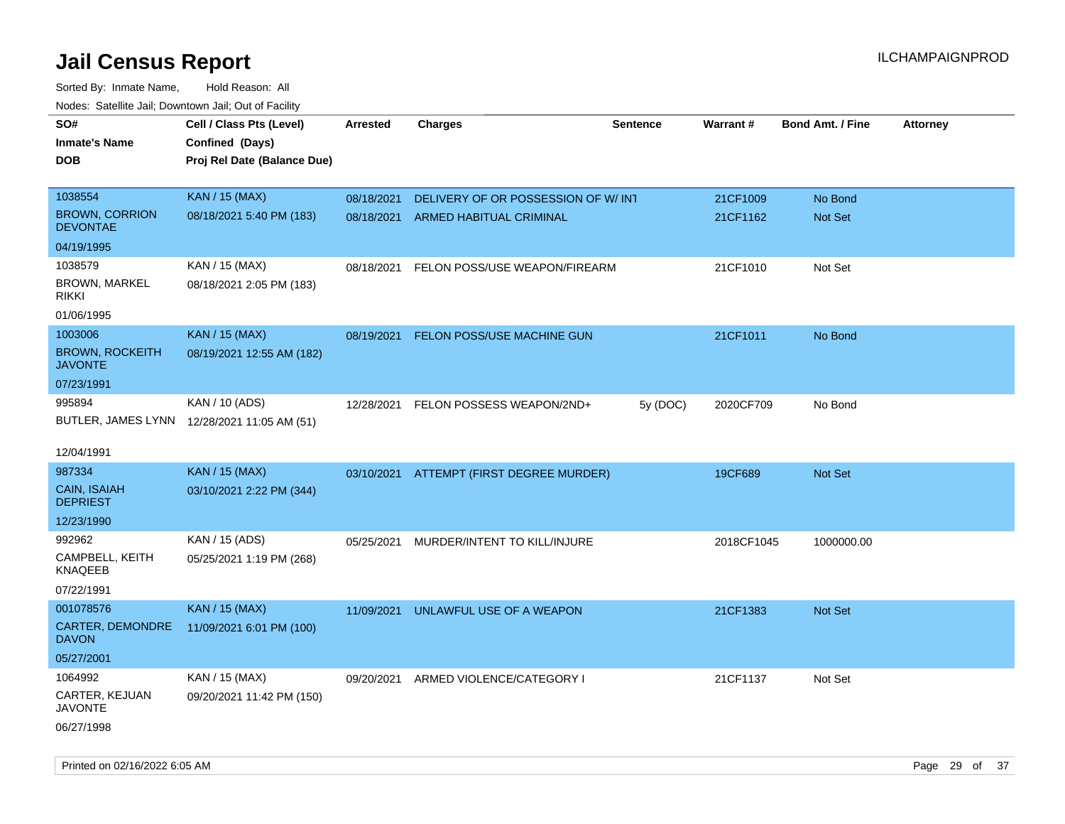| roaco. Catolino dall, Downtown dall, Out of Fability |                                             |            |                                      |                 |            |                         |                 |
|------------------------------------------------------|---------------------------------------------|------------|--------------------------------------|-----------------|------------|-------------------------|-----------------|
| SO#                                                  | Cell / Class Pts (Level)                    | Arrested   | <b>Charges</b>                       | <b>Sentence</b> | Warrant#   | <b>Bond Amt. / Fine</b> | <b>Attorney</b> |
| <b>Inmate's Name</b>                                 | Confined (Days)                             |            |                                      |                 |            |                         |                 |
| <b>DOB</b>                                           | Proj Rel Date (Balance Due)                 |            |                                      |                 |            |                         |                 |
|                                                      |                                             |            |                                      |                 |            |                         |                 |
| 1038554                                              | <b>KAN / 15 (MAX)</b>                       | 08/18/2021 | DELIVERY OF OR POSSESSION OF W/INT   |                 | 21CF1009   | No Bond                 |                 |
| <b>BROWN, CORRION</b><br><b>DEVONTAE</b>             | 08/18/2021 5:40 PM (183)                    | 08/18/2021 | ARMED HABITUAL CRIMINAL              |                 | 21CF1162   | Not Set                 |                 |
| 04/19/1995                                           |                                             |            |                                      |                 |            |                         |                 |
| 1038579                                              | KAN / 15 (MAX)                              | 08/18/2021 | FELON POSS/USE WEAPON/FIREARM        |                 | 21CF1010   | Not Set                 |                 |
| <b>BROWN, MARKEL</b><br><b>RIKKI</b>                 | 08/18/2021 2:05 PM (183)                    |            |                                      |                 |            |                         |                 |
| 01/06/1995                                           |                                             |            |                                      |                 |            |                         |                 |
| 1003006                                              | <b>KAN / 15 (MAX)</b>                       | 08/19/2021 | <b>FELON POSS/USE MACHINE GUN</b>    |                 | 21CF1011   | No Bond                 |                 |
| <b>BROWN, ROCKEITH</b><br><b>JAVONTE</b>             | 08/19/2021 12:55 AM (182)                   |            |                                      |                 |            |                         |                 |
| 07/23/1991                                           |                                             |            |                                      |                 |            |                         |                 |
| 995894                                               | KAN / 10 (ADS)                              |            | 12/28/2021 FELON POSSESS WEAPON/2ND+ | 5y (DOC)        | 2020CF709  | No Bond                 |                 |
|                                                      | BUTLER, JAMES LYNN 12/28/2021 11:05 AM (51) |            |                                      |                 |            |                         |                 |
|                                                      |                                             |            |                                      |                 |            |                         |                 |
| 12/04/1991                                           |                                             |            |                                      |                 |            |                         |                 |
| 987334                                               | <b>KAN / 15 (MAX)</b>                       | 03/10/2021 | ATTEMPT (FIRST DEGREE MURDER)        |                 | 19CF689    | <b>Not Set</b>          |                 |
| CAIN, ISAIAH<br><b>DEPRIEST</b>                      | 03/10/2021 2:22 PM (344)                    |            |                                      |                 |            |                         |                 |
| 12/23/1990                                           |                                             |            |                                      |                 |            |                         |                 |
| 992962                                               | KAN / 15 (ADS)                              | 05/25/2021 | MURDER/INTENT TO KILL/INJURE         |                 | 2018CF1045 | 1000000.00              |                 |
| CAMPBELL, KEITH<br><b>KNAQEEB</b>                    | 05/25/2021 1:19 PM (268)                    |            |                                      |                 |            |                         |                 |
| 07/22/1991                                           |                                             |            |                                      |                 |            |                         |                 |
| 001078576                                            | <b>KAN / 15 (MAX)</b>                       | 11/09/2021 | UNLAWFUL USE OF A WEAPON             |                 | 21CF1383   | Not Set                 |                 |
| CARTER, DEMONDRE<br><b>DAVON</b>                     | 11/09/2021 6:01 PM (100)                    |            |                                      |                 |            |                         |                 |
| 05/27/2001                                           |                                             |            |                                      |                 |            |                         |                 |
| 1064992                                              | KAN / 15 (MAX)                              | 09/20/2021 | ARMED VIOLENCE/CATEGORY I            |                 | 21CF1137   | Not Set                 |                 |
| CARTER, KEJUAN<br><b>JAVONTE</b>                     | 09/20/2021 11:42 PM (150)                   |            |                                      |                 |            |                         |                 |
| 06/27/1998                                           |                                             |            |                                      |                 |            |                         |                 |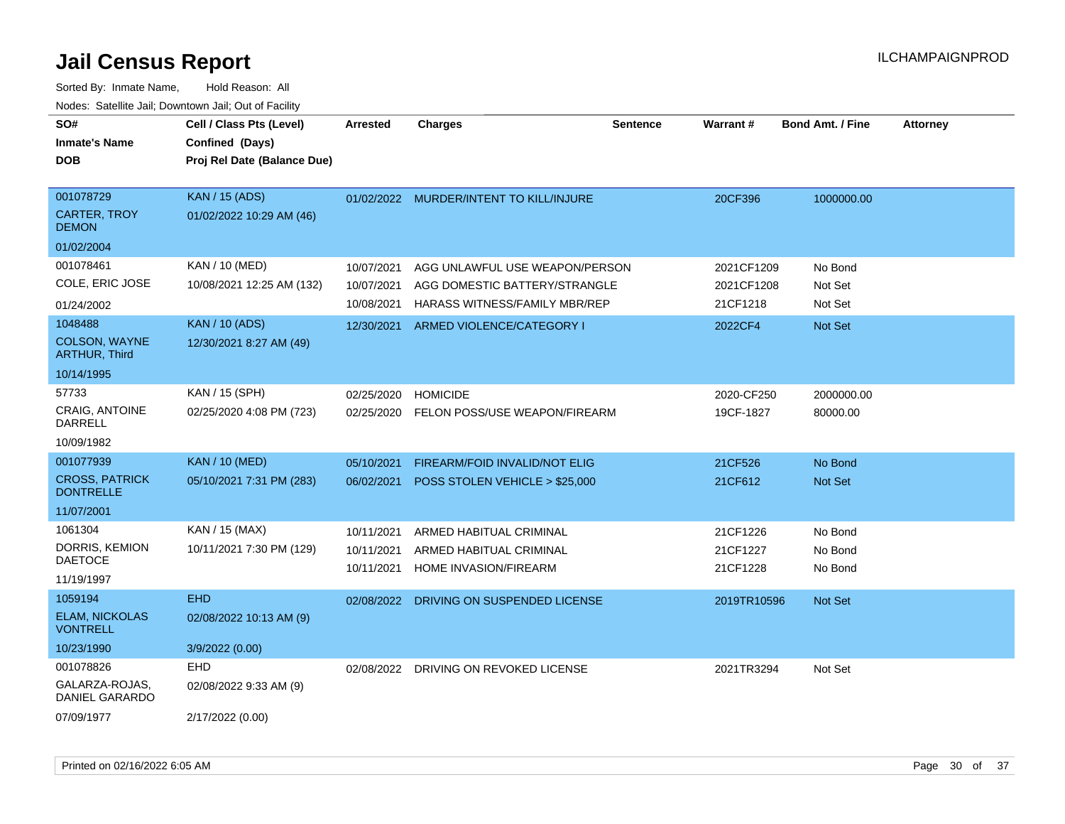| SO#<br><b>Inmate's Name</b><br><b>DOB</b>        | Cell / Class Pts (Level)<br>Confined (Days)<br>Proj Rel Date (Balance Due) | <b>Arrested</b> | Charges                                 | Sentence | <b>Warrant#</b> | Bond Amt. / Fine | <b>Attorney</b> |
|--------------------------------------------------|----------------------------------------------------------------------------|-----------------|-----------------------------------------|----------|-----------------|------------------|-----------------|
| 001078729<br><b>CARTER, TROY</b><br><b>DEMON</b> | <b>KAN / 15 (ADS)</b><br>01/02/2022 10:29 AM (46)                          |                 | 01/02/2022 MURDER/INTENT TO KILL/INJURE |          | 20CF396         | 1000000.00       |                 |
| 01/02/2004                                       |                                                                            |                 |                                         |          |                 |                  |                 |
| 001078461                                        | KAN / 10 (MED)                                                             | 10/07/2021      | AGG UNLAWFUL USE WEAPON/PERSON          |          | 2021CF1209      | No Bond          |                 |
| COLE, ERIC JOSE                                  | 10/08/2021 12:25 AM (132)                                                  | 10/07/2021      | AGG DOMESTIC BATTERY/STRANGLE           |          | 2021CF1208      | Not Set          |                 |
| 01/24/2002                                       |                                                                            | 10/08/2021      | HARASS WITNESS/FAMILY MBR/REP           |          | 21CF1218        | Not Set          |                 |
| 1048488                                          | <b>KAN / 10 (ADS)</b>                                                      | 12/30/2021      | ARMED VIOLENCE/CATEGORY I               |          | 2022CF4         | Not Set          |                 |
| COLSON, WAYNE<br><b>ARTHUR, Third</b>            | 12/30/2021 8:27 AM (49)                                                    |                 |                                         |          |                 |                  |                 |
| 10/14/1995                                       |                                                                            |                 |                                         |          |                 |                  |                 |
| 57733                                            | KAN / 15 (SPH)                                                             | 02/25/2020      | <b>HOMICIDE</b>                         |          | 2020-CF250      | 2000000.00       |                 |
| <b>CRAIG, ANTOINE</b><br><b>DARRELL</b>          | 02/25/2020 4:08 PM (723)                                                   | 02/25/2020      | FELON POSS/USE WEAPON/FIREARM           |          | 19CF-1827       | 80000.00         |                 |
| 10/09/1982                                       |                                                                            |                 |                                         |          |                 |                  |                 |
| 001077939                                        | <b>KAN / 10 (MED)</b>                                                      | 05/10/2021      | FIREARM/FOID INVALID/NOT ELIG           |          | 21CF526         | No Bond          |                 |
| <b>CROSS, PATRICK</b><br><b>DONTRELLE</b>        | 05/10/2021 7:31 PM (283)                                                   | 06/02/2021      | POSS STOLEN VEHICLE > \$25,000          |          | 21CF612         | Not Set          |                 |
| 11/07/2001                                       |                                                                            |                 |                                         |          |                 |                  |                 |
| 1061304                                          | KAN / 15 (MAX)                                                             | 10/11/2021      | ARMED HABITUAL CRIMINAL                 |          | 21CF1226        | No Bond          |                 |
| DORRIS, KEMION                                   | 10/11/2021 7:30 PM (129)                                                   | 10/11/2021      | ARMED HABITUAL CRIMINAL                 |          | 21CF1227        | No Bond          |                 |
| <b>DAETOCE</b>                                   |                                                                            | 10/11/2021      | <b>HOME INVASION/FIREARM</b>            |          | 21CF1228        | No Bond          |                 |
| 11/19/1997                                       |                                                                            |                 |                                         |          |                 |                  |                 |
| 1059194                                          | <b>EHD</b>                                                                 | 02/08/2022      | DRIVING ON SUSPENDED LICENSE            |          | 2019TR10596     | Not Set          |                 |
| <b>ELAM, NICKOLAS</b><br><b>VONTRELL</b>         | 02/08/2022 10:13 AM (9)                                                    |                 |                                         |          |                 |                  |                 |
| 10/23/1990                                       | 3/9/2022 (0.00)                                                            |                 |                                         |          |                 |                  |                 |
| 001078826                                        | EHD                                                                        | 02/08/2022      | DRIVING ON REVOKED LICENSE              |          | 2021TR3294      | Not Set          |                 |
| GALARZA-ROJAS,<br>DANIEL GARARDO                 | 02/08/2022 9:33 AM (9)                                                     |                 |                                         |          |                 |                  |                 |
| 07/09/1977                                       | 2/17/2022 (0.00)                                                           |                 |                                         |          |                 |                  |                 |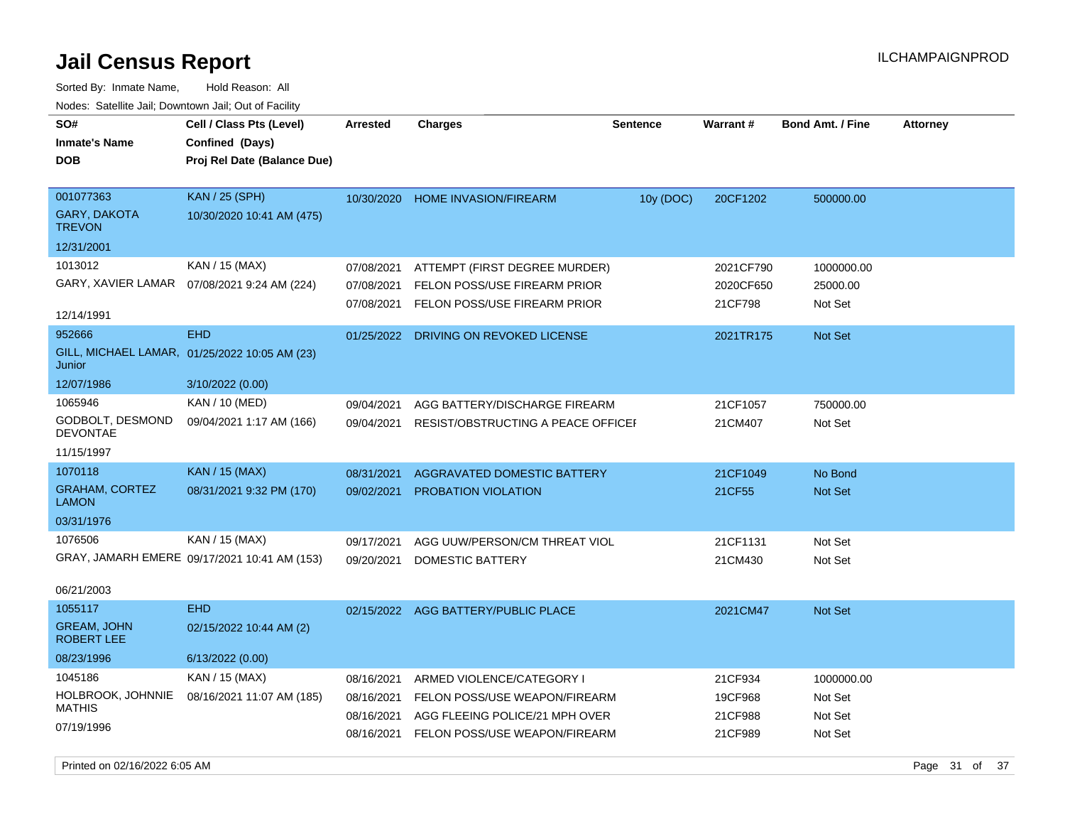| Nuuts. Saltiille Jall, Downlown Jall, Oul of Facility |                                               |                 |                                     |                 |                 |                         |                 |
|-------------------------------------------------------|-----------------------------------------------|-----------------|-------------------------------------|-----------------|-----------------|-------------------------|-----------------|
| SO#                                                   | Cell / Class Pts (Level)                      | <b>Arrested</b> | <b>Charges</b>                      | <b>Sentence</b> | <b>Warrant#</b> | <b>Bond Amt. / Fine</b> | <b>Attorney</b> |
| <b>Inmate's Name</b>                                  | Confined (Days)                               |                 |                                     |                 |                 |                         |                 |
| DOB                                                   | Proj Rel Date (Balance Due)                   |                 |                                     |                 |                 |                         |                 |
|                                                       |                                               |                 |                                     |                 |                 |                         |                 |
| 001077363                                             | <b>KAN / 25 (SPH)</b>                         | 10/30/2020      | <b>HOME INVASION/FIREARM</b>        | 10y (DOC)       | 20CF1202        | 500000.00               |                 |
| GARY, DAKOTA<br><b>TREVON</b>                         | 10/30/2020 10:41 AM (475)                     |                 |                                     |                 |                 |                         |                 |
| 12/31/2001                                            |                                               |                 |                                     |                 |                 |                         |                 |
| 1013012                                               | KAN / 15 (MAX)                                | 07/08/2021      | ATTEMPT (FIRST DEGREE MURDER)       |                 | 2021CF790       | 1000000.00              |                 |
| GARY, XAVIER LAMAR                                    | 07/08/2021 9:24 AM (224)                      | 07/08/2021      | FELON POSS/USE FIREARM PRIOR        |                 | 2020CF650       | 25000.00                |                 |
|                                                       |                                               | 07/08/2021      | FELON POSS/USE FIREARM PRIOR        |                 | 21CF798         | Not Set                 |                 |
| 12/14/1991                                            |                                               |                 |                                     |                 |                 |                         |                 |
| 952666                                                | <b>EHD</b>                                    | 01/25/2022      | DRIVING ON REVOKED LICENSE          |                 | 2021TR175       | Not Set                 |                 |
| Junior                                                | GILL, MICHAEL LAMAR, 01/25/2022 10:05 AM (23) |                 |                                     |                 |                 |                         |                 |
| 12/07/1986                                            | 3/10/2022 (0.00)                              |                 |                                     |                 |                 |                         |                 |
| 1065946                                               | KAN / 10 (MED)                                | 09/04/2021      | AGG BATTERY/DISCHARGE FIREARM       |                 | 21CF1057        | 750000.00               |                 |
| GODBOLT, DESMOND<br><b>DEVONTAE</b>                   | 09/04/2021 1:17 AM (166)                      | 09/04/2021      | RESIST/OBSTRUCTING A PEACE OFFICEF  |                 | 21CM407         | Not Set                 |                 |
| 11/15/1997                                            |                                               |                 |                                     |                 |                 |                         |                 |
| 1070118                                               | <b>KAN / 15 (MAX)</b>                         | 08/31/2021      | <b>AGGRAVATED DOMESTIC BATTERY</b>  |                 | 21CF1049        | No Bond                 |                 |
| <b>GRAHAM, CORTEZ</b><br><b>LAMON</b>                 | 08/31/2021 9:32 PM (170)                      | 09/02/2021      | PROBATION VIOLATION                 |                 | 21CF55          | Not Set                 |                 |
| 03/31/1976                                            |                                               |                 |                                     |                 |                 |                         |                 |
| 1076506                                               | KAN / 15 (MAX)                                | 09/17/2021      | AGG UUW/PERSON/CM THREAT VIOL       |                 | 21CF1131        | Not Set                 |                 |
|                                                       | GRAY, JAMARH EMERE 09/17/2021 10:41 AM (153)  | 09/20/2021      | DOMESTIC BATTERY                    |                 | 21CM430         | Not Set                 |                 |
|                                                       |                                               |                 |                                     |                 |                 |                         |                 |
| 06/21/2003                                            |                                               |                 |                                     |                 |                 |                         |                 |
| 1055117                                               | <b>EHD</b>                                    |                 | 02/15/2022 AGG BATTERY/PUBLIC PLACE |                 | 2021CM47        | Not Set                 |                 |
| <b>GREAM, JOHN</b><br>ROBERT LEE                      | 02/15/2022 10:44 AM (2)                       |                 |                                     |                 |                 |                         |                 |
| 08/23/1996                                            | 6/13/2022 (0.00)                              |                 |                                     |                 |                 |                         |                 |
| 1045186                                               | KAN / 15 (MAX)                                | 08/16/2021      | ARMED VIOLENCE/CATEGORY I           |                 | 21CF934         | 1000000.00              |                 |
| HOLBROOK, JOHNNIE                                     | 08/16/2021 11:07 AM (185)                     | 08/16/2021      | FELON POSS/USE WEAPON/FIREARM       |                 | 19CF968         | Not Set                 |                 |
| <b>MATHIS</b>                                         |                                               | 08/16/2021      | AGG FLEEING POLICE/21 MPH OVER      |                 | 21CF988         | Not Set                 |                 |
| 07/19/1996                                            |                                               | 08/16/2021      | FELON POSS/USE WEAPON/FIREARM       |                 | 21CF989         | Not Set                 |                 |
|                                                       |                                               |                 |                                     |                 |                 |                         |                 |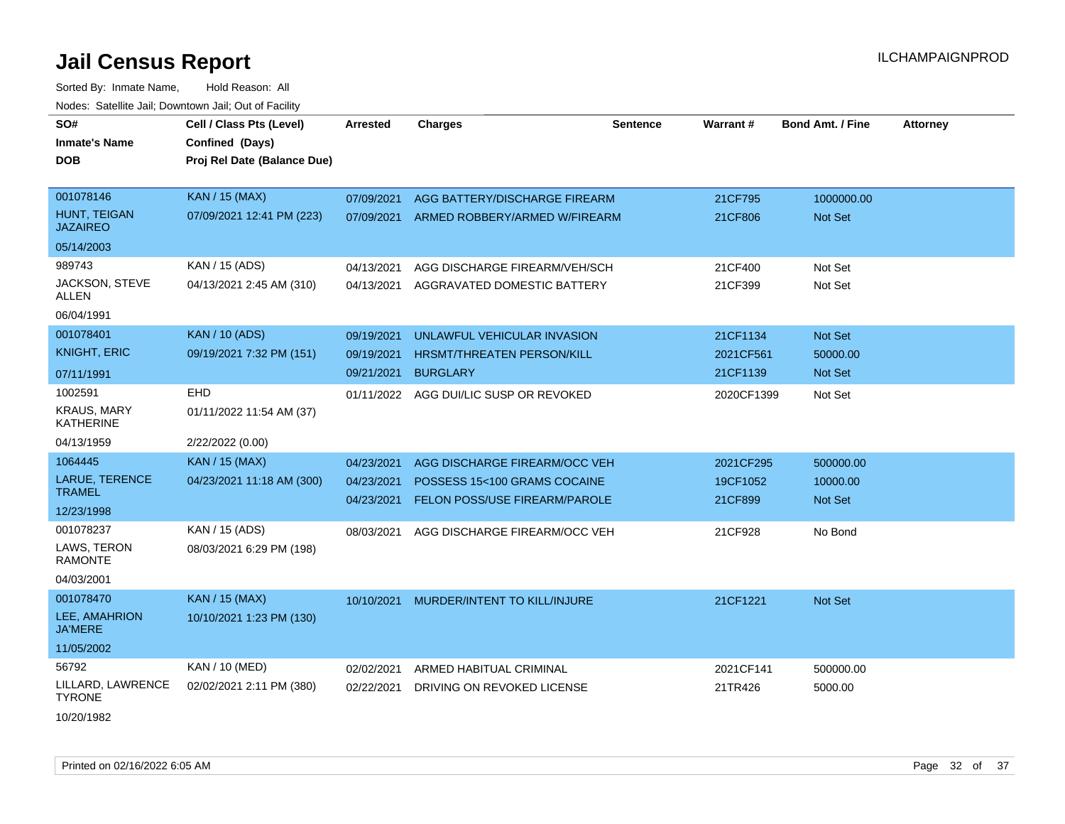| SO#<br><b>Inmate's Name</b>            | Cell / Class Pts (Level)<br>Confined (Days) | Arrested   | <b>Charges</b>                         | <b>Sentence</b> | Warrant#   | <b>Bond Amt. / Fine</b> | <b>Attorney</b> |
|----------------------------------------|---------------------------------------------|------------|----------------------------------------|-----------------|------------|-------------------------|-----------------|
| <b>DOB</b>                             | Proj Rel Date (Balance Due)                 |            |                                        |                 |            |                         |                 |
|                                        |                                             |            |                                        |                 |            |                         |                 |
| 001078146                              | <b>KAN / 15 (MAX)</b>                       | 07/09/2021 | AGG BATTERY/DISCHARGE FIREARM          |                 | 21CF795    | 1000000.00              |                 |
| HUNT, TEIGAN<br><b>JAZAIREO</b>        | 07/09/2021 12:41 PM (223)                   | 07/09/2021 | ARMED ROBBERY/ARMED W/FIREARM          |                 | 21CF806    | Not Set                 |                 |
| 05/14/2003                             |                                             |            |                                        |                 |            |                         |                 |
| 989743                                 | KAN / 15 (ADS)                              | 04/13/2021 | AGG DISCHARGE FIREARM/VEH/SCH          |                 | 21CF400    | Not Set                 |                 |
| JACKSON, STEVE<br>ALLEN                | 04/13/2021 2:45 AM (310)                    | 04/13/2021 | AGGRAVATED DOMESTIC BATTERY            |                 | 21CF399    | Not Set                 |                 |
| 06/04/1991                             |                                             |            |                                        |                 |            |                         |                 |
| 001078401                              | <b>KAN / 10 (ADS)</b>                       | 09/19/2021 | UNLAWFUL VEHICULAR INVASION            |                 | 21CF1134   | Not Set                 |                 |
| <b>KNIGHT, ERIC</b>                    | 09/19/2021 7:32 PM (151)                    | 09/19/2021 | <b>HRSMT/THREATEN PERSON/KILL</b>      |                 | 2021CF561  | 50000.00                |                 |
| 07/11/1991                             |                                             | 09/21/2021 | <b>BURGLARY</b>                        |                 | 21CF1139   | <b>Not Set</b>          |                 |
| 1002591                                | EHD                                         |            | 01/11/2022 AGG DUI/LIC SUSP OR REVOKED |                 | 2020CF1399 | Not Set                 |                 |
| <b>KRAUS, MARY</b><br><b>KATHERINE</b> | 01/11/2022 11:54 AM (37)                    |            |                                        |                 |            |                         |                 |
| 04/13/1959                             | 2/22/2022 (0.00)                            |            |                                        |                 |            |                         |                 |
| 1064445                                | KAN / 15 (MAX)                              | 04/23/2021 | AGG DISCHARGE FIREARM/OCC VEH          |                 | 2021CF295  | 500000.00               |                 |
| LARUE, TERENCE                         | 04/23/2021 11:18 AM (300)                   | 04/23/2021 | POSSESS 15<100 GRAMS COCAINE           |                 | 19CF1052   | 10000.00                |                 |
| <b>TRAMEL</b>                          |                                             | 04/23/2021 | <b>FELON POSS/USE FIREARM/PAROLE</b>   |                 | 21CF899    | Not Set                 |                 |
| 12/23/1998                             |                                             |            |                                        |                 |            |                         |                 |
| 001078237<br>LAWS, TERON               | KAN / 15 (ADS)                              | 08/03/2021 | AGG DISCHARGE FIREARM/OCC VEH          |                 | 21CF928    | No Bond                 |                 |
| <b>RAMONTE</b>                         | 08/03/2021 6:29 PM (198)                    |            |                                        |                 |            |                         |                 |
| 04/03/2001                             |                                             |            |                                        |                 |            |                         |                 |
| 001078470                              | <b>KAN / 15 (MAX)</b>                       | 10/10/2021 | MURDER/INTENT TO KILL/INJURE           |                 | 21CF1221   | Not Set                 |                 |
| LEE, AMAHRION<br><b>JA'MERE</b>        | 10/10/2021 1:23 PM (130)                    |            |                                        |                 |            |                         |                 |
| 11/05/2002                             |                                             |            |                                        |                 |            |                         |                 |
| 56792                                  | KAN / 10 (MED)                              | 02/02/2021 | ARMED HABITUAL CRIMINAL                |                 | 2021CF141  | 500000.00               |                 |
| LILLARD, LAWRENCE<br><b>TYRONE</b>     | 02/02/2021 2:11 PM (380)                    | 02/22/2021 | DRIVING ON REVOKED LICENSE             |                 | 21TR426    | 5000.00                 |                 |
| 10/20/1982                             |                                             |            |                                        |                 |            |                         |                 |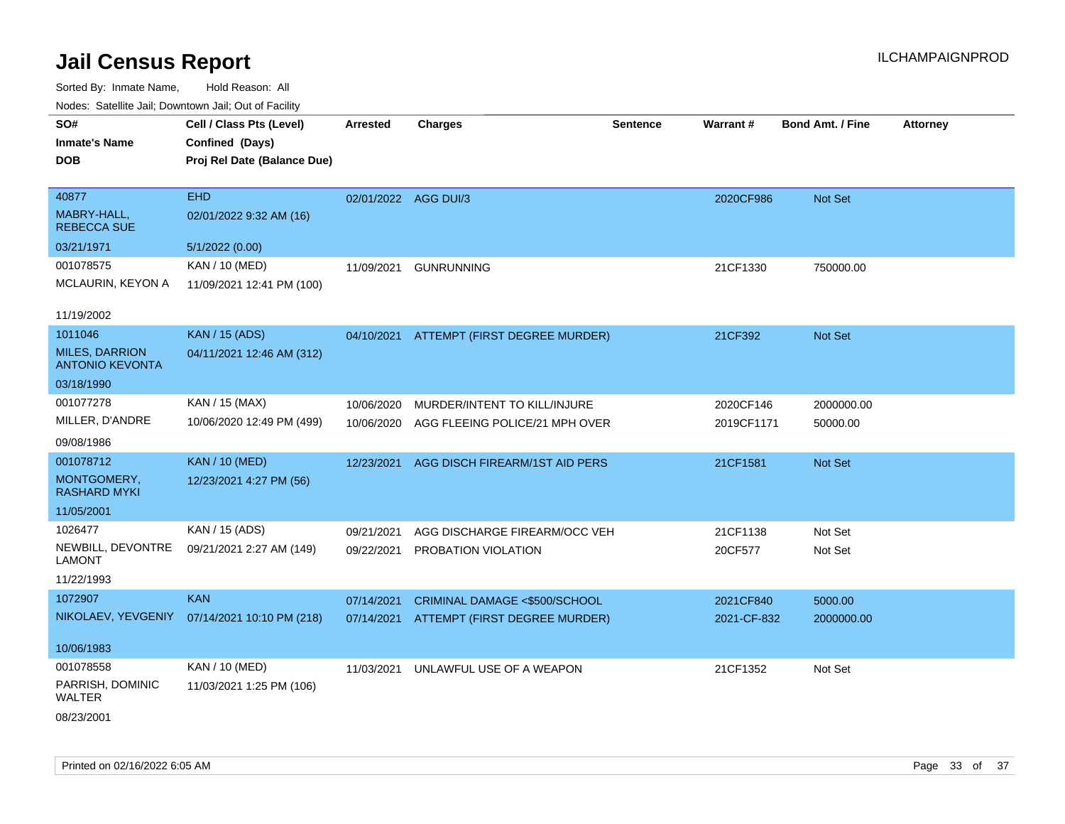| roaco. Catolino cali, Domntonn cali, Out of Facility |                             |                      |                                          |          |             |                         |                 |
|------------------------------------------------------|-----------------------------|----------------------|------------------------------------------|----------|-------------|-------------------------|-----------------|
| SO#                                                  | Cell / Class Pts (Level)    | <b>Arrested</b>      | <b>Charges</b>                           | Sentence | Warrant#    | <b>Bond Amt. / Fine</b> | <b>Attorney</b> |
| <b>Inmate's Name</b>                                 | Confined (Days)             |                      |                                          |          |             |                         |                 |
| <b>DOB</b>                                           | Proj Rel Date (Balance Due) |                      |                                          |          |             |                         |                 |
|                                                      |                             |                      |                                          |          |             |                         |                 |
| 40877                                                | <b>EHD</b>                  | 02/01/2022 AGG DUI/3 |                                          |          | 2020CF986   | Not Set                 |                 |
| MABRY-HALL,<br><b>REBECCA SUE</b>                    | 02/01/2022 9:32 AM (16)     |                      |                                          |          |             |                         |                 |
| 03/21/1971                                           | 5/1/2022 (0.00)             |                      |                                          |          |             |                         |                 |
| 001078575                                            | KAN / 10 (MED)              | 11/09/2021           | <b>GUNRUNNING</b>                        |          | 21CF1330    | 750000.00               |                 |
| MCLAURIN, KEYON A                                    | 11/09/2021 12:41 PM (100)   |                      |                                          |          |             |                         |                 |
| 11/19/2002                                           |                             |                      |                                          |          |             |                         |                 |
| 1011046                                              | <b>KAN / 15 (ADS)</b>       |                      | 04/10/2021 ATTEMPT (FIRST DEGREE MURDER) |          | 21CF392     | Not Set                 |                 |
| <b>MILES, DARRION</b><br><b>ANTONIO KEVONTA</b>      | 04/11/2021 12:46 AM (312)   |                      |                                          |          |             |                         |                 |
| 03/18/1990                                           |                             |                      |                                          |          |             |                         |                 |
| 001077278                                            | KAN / 15 (MAX)              | 10/06/2020           | MURDER/INTENT TO KILL/INJURE             |          | 2020CF146   | 2000000.00              |                 |
| MILLER, D'ANDRE                                      | 10/06/2020 12:49 PM (499)   | 10/06/2020           | AGG FLEEING POLICE/21 MPH OVER           |          | 2019CF1171  | 50000.00                |                 |
| 09/08/1986                                           |                             |                      |                                          |          |             |                         |                 |
| 001078712                                            | <b>KAN / 10 (MED)</b>       | 12/23/2021           | AGG DISCH FIREARM/1ST AID PERS           |          | 21CF1581    | Not Set                 |                 |
| MONTGOMERY,<br><b>RASHARD MYKI</b>                   | 12/23/2021 4:27 PM (56)     |                      |                                          |          |             |                         |                 |
| 11/05/2001                                           |                             |                      |                                          |          |             |                         |                 |
| 1026477                                              | KAN / 15 (ADS)              | 09/21/2021           | AGG DISCHARGE FIREARM/OCC VEH            |          | 21CF1138    | Not Set                 |                 |
| NEWBILL, DEVONTRE<br><b>LAMONT</b>                   | 09/21/2021 2:27 AM (149)    | 09/22/2021           | PROBATION VIOLATION                      |          | 20CF577     | Not Set                 |                 |
| 11/22/1993                                           |                             |                      |                                          |          |             |                         |                 |
| 1072907                                              | <b>KAN</b>                  | 07/14/2021           | CRIMINAL DAMAGE <\$500/SCHOOL            |          | 2021CF840   | 5000.00                 |                 |
| NIKOLAEV, YEVGENIY                                   | 07/14/2021 10:10 PM (218)   |                      | 07/14/2021 ATTEMPT (FIRST DEGREE MURDER) |          | 2021-CF-832 | 2000000.00              |                 |
| 10/06/1983                                           |                             |                      |                                          |          |             |                         |                 |
| 001078558                                            | KAN / 10 (MED)              | 11/03/2021           | UNLAWFUL USE OF A WEAPON                 |          | 21CF1352    | Not Set                 |                 |
| PARRISH, DOMINIC<br><b>WALTER</b>                    | 11/03/2021 1:25 PM (106)    |                      |                                          |          |             |                         |                 |
| 08/23/2001                                           |                             |                      |                                          |          |             |                         |                 |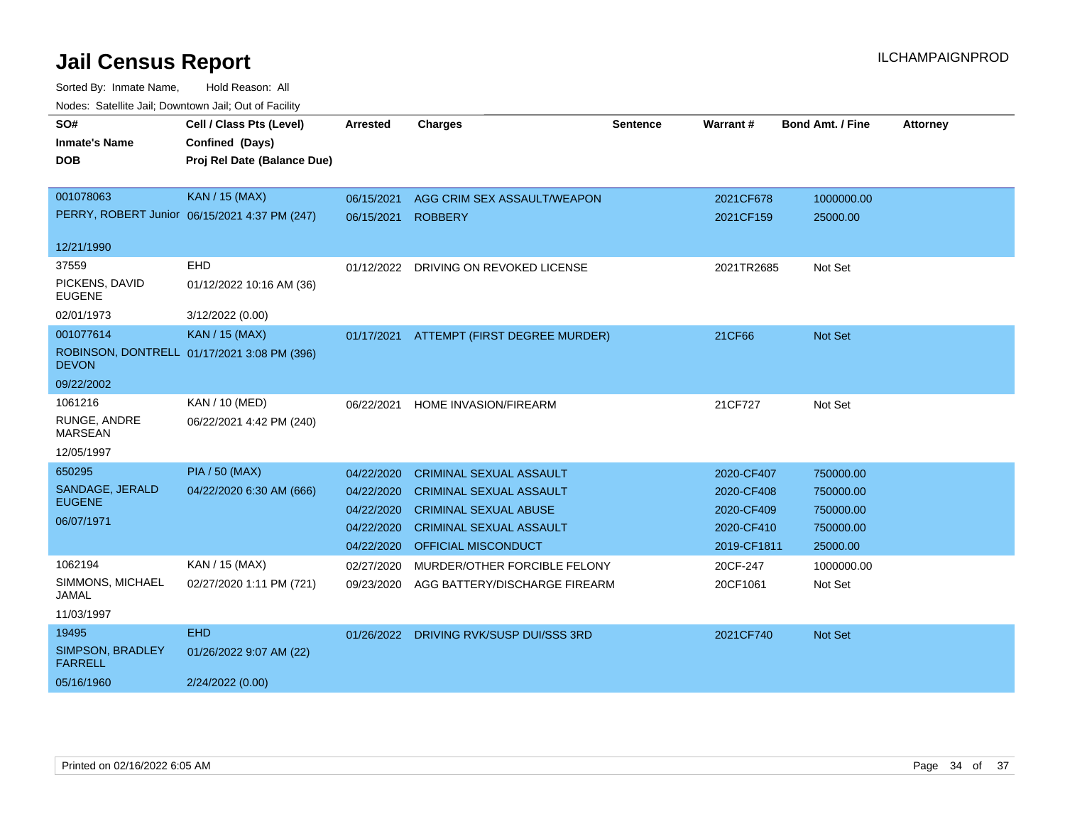| SO#                                | Cell / Class Pts (Level)                      | <b>Arrested</b> | <b>Charges</b>                        | <b>Sentence</b> | Warrant#    | <b>Bond Amt. / Fine</b> | <b>Attorney</b> |
|------------------------------------|-----------------------------------------------|-----------------|---------------------------------------|-----------------|-------------|-------------------------|-----------------|
| <b>Inmate's Name</b>               | Confined (Days)                               |                 |                                       |                 |             |                         |                 |
| <b>DOB</b>                         | Proj Rel Date (Balance Due)                   |                 |                                       |                 |             |                         |                 |
|                                    |                                               |                 |                                       |                 |             |                         |                 |
| 001078063                          | <b>KAN / 15 (MAX)</b>                         | 06/15/2021      | AGG CRIM SEX ASSAULT/WEAPON           |                 | 2021CF678   | 1000000.00              |                 |
|                                    | PERRY, ROBERT Junior 06/15/2021 4:37 PM (247) | 06/15/2021      | <b>ROBBERY</b>                        |                 | 2021CF159   | 25000.00                |                 |
|                                    |                                               |                 |                                       |                 |             |                         |                 |
| 12/21/1990                         |                                               |                 |                                       |                 |             |                         |                 |
| 37559                              | EHD                                           |                 | 01/12/2022 DRIVING ON REVOKED LICENSE |                 | 2021TR2685  | Not Set                 |                 |
| PICKENS, DAVID<br><b>EUGENE</b>    | 01/12/2022 10:16 AM (36)                      |                 |                                       |                 |             |                         |                 |
| 02/01/1973                         | 3/12/2022 (0.00)                              |                 |                                       |                 |             |                         |                 |
| 001077614                          | <b>KAN / 15 (MAX)</b>                         | 01/17/2021      | ATTEMPT (FIRST DEGREE MURDER)         |                 | 21CF66      | Not Set                 |                 |
| <b>DEVON</b>                       | ROBINSON, DONTRELL 01/17/2021 3:08 PM (396)   |                 |                                       |                 |             |                         |                 |
| 09/22/2002                         |                                               |                 |                                       |                 |             |                         |                 |
| 1061216                            | KAN / 10 (MED)                                | 06/22/2021      | <b>HOME INVASION/FIREARM</b>          |                 | 21CF727     | Not Set                 |                 |
| RUNGE, ANDRE<br><b>MARSEAN</b>     | 06/22/2021 4:42 PM (240)                      |                 |                                       |                 |             |                         |                 |
| 12/05/1997                         |                                               |                 |                                       |                 |             |                         |                 |
| 650295                             | <b>PIA / 50 (MAX)</b>                         | 04/22/2020      | <b>CRIMINAL SEXUAL ASSAULT</b>        |                 | 2020-CF407  | 750000.00               |                 |
| SANDAGE, JERALD                    | 04/22/2020 6:30 AM (666)                      | 04/22/2020      | <b>CRIMINAL SEXUAL ASSAULT</b>        |                 | 2020-CF408  | 750000.00               |                 |
| <b>EUGENE</b>                      |                                               | 04/22/2020      | <b>CRIMINAL SEXUAL ABUSE</b>          |                 | 2020-CF409  | 750000.00               |                 |
| 06/07/1971                         |                                               | 04/22/2020      | <b>CRIMINAL SEXUAL ASSAULT</b>        |                 | 2020-CF410  | 750000.00               |                 |
|                                    |                                               | 04/22/2020      | <b>OFFICIAL MISCONDUCT</b>            |                 | 2019-CF1811 | 25000.00                |                 |
| 1062194                            | KAN / 15 (MAX)                                | 02/27/2020      | MURDER/OTHER FORCIBLE FELONY          |                 | 20CF-247    | 1000000.00              |                 |
| SIMMONS, MICHAEL<br>JAMAL          | 02/27/2020 1:11 PM (721)                      | 09/23/2020      | AGG BATTERY/DISCHARGE FIREARM         |                 | 20CF1061    | Not Set                 |                 |
| 11/03/1997                         |                                               |                 |                                       |                 |             |                         |                 |
| 19495                              | <b>EHD</b>                                    | 01/26/2022      | DRIVING RVK/SUSP DUI/SSS 3RD          |                 | 2021CF740   | <b>Not Set</b>          |                 |
| SIMPSON, BRADLEY<br><b>FARRELL</b> | 01/26/2022 9:07 AM (22)                       |                 |                                       |                 |             |                         |                 |
| 05/16/1960                         | 2/24/2022 (0.00)                              |                 |                                       |                 |             |                         |                 |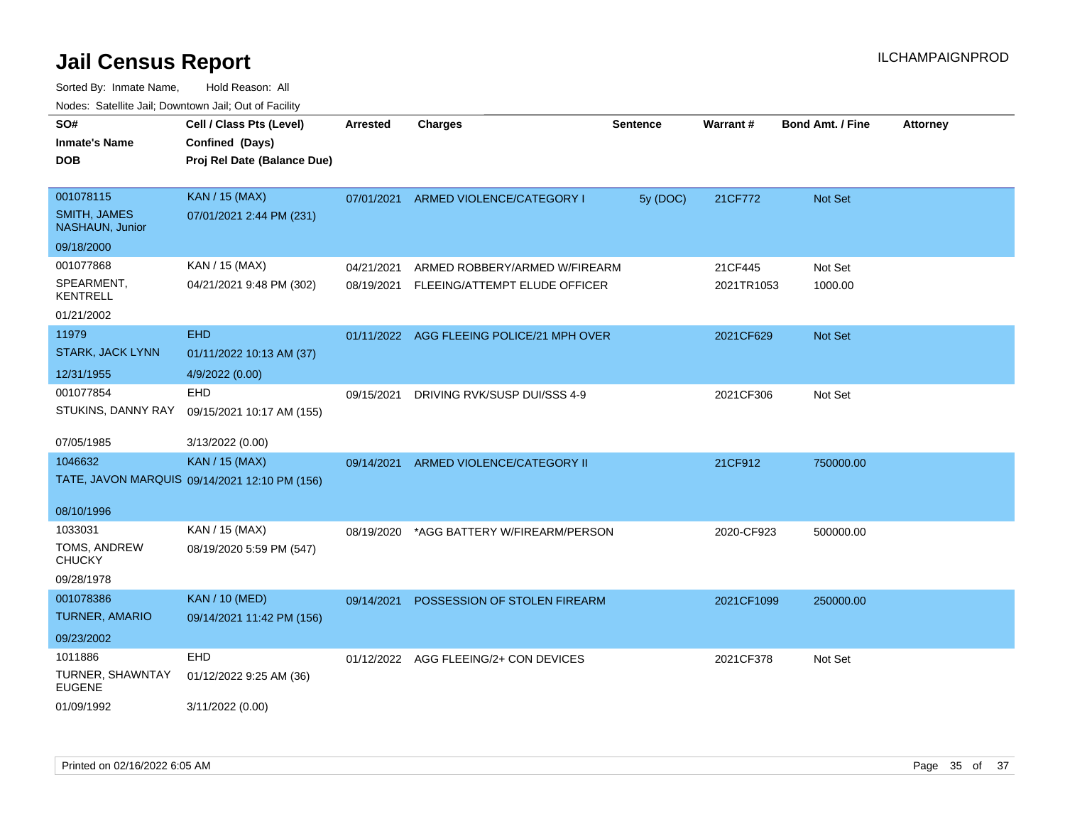| roaco. Odichile Jan, Downtown Jan, Out of Facility |                                               |                 |                                           |                 |            |                         |                 |
|----------------------------------------------------|-----------------------------------------------|-----------------|-------------------------------------------|-----------------|------------|-------------------------|-----------------|
| SO#                                                | Cell / Class Pts (Level)                      | <b>Arrested</b> | <b>Charges</b>                            | <b>Sentence</b> | Warrant#   | <b>Bond Amt. / Fine</b> | <b>Attorney</b> |
| <b>Inmate's Name</b>                               | Confined (Days)                               |                 |                                           |                 |            |                         |                 |
| <b>DOB</b>                                         | Proj Rel Date (Balance Due)                   |                 |                                           |                 |            |                         |                 |
|                                                    |                                               |                 |                                           |                 |            |                         |                 |
| 001078115                                          | <b>KAN / 15 (MAX)</b>                         |                 | 07/01/2021 ARMED VIOLENCE/CATEGORY I      | 5y (DOC)        | 21CF772    | Not Set                 |                 |
| <b>SMITH, JAMES</b><br><b>NASHAUN, Junior</b>      | 07/01/2021 2:44 PM (231)                      |                 |                                           |                 |            |                         |                 |
| 09/18/2000                                         |                                               |                 |                                           |                 |            |                         |                 |
| 001077868                                          | KAN / 15 (MAX)                                | 04/21/2021      | ARMED ROBBERY/ARMED W/FIREARM             |                 | 21CF445    | Not Set                 |                 |
| SPEARMENT,<br>KENTRELL                             | 04/21/2021 9:48 PM (302)                      | 08/19/2021      | FLEEING/ATTEMPT ELUDE OFFICER             |                 | 2021TR1053 | 1000.00                 |                 |
| 01/21/2002                                         |                                               |                 |                                           |                 |            |                         |                 |
| 11979                                              | <b>EHD</b>                                    |                 | 01/11/2022 AGG FLEEING POLICE/21 MPH OVER |                 | 2021CF629  | <b>Not Set</b>          |                 |
| STARK, JACK LYNN                                   | 01/11/2022 10:13 AM (37)                      |                 |                                           |                 |            |                         |                 |
| 12/31/1955                                         | 4/9/2022 (0.00)                               |                 |                                           |                 |            |                         |                 |
| 001077854                                          | EHD                                           | 09/15/2021      | DRIVING RVK/SUSP DUI/SSS 4-9              |                 | 2021CF306  | Not Set                 |                 |
| STUKINS, DANNY RAY                                 | 09/15/2021 10:17 AM (155)                     |                 |                                           |                 |            |                         |                 |
|                                                    |                                               |                 |                                           |                 |            |                         |                 |
| 07/05/1985                                         | 3/13/2022 (0.00)                              |                 |                                           |                 |            |                         |                 |
| 1046632                                            | <b>KAN / 15 (MAX)</b>                         | 09/14/2021      | ARMED VIOLENCE/CATEGORY II                |                 | 21CF912    | 750000.00               |                 |
|                                                    | TATE, JAVON MARQUIS 09/14/2021 12:10 PM (156) |                 |                                           |                 |            |                         |                 |
|                                                    |                                               |                 |                                           |                 |            |                         |                 |
| 08/10/1996                                         |                                               |                 |                                           |                 |            |                         |                 |
| 1033031                                            | KAN / 15 (MAX)                                | 08/19/2020      | *AGG BATTERY W/FIREARM/PERSON             |                 | 2020-CF923 | 500000.00               |                 |
| TOMS, ANDREW<br><b>CHUCKY</b>                      | 08/19/2020 5:59 PM (547)                      |                 |                                           |                 |            |                         |                 |
| 09/28/1978                                         |                                               |                 |                                           |                 |            |                         |                 |
| 001078386                                          | <b>KAN / 10 (MED)</b>                         | 09/14/2021      | POSSESSION OF STOLEN FIREARM              |                 | 2021CF1099 | 250000.00               |                 |
| <b>TURNER, AMARIO</b>                              | 09/14/2021 11:42 PM (156)                     |                 |                                           |                 |            |                         |                 |
| 09/23/2002                                         |                                               |                 |                                           |                 |            |                         |                 |
| 1011886                                            | <b>EHD</b>                                    |                 | 01/12/2022 AGG FLEEING/2+ CON DEVICES     |                 | 2021CF378  | Not Set                 |                 |
| TURNER, SHAWNTAY                                   | 01/12/2022 9:25 AM (36)                       |                 |                                           |                 |            |                         |                 |
| <b>EUGENE</b>                                      |                                               |                 |                                           |                 |            |                         |                 |
| 01/09/1992                                         | 3/11/2022 (0.00)                              |                 |                                           |                 |            |                         |                 |
|                                                    |                                               |                 |                                           |                 |            |                         |                 |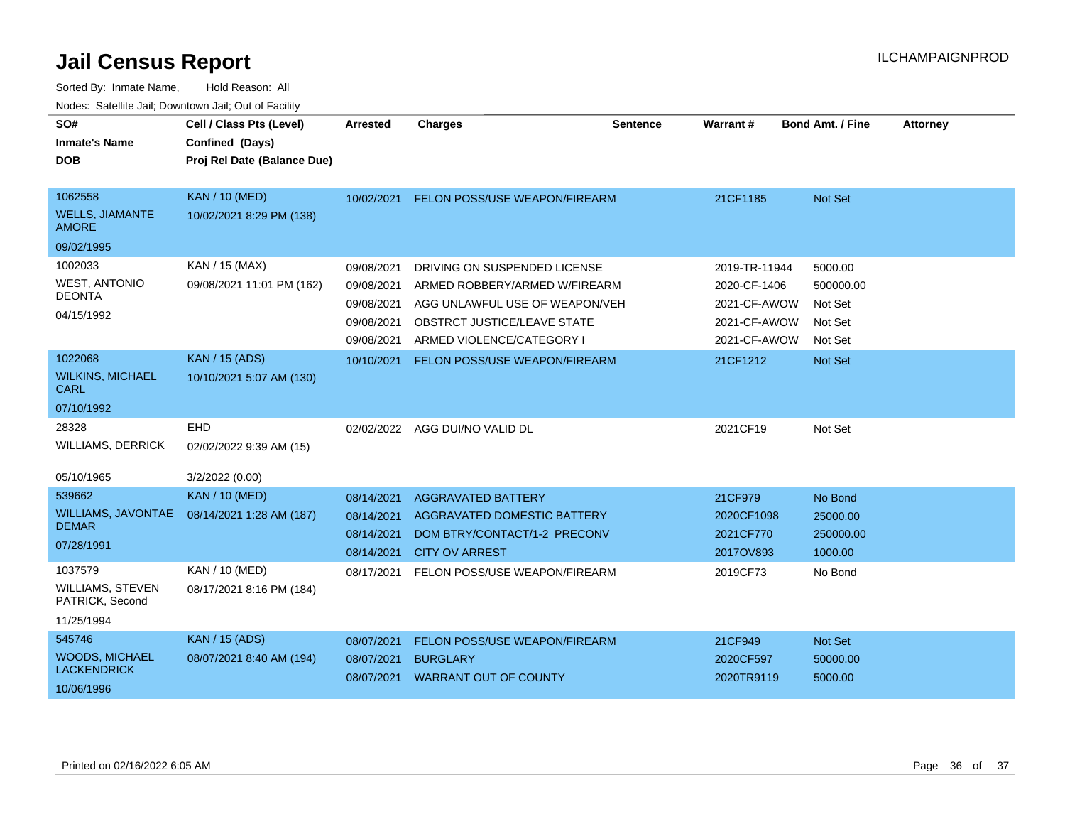| SO#<br><b>Inmate's Name</b><br><b>DOB</b>                           | Cell / Class Pts (Level)<br>Confined (Days)<br>Proj Rel Date (Balance Due) | <b>Arrested</b>                                                    | <b>Charges</b>                                                                                                                                              | <b>Sentence</b> | <b>Warrant#</b>                                                               | <b>Bond Amt. / Fine</b>                               | <b>Attorney</b> |
|---------------------------------------------------------------------|----------------------------------------------------------------------------|--------------------------------------------------------------------|-------------------------------------------------------------------------------------------------------------------------------------------------------------|-----------------|-------------------------------------------------------------------------------|-------------------------------------------------------|-----------------|
| 1062558<br><b>WELLS, JIAMANTE</b><br><b>AMORE</b>                   | <b>KAN / 10 (MED)</b><br>10/02/2021 8:29 PM (138)                          | 10/02/2021                                                         | FELON POSS/USE WEAPON/FIREARM                                                                                                                               |                 | 21CF1185                                                                      | Not Set                                               |                 |
| 09/02/1995                                                          |                                                                            |                                                                    |                                                                                                                                                             |                 |                                                                               |                                                       |                 |
| 1002033<br><b>WEST, ANTONIO</b><br><b>DEONTA</b><br>04/15/1992      | KAN / 15 (MAX)<br>09/08/2021 11:01 PM (162)                                | 09/08/2021<br>09/08/2021<br>09/08/2021<br>09/08/2021<br>09/08/2021 | DRIVING ON SUSPENDED LICENSE<br>ARMED ROBBERY/ARMED W/FIREARM<br>AGG UNLAWFUL USE OF WEAPON/VEH<br>OBSTRCT JUSTICE/LEAVE STATE<br>ARMED VIOLENCE/CATEGORY I |                 | 2019-TR-11944<br>2020-CF-1406<br>2021-CF-AWOW<br>2021-CF-AWOW<br>2021-CF-AWOW | 5000.00<br>500000.00<br>Not Set<br>Not Set<br>Not Set |                 |
| 1022068<br><b>WILKINS, MICHAEL</b><br><b>CARL</b><br>07/10/1992     | <b>KAN / 15 (ADS)</b><br>10/10/2021 5:07 AM (130)                          | 10/10/2021                                                         | FELON POSS/USE WEAPON/FIREARM                                                                                                                               |                 | 21CF1212                                                                      | <b>Not Set</b>                                        |                 |
| 28328<br><b>WILLIAMS, DERRICK</b><br>05/10/1965                     | EHD<br>02/02/2022 9:39 AM (15)<br>3/2/2022 (0.00)                          | 02/02/2022                                                         | AGG DUI/NO VALID DL                                                                                                                                         |                 | 2021CF19                                                                      | Not Set                                               |                 |
| 539662<br>WILLIAMS, JAVONTAE<br><b>DEMAR</b><br>07/28/1991          | <b>KAN / 10 (MED)</b><br>08/14/2021 1:28 AM (187)                          | 08/14/2021<br>08/14/2021<br>08/14/2021<br>08/14/2021               | <b>AGGRAVATED BATTERY</b><br><b>AGGRAVATED DOMESTIC BATTERY</b><br>DOM BTRY/CONTACT/1-2 PRECONV<br><b>CITY OV ARREST</b>                                    |                 | 21CF979<br>2020CF1098<br>2021CF770<br>2017OV893                               | No Bond<br>25000.00<br>250000.00<br>1000.00           |                 |
| 1037579<br><b>WILLIAMS, STEVEN</b><br>PATRICK, Second<br>11/25/1994 | <b>KAN / 10 (MED)</b><br>08/17/2021 8:16 PM (184)                          | 08/17/2021                                                         | FELON POSS/USE WEAPON/FIREARM                                                                                                                               |                 | 2019CF73                                                                      | No Bond                                               |                 |
| 545746<br><b>WOODS, MICHAEL</b><br><b>LACKENDRICK</b><br>10/06/1996 | <b>KAN</b> / 15 (ADS)<br>08/07/2021 8:40 AM (194)                          | 08/07/2021<br>08/07/2021<br>08/07/2021                             | FELON POSS/USE WEAPON/FIREARM<br><b>BURGLARY</b><br><b>WARRANT OUT OF COUNTY</b>                                                                            |                 | 21CF949<br>2020CF597<br>2020TR9119                                            | Not Set<br>50000.00<br>5000.00                        |                 |